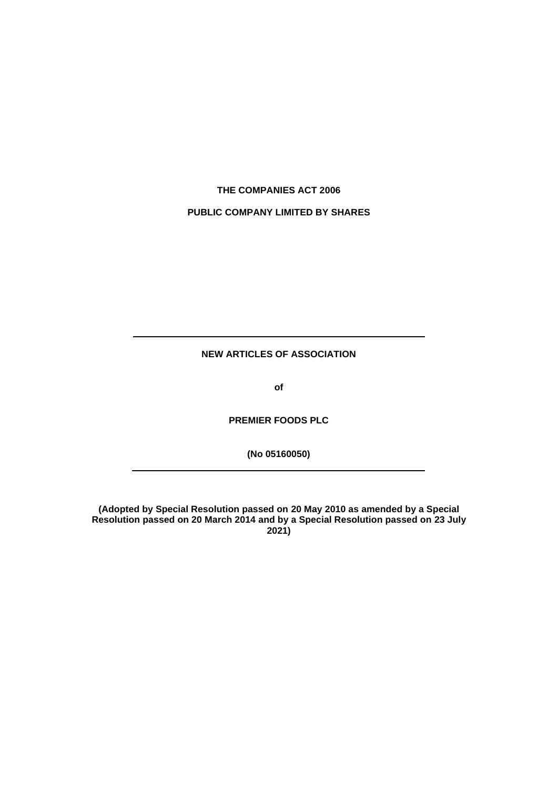# **THE COMPANIES ACT 2006**

# **PUBLIC COMPANY LIMITED BY SHARES**

**NEW ARTICLES OF ASSOCIATION**

**of**

**PREMIER FOODS PLC**

**(No 05160050)**

**(Adopted by Special Resolution passed on 20 May 2010 as amended by a Special Resolution passed on 20 March 2014 and by a Special Resolution passed on 23 July 2021)**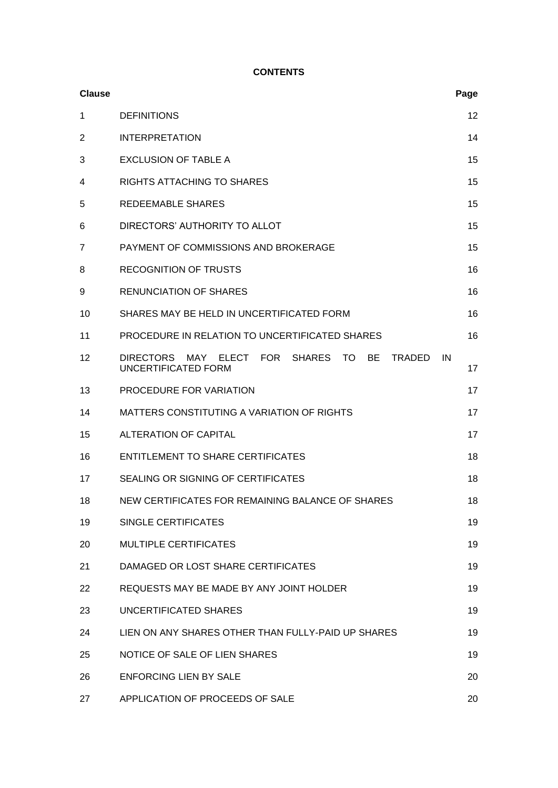# **CONTENTS**

| <b>Clause</b> |                                                                                                                         | Page     |
|---------------|-------------------------------------------------------------------------------------------------------------------------|----------|
| 1             | <b>DEFINITIONS</b>                                                                                                      | 12       |
| 2             | <b>INTERPRETATION</b>                                                                                                   | 14       |
| 3             | <b>EXCLUSION OF TABLE A</b>                                                                                             | 15       |
| 4             | RIGHTS ATTACHING TO SHARES                                                                                              | 15       |
| 5             | <b>REDEEMABLE SHARES</b>                                                                                                | 15       |
| 6             | DIRECTORS' AUTHORITY TO ALLOT                                                                                           | 15       |
| 7             | PAYMENT OF COMMISSIONS AND BROKERAGE                                                                                    | 15       |
| 8             | <b>RECOGNITION OF TRUSTS</b>                                                                                            | 16       |
| 9             | <b>RENUNCIATION OF SHARES</b>                                                                                           | 16       |
| 10            | SHARES MAY BE HELD IN UNCERTIFICATED FORM                                                                               | 16       |
| 11            | PROCEDURE IN RELATION TO UNCERTIFICATED SHARES                                                                          | 16       |
| 12            | <b>FOR</b><br><b>DIRECTORS</b><br>MAY<br><b>ELECT</b><br>SHARES TO<br><b>BE</b><br><b>TRADED</b><br>UNCERTIFICATED FORM | IN<br>17 |
| 13            | PROCEDURE FOR VARIATION                                                                                                 | 17       |
| 14            | MATTERS CONSTITUTING A VARIATION OF RIGHTS                                                                              | 17       |
| 15            | <b>ALTERATION OF CAPITAL</b>                                                                                            | 17       |
| 16            | <b>ENTITLEMENT TO SHARE CERTIFICATES</b>                                                                                | 18       |
| 17            | SEALING OR SIGNING OF CERTIFICATES                                                                                      | 18       |
| 18            | NEW CERTIFICATES FOR REMAINING BALANCE OF SHARES                                                                        | 18       |
| 19            | SINGLE CERTIFICATES                                                                                                     | 19       |
| 20            | <b>MULTIPLE CERTIFICATES</b>                                                                                            | 19       |
| 21            | DAMAGED OR LOST SHARE CERTIFICATES                                                                                      | 19       |
| 22            | REQUESTS MAY BE MADE BY ANY JOINT HOLDER                                                                                | 19       |
| 23            | UNCERTIFICATED SHARES                                                                                                   | 19       |
| 24            | LIEN ON ANY SHARES OTHER THAN FULLY-PAID UP SHARES                                                                      | 19       |
| 25            | NOTICE OF SALE OF LIEN SHARES                                                                                           | 19       |
| 26            | <b>ENFORCING LIEN BY SALE</b>                                                                                           | 20       |
| 27            | APPLICATION OF PROCEEDS OF SALE                                                                                         | 20       |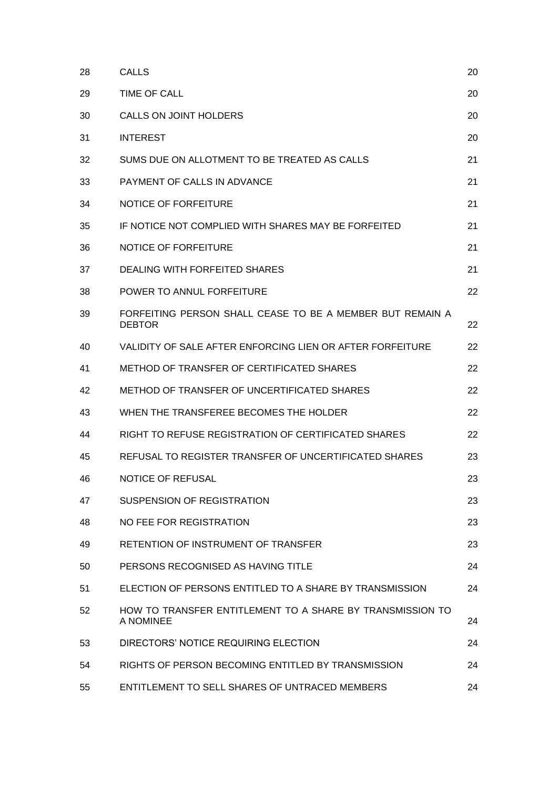| 28 | <b>CALLS</b>                                                               | 20 |
|----|----------------------------------------------------------------------------|----|
| 29 | TIME OF CALL                                                               | 20 |
| 30 | CALLS ON JOINT HOLDERS                                                     | 20 |
| 31 | <b>INTEREST</b>                                                            | 20 |
| 32 | SUMS DUE ON ALLOTMENT TO BE TREATED AS CALLS                               | 21 |
| 33 | PAYMENT OF CALLS IN ADVANCE                                                | 21 |
| 34 | NOTICE OF FORFEITURE                                                       | 21 |
| 35 | IF NOTICE NOT COMPLIED WITH SHARES MAY BE FORFEITED                        | 21 |
| 36 | NOTICE OF FORFEITURE                                                       | 21 |
| 37 | DEALING WITH FORFEITED SHARES                                              | 21 |
| 38 | POWER TO ANNUL FORFEITURE                                                  | 22 |
| 39 | FORFEITING PERSON SHALL CEASE TO BE A MEMBER BUT REMAIN A<br><b>DEBTOR</b> | 22 |
| 40 | VALIDITY OF SALE AFTER ENFORCING LIEN OR AFTER FORFEITURE                  | 22 |
| 41 | <b>METHOD OF TRANSFER OF CERTIFICATED SHARES</b>                           | 22 |
| 42 | METHOD OF TRANSFER OF UNCERTIFICATED SHARES                                | 22 |
| 43 | WHEN THE TRANSFEREE BECOMES THE HOLDER                                     | 22 |
| 44 | RIGHT TO REFUSE REGISTRATION OF CERTIFICATED SHARES                        | 22 |
| 45 | REFUSAL TO REGISTER TRANSFER OF UNCERTIFICATED SHARES                      | 23 |
| 46 | <b>NOTICE OF REFUSAL</b>                                                   | 23 |
| 47 | <b>SUSPENSION OF REGISTRATION</b>                                          | 23 |
| 48 | NO FEE FOR REGISTRATION                                                    | 23 |
| 49 | RETENTION OF INSTRUMENT OF TRANSFER                                        | 23 |
| 50 | PERSONS RECOGNISED AS HAVING TITLE                                         | 24 |
| 51 | ELECTION OF PERSONS ENTITLED TO A SHARE BY TRANSMISSION                    | 24 |
| 52 | HOW TO TRANSFER ENTITLEMENT TO A SHARE BY TRANSMISSION TO<br>A NOMINEE     | 24 |
| 53 | DIRECTORS' NOTICE REQUIRING ELECTION                                       | 24 |
| 54 | RIGHTS OF PERSON BECOMING ENTITLED BY TRANSMISSION                         | 24 |
| 55 | ENTITLEMENT TO SELL SHARES OF UNTRACED MEMBERS                             | 24 |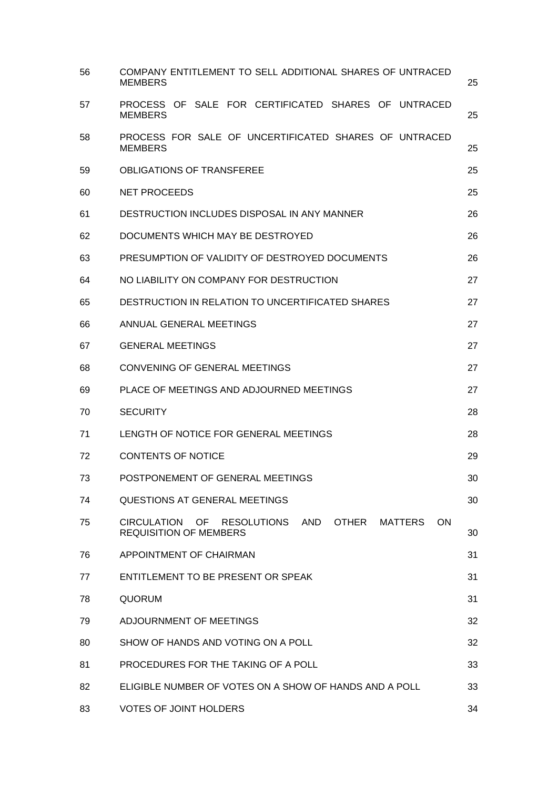| 56 | COMPANY ENTITLEMENT TO SELL ADDITIONAL SHARES OF UNTRACED<br><b>MEMBERS</b>                                                    | 25 |
|----|--------------------------------------------------------------------------------------------------------------------------------|----|
| 57 | PROCESS OF SALE FOR CERTIFICATED SHARES OF UNTRACED<br><b>MEMBERS</b>                                                          | 25 |
| 58 | PROCESS FOR SALE OF UNCERTIFICATED SHARES OF UNTRACED<br><b>MEMBERS</b>                                                        | 25 |
| 59 | <b>OBLIGATIONS OF TRANSFEREE</b>                                                                                               | 25 |
| 60 | <b>NET PROCEEDS</b>                                                                                                            | 25 |
| 61 | DESTRUCTION INCLUDES DISPOSAL IN ANY MANNER                                                                                    | 26 |
| 62 | DOCUMENTS WHICH MAY BE DESTROYED                                                                                               | 26 |
| 63 | PRESUMPTION OF VALIDITY OF DESTROYED DOCUMENTS                                                                                 | 26 |
| 64 | NO LIABILITY ON COMPANY FOR DESTRUCTION                                                                                        | 27 |
| 65 | DESTRUCTION IN RELATION TO UNCERTIFICATED SHARES                                                                               | 27 |
| 66 | ANNUAL GENERAL MEETINGS                                                                                                        | 27 |
| 67 | <b>GENERAL MEETINGS</b>                                                                                                        | 27 |
| 68 | <b>CONVENING OF GENERAL MEETINGS</b>                                                                                           | 27 |
| 69 | PLACE OF MEETINGS AND ADJOURNED MEETINGS                                                                                       | 27 |
| 70 | <b>SECURITY</b>                                                                                                                | 28 |
| 71 | LENGTH OF NOTICE FOR GENERAL MEETINGS                                                                                          | 28 |
| 72 | <b>CONTENTS OF NOTICE</b>                                                                                                      | 29 |
| 73 | POSTPONEMENT OF GENERAL MEETINGS                                                                                               | 30 |
| 74 | QUESTIONS AT GENERAL MEETINGS                                                                                                  | 30 |
| 75 | <b>CIRCULATION</b><br>OF<br><b>RESOLUTIONS</b><br>AND<br><b>OTHER</b><br><b>MATTERS</b><br>ON<br><b>REQUISITION OF MEMBERS</b> | 30 |
| 76 | APPOINTMENT OF CHAIRMAN                                                                                                        | 31 |
| 77 | ENTITLEMENT TO BE PRESENT OR SPEAK                                                                                             | 31 |
| 78 | <b>QUORUM</b>                                                                                                                  | 31 |
| 79 | ADJOURNMENT OF MEETINGS                                                                                                        | 32 |
| 80 | SHOW OF HANDS AND VOTING ON A POLL                                                                                             | 32 |
| 81 | PROCEDURES FOR THE TAKING OF A POLL                                                                                            | 33 |
| 82 | ELIGIBLE NUMBER OF VOTES ON A SHOW OF HANDS AND A POLL                                                                         | 33 |
| 83 | <b>VOTES OF JOINT HOLDERS</b>                                                                                                  | 34 |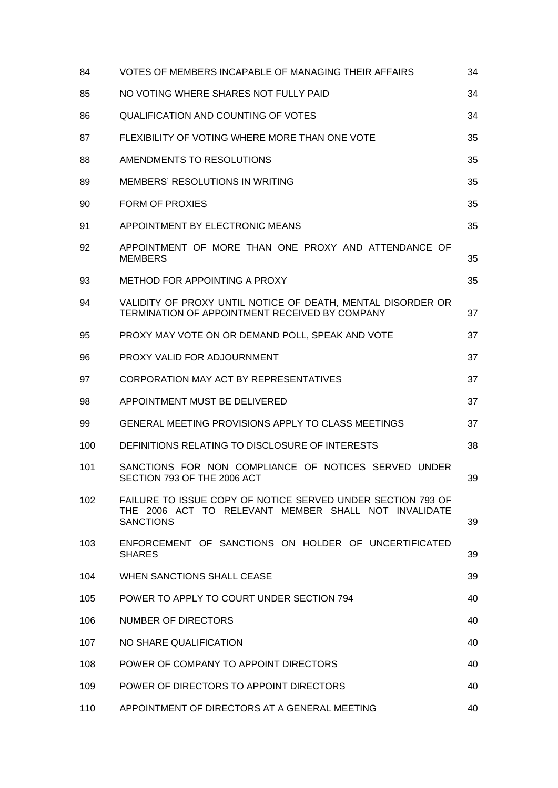| 84  | VOTES OF MEMBERS INCAPABLE OF MANAGING THEIR AFFAIRS                                                                                    | 34 |
|-----|-----------------------------------------------------------------------------------------------------------------------------------------|----|
| 85  | NO VOTING WHERE SHARES NOT FULLY PAID                                                                                                   | 34 |
| 86  | <b>QUALIFICATION AND COUNTING OF VOTES</b>                                                                                              | 34 |
| 87  | FLEXIBILITY OF VOTING WHERE MORE THAN ONE VOTE                                                                                          | 35 |
| 88  | AMENDMENTS TO RESOLUTIONS                                                                                                               | 35 |
| 89  | MEMBERS' RESOLUTIONS IN WRITING                                                                                                         | 35 |
| 90  | <b>FORM OF PROXIES</b>                                                                                                                  | 35 |
| 91  | APPOINTMENT BY ELECTRONIC MEANS                                                                                                         | 35 |
| 92  | APPOINTMENT OF MORE THAN ONE PROXY AND ATTENDANCE OF<br><b>MEMBERS</b>                                                                  | 35 |
| 93  | METHOD FOR APPOINTING A PROXY                                                                                                           | 35 |
| 94  | VALIDITY OF PROXY UNTIL NOTICE OF DEATH, MENTAL DISORDER OR<br>TERMINATION OF APPOINTMENT RECEIVED BY COMPANY                           | 37 |
| 95  | PROXY MAY VOTE ON OR DEMAND POLL, SPEAK AND VOTE                                                                                        | 37 |
| 96  | PROXY VALID FOR ADJOURNMENT                                                                                                             | 37 |
| 97  | CORPORATION MAY ACT BY REPRESENTATIVES                                                                                                  | 37 |
| 98  | APPOINTMENT MUST BE DELIVERED                                                                                                           | 37 |
| 99  | GENERAL MEETING PROVISIONS APPLY TO CLASS MEETINGS                                                                                      | 37 |
| 100 | DEFINITIONS RELATING TO DISCLOSURE OF INTERESTS                                                                                         | 38 |
| 101 | SANCTIONS FOR NON COMPLIANCE OF NOTICES SERVED UNDER<br>SECTION 793 OF THE 2006 ACT                                                     | 39 |
| 102 | FAILURE TO ISSUE COPY OF NOTICE SERVED UNDER SECTION 793 OF<br>THE 2006 ACT TO RELEVANT MEMBER SHALL NOT INVALIDATE<br><b>SANCTIONS</b> | 39 |
| 103 | ENFORCEMENT OF SANCTIONS ON HOLDER OF UNCERTIFICATED<br><b>SHARES</b>                                                                   | 39 |
| 104 | WHEN SANCTIONS SHALL CEASE                                                                                                              | 39 |
| 105 | POWER TO APPLY TO COURT UNDER SECTION 794                                                                                               | 40 |
| 106 | NUMBER OF DIRECTORS                                                                                                                     | 40 |
| 107 | NO SHARE QUALIFICATION                                                                                                                  | 40 |
| 108 | POWER OF COMPANY TO APPOINT DIRECTORS                                                                                                   | 40 |
| 109 | POWER OF DIRECTORS TO APPOINT DIRECTORS                                                                                                 | 40 |
| 110 | APPOINTMENT OF DIRECTORS AT A GENERAL MEETING                                                                                           | 40 |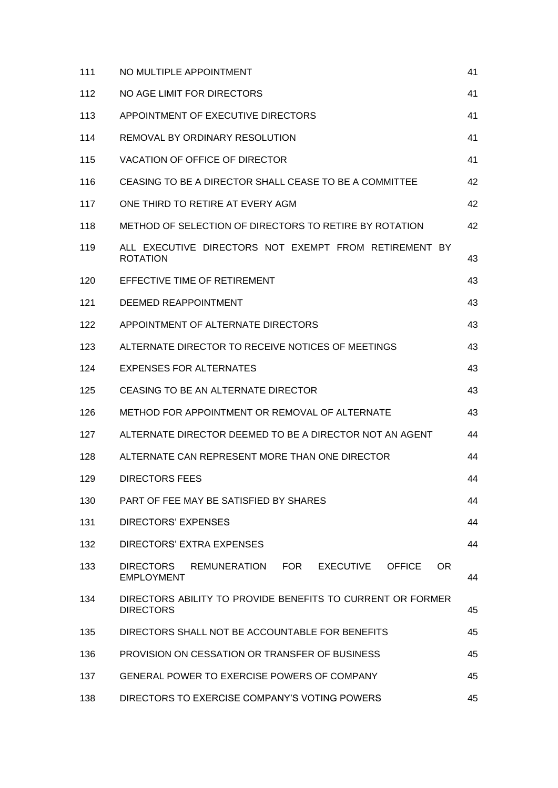| 111 | NO MULTIPLE APPOINTMENT                                                                 | 41 |
|-----|-----------------------------------------------------------------------------------------|----|
| 112 | NO AGE LIMIT FOR DIRECTORS                                                              | 41 |
| 113 | APPOINTMENT OF EXECUTIVE DIRECTORS                                                      | 41 |
| 114 | REMOVAL BY ORDINARY RESOLUTION                                                          | 41 |
| 115 | VACATION OF OFFICE OF DIRECTOR                                                          | 41 |
| 116 | CEASING TO BE A DIRECTOR SHALL CEASE TO BE A COMMITTEE                                  | 42 |
| 117 | ONE THIRD TO RETIRE AT EVERY AGM                                                        | 42 |
| 118 | METHOD OF SELECTION OF DIRECTORS TO RETIRE BY ROTATION                                  | 42 |
| 119 | ALL EXECUTIVE DIRECTORS NOT EXEMPT FROM RETIREMENT BY<br><b>ROTATION</b>                | 43 |
| 120 | EFFECTIVE TIME OF RETIREMENT                                                            | 43 |
| 121 | DEEMED REAPPOINTMENT                                                                    | 43 |
| 122 | APPOINTMENT OF ALTERNATE DIRECTORS                                                      | 43 |
| 123 | ALTERNATE DIRECTOR TO RECEIVE NOTICES OF MEETINGS                                       | 43 |
| 124 | EXPENSES FOR ALTERNATES                                                                 | 43 |
| 125 | CEASING TO BE AN ALTERNATE DIRECTOR                                                     | 43 |
| 126 | METHOD FOR APPOINTMENT OR REMOVAL OF ALTERNATE                                          | 43 |
| 127 | ALTERNATE DIRECTOR DEEMED TO BE A DIRECTOR NOT AN AGENT                                 | 44 |
| 128 | ALTERNATE CAN REPRESENT MORE THAN ONE DIRECTOR                                          | 44 |
| 129 | DIRECTORS FEES                                                                          | 44 |
| 130 | PART OF FEE MAY BE SATISFIED BY SHARES                                                  | 44 |
| 131 | <b>DIRECTORS' EXPENSES</b>                                                              | 44 |
| 132 | DIRECTORS' EXTRA EXPENSES                                                               | 44 |
| 133 | REMUNERATION FOR<br>EXECUTIVE<br><b>OFFICE</b><br>OR.<br>DIRECTORS<br><b>EMPLOYMENT</b> | 44 |
| 134 | DIRECTORS ABILITY TO PROVIDE BENEFITS TO CURRENT OR FORMER<br><b>DIRECTORS</b>          | 45 |
| 135 | DIRECTORS SHALL NOT BE ACCOUNTABLE FOR BENEFITS                                         | 45 |
| 136 | PROVISION ON CESSATION OR TRANSFER OF BUSINESS                                          | 45 |
| 137 | <b>GENERAL POWER TO EXERCISE POWERS OF COMPANY</b>                                      | 45 |
| 138 | DIRECTORS TO EXERCISE COMPANY'S VOTING POWERS                                           | 45 |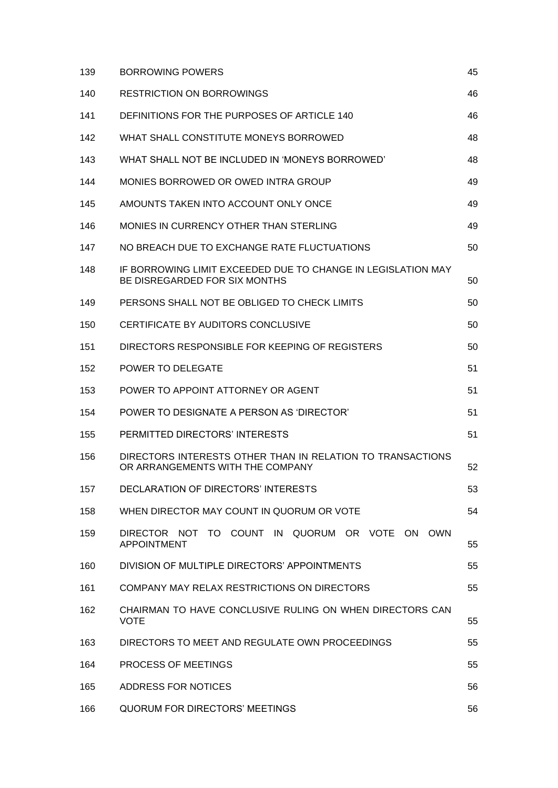| 139 | <b>BORROWING POWERS</b>                                                                        | 45 |
|-----|------------------------------------------------------------------------------------------------|----|
| 140 | <b>RESTRICTION ON BORROWINGS</b>                                                               | 46 |
| 141 | DEFINITIONS FOR THE PURPOSES OF ARTICLE 140                                                    | 46 |
| 142 | WHAT SHALL CONSTITUTE MONEYS BORROWED                                                          | 48 |
| 143 | WHAT SHALL NOT BE INCLUDED IN 'MONEYS BORROWED'                                                | 48 |
| 144 | MONIES BORROWED OR OWED INTRA GROUP                                                            | 49 |
| 145 | AMOUNTS TAKEN INTO ACCOUNT ONLY ONCE                                                           | 49 |
| 146 | MONIES IN CURRENCY OTHER THAN STERLING                                                         | 49 |
| 147 | NO BREACH DUE TO EXCHANGE RATE FLUCTUATIONS                                                    | 50 |
| 148 | IF BORROWING LIMIT EXCEEDED DUE TO CHANGE IN LEGISLATION MAY<br>BE DISREGARDED FOR SIX MONTHS  | 50 |
| 149 | PERSONS SHALL NOT BE OBLIGED TO CHECK LIMITS                                                   | 50 |
| 150 | CERTIFICATE BY AUDITORS CONCLUSIVE                                                             | 50 |
| 151 | DIRECTORS RESPONSIBLE FOR KEEPING OF REGISTERS                                                 | 50 |
| 152 | <b>POWER TO DELEGATE</b>                                                                       | 51 |
| 153 | POWER TO APPOINT ATTORNEY OR AGENT                                                             | 51 |
| 154 | POWER TO DESIGNATE A PERSON AS 'DIRECTOR'                                                      | 51 |
| 155 | PERMITTED DIRECTORS' INTERESTS                                                                 | 51 |
| 156 | DIRECTORS INTERESTS OTHER THAN IN RELATION TO TRANSACTIONS<br>OR ARRANGEMENTS WITH THE COMPANY | 52 |
| 157 | <b>DECLARATION OF DIRECTORS' INTERESTS</b>                                                     | 53 |
| 158 | WHEN DIRECTOR MAY COUNT IN QUORUM OR VOTE                                                      | 54 |
| 159 | DIRECTOR NOT TO COUNT IN QUORUM OR VOTE<br>ON OWN<br><b>APPOINTMENT</b>                        | 55 |
| 160 | DIVISION OF MULTIPLE DIRECTORS' APPOINTMENTS                                                   | 55 |
| 161 | COMPANY MAY RELAX RESTRICTIONS ON DIRECTORS                                                    | 55 |
| 162 | CHAIRMAN TO HAVE CONCLUSIVE RULING ON WHEN DIRECTORS CAN<br><b>VOTE</b>                        | 55 |
| 163 | DIRECTORS TO MEET AND REGULATE OWN PROCEEDINGS                                                 | 55 |
| 164 | <b>PROCESS OF MEETINGS</b>                                                                     | 55 |
| 165 | ADDRESS FOR NOTICES                                                                            | 56 |
| 166 | QUORUM FOR DIRECTORS' MEETINGS                                                                 | 56 |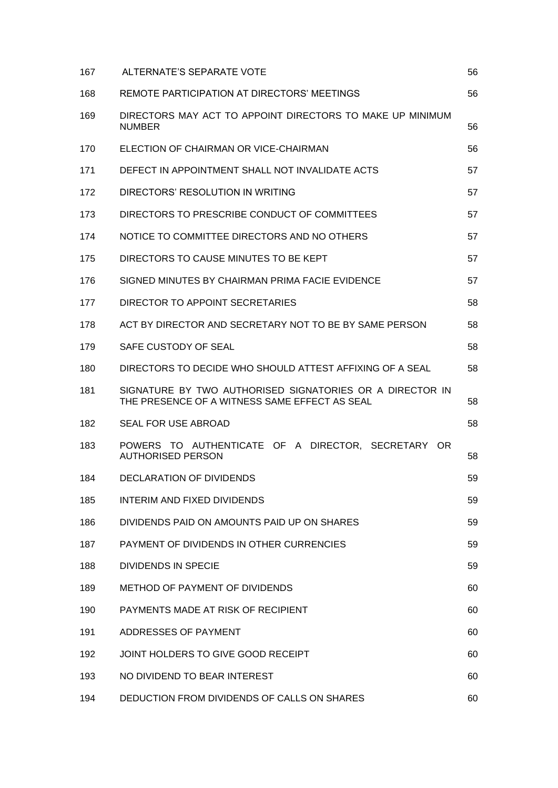| 167 | ALTERNATE'S SEPARATE VOTE                                                                                 | 56 |
|-----|-----------------------------------------------------------------------------------------------------------|----|
| 168 | REMOTE PARTICIPATION AT DIRECTORS' MEETINGS                                                               | 56 |
| 169 | DIRECTORS MAY ACT TO APPOINT DIRECTORS TO MAKE UP MINIMUM<br><b>NUMBER</b>                                | 56 |
| 170 | ELECTION OF CHAIRMAN OR VICE-CHAIRMAN                                                                     | 56 |
| 171 | DEFECT IN APPOINTMENT SHALL NOT INVALIDATE ACTS                                                           | 57 |
| 172 | DIRECTORS' RESOLUTION IN WRITING                                                                          | 57 |
| 173 | DIRECTORS TO PRESCRIBE CONDUCT OF COMMITTEES                                                              | 57 |
| 174 | NOTICE TO COMMITTEE DIRECTORS AND NO OTHERS                                                               | 57 |
| 175 | DIRECTORS TO CAUSE MINUTES TO BE KEPT                                                                     | 57 |
| 176 | SIGNED MINUTES BY CHAIRMAN PRIMA FACIE EVIDENCE                                                           | 57 |
| 177 | DIRECTOR TO APPOINT SECRETARIES                                                                           | 58 |
| 178 | ACT BY DIRECTOR AND SECRETARY NOT TO BE BY SAME PERSON                                                    | 58 |
| 179 | SAFE CUSTODY OF SEAL                                                                                      | 58 |
| 180 | DIRECTORS TO DECIDE WHO SHOULD ATTEST AFFIXING OF A SEAL                                                  | 58 |
| 181 | SIGNATURE BY TWO AUTHORISED SIGNATORIES OR A DIRECTOR IN<br>THE PRESENCE OF A WITNESS SAME EFFECT AS SEAL | 58 |
| 182 | <b>SEAL FOR USE ABROAD</b>                                                                                | 58 |
| 183 | POWERS TO AUTHENTICATE OF A DIRECTOR, SECRETARY OR<br><b>AUTHORISED PERSON</b>                            | 58 |
| 184 | DECLARATION OF DIVIDENDS                                                                                  | 59 |
| 185 | <b>INTERIM AND FIXED DIVIDENDS</b>                                                                        | 59 |
| 186 | DIVIDENDS PAID ON AMOUNTS PAID UP ON SHARES                                                               | 59 |
| 187 | PAYMENT OF DIVIDENDS IN OTHER CURRENCIES                                                                  | 59 |
| 188 | <b>DIVIDENDS IN SPECIE</b>                                                                                | 59 |
| 189 | METHOD OF PAYMENT OF DIVIDENDS                                                                            | 60 |
| 190 | PAYMENTS MADE AT RISK OF RECIPIENT                                                                        | 60 |
| 191 | ADDRESSES OF PAYMENT                                                                                      | 60 |
| 192 | JOINT HOLDERS TO GIVE GOOD RECEIPT                                                                        | 60 |
| 193 | NO DIVIDEND TO BEAR INTEREST                                                                              | 60 |
| 194 | DEDUCTION FROM DIVIDENDS OF CALLS ON SHARES                                                               | 60 |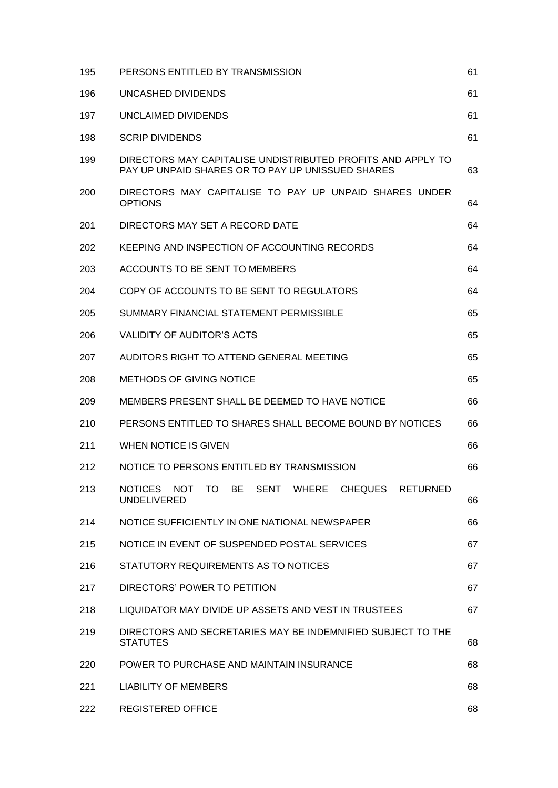| 195 | PERSONS ENTITLED BY TRANSMISSION                                                                                 | 61 |  |  |
|-----|------------------------------------------------------------------------------------------------------------------|----|--|--|
| 196 | UNCASHED DIVIDENDS                                                                                               |    |  |  |
| 197 | UNCLAIMED DIVIDENDS                                                                                              |    |  |  |
| 198 | <b>SCRIP DIVIDENDS</b>                                                                                           | 61 |  |  |
| 199 | DIRECTORS MAY CAPITALISE UNDISTRIBUTED PROFITS AND APPLY TO<br>PAY UP UNPAID SHARES OR TO PAY UP UNISSUED SHARES | 63 |  |  |
| 200 | DIRECTORS MAY CAPITALISE TO PAY UP UNPAID SHARES UNDER<br><b>OPTIONS</b>                                         |    |  |  |
| 201 | DIRECTORS MAY SET A RECORD DATE                                                                                  | 64 |  |  |
| 202 | KEEPING AND INSPECTION OF ACCOUNTING RECORDS                                                                     | 64 |  |  |
| 203 | ACCOUNTS TO BE SENT TO MEMBERS                                                                                   | 64 |  |  |
| 204 | COPY OF ACCOUNTS TO BE SENT TO REGULATORS                                                                        | 64 |  |  |
| 205 | SUMMARY FINANCIAL STATEMENT PERMISSIBLE                                                                          | 65 |  |  |
| 206 | VALIDITY OF AUDITOR'S ACTS                                                                                       | 65 |  |  |
| 207 | AUDITORS RIGHT TO ATTEND GENERAL MEETING                                                                         |    |  |  |
| 208 | <b>METHODS OF GIVING NOTICE</b>                                                                                  |    |  |  |
| 209 | MEMBERS PRESENT SHALL BE DEEMED TO HAVE NOTICE                                                                   |    |  |  |
| 210 | PERSONS ENTITLED TO SHARES SHALL BECOME BOUND BY NOTICES                                                         |    |  |  |
| 211 | WHEN NOTICE IS GIVEN                                                                                             |    |  |  |
| 212 | NOTICE TO PERSONS ENTITLED BY TRANSMISSION                                                                       | 66 |  |  |
| 213 | NOTICES NOT TO BE<br>SENT WHERE<br>CHEQUES<br><b>RETURNED</b><br><b>UNDELIVERED</b>                              | 66 |  |  |
| 214 | NOTICE SUFFICIENTLY IN ONE NATIONAL NEWSPAPER                                                                    | 66 |  |  |
| 215 | NOTICE IN EVENT OF SUSPENDED POSTAL SERVICES                                                                     | 67 |  |  |
| 216 | STATUTORY REQUIREMENTS AS TO NOTICES                                                                             | 67 |  |  |
| 217 | DIRECTORS' POWER TO PETITION                                                                                     | 67 |  |  |
| 218 | LIQUIDATOR MAY DIVIDE UP ASSETS AND VEST IN TRUSTEES                                                             | 67 |  |  |
| 219 | DIRECTORS AND SECRETARIES MAY BE INDEMNIFIED SUBJECT TO THE<br><b>STATUTES</b>                                   | 68 |  |  |
| 220 | POWER TO PURCHASE AND MAINTAIN INSURANCE                                                                         | 68 |  |  |
| 221 | <b>LIABILITY OF MEMBERS</b>                                                                                      | 68 |  |  |
| 222 | <b>REGISTERED OFFICE</b>                                                                                         | 68 |  |  |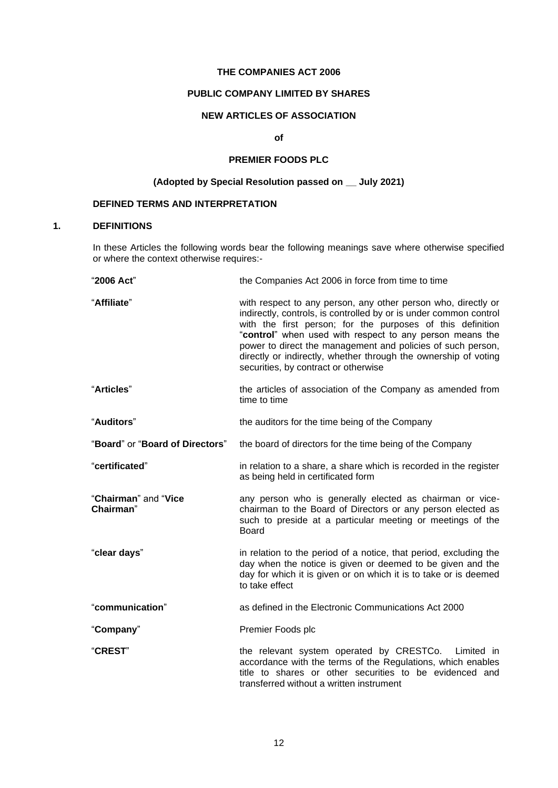### **THE COMPANIES ACT 2006**

# **PUBLIC COMPANY LIMITED BY SHARES**

# **NEW ARTICLES OF ASSOCIATION**

### **of**

# **PREMIER FOODS PLC**

# **(Adopted by Special Resolution passed on \_\_ July 2021)**

# **DEFINED TERMS AND INTERPRETATION**

## **1. DEFINITIONS**

In these Articles the following words bear the following meanings save where otherwise specified or where the context otherwise requires:-

| "2006 Act"                        | the Companies Act 2006 in force from time to time                                                                                                                                                                                                                                                                                                                                                                                      |
|-----------------------------------|----------------------------------------------------------------------------------------------------------------------------------------------------------------------------------------------------------------------------------------------------------------------------------------------------------------------------------------------------------------------------------------------------------------------------------------|
| "Affiliate"                       | with respect to any person, any other person who, directly or<br>indirectly, controls, is controlled by or is under common control<br>with the first person; for the purposes of this definition<br>"control" when used with respect to any person means the<br>power to direct the management and policies of such person,<br>directly or indirectly, whether through the ownership of voting<br>securities, by contract or otherwise |
| "Articles"                        | the articles of association of the Company as amended from<br>time to time                                                                                                                                                                                                                                                                                                                                                             |
| "Auditors"                        | the auditors for the time being of the Company                                                                                                                                                                                                                                                                                                                                                                                         |
| "Board" or "Board of Directors"   | the board of directors for the time being of the Company                                                                                                                                                                                                                                                                                                                                                                               |
| "certificated"                    | in relation to a share, a share which is recorded in the register<br>as being held in certificated form                                                                                                                                                                                                                                                                                                                                |
| "Chairman" and "Vice<br>Chairman" | any person who is generally elected as chairman or vice-<br>chairman to the Board of Directors or any person elected as<br>such to preside at a particular meeting or meetings of the<br><b>Board</b>                                                                                                                                                                                                                                  |
| "clear days"                      | in relation to the period of a notice, that period, excluding the<br>day when the notice is given or deemed to be given and the<br>day for which it is given or on which it is to take or is deemed<br>to take effect                                                                                                                                                                                                                  |
| "communication"                   | as defined in the Electronic Communications Act 2000                                                                                                                                                                                                                                                                                                                                                                                   |
| "Company"                         | Premier Foods plc                                                                                                                                                                                                                                                                                                                                                                                                                      |
| "CREST"                           | the relevant system operated by CRESTCo.<br>Limited in<br>accordance with the terms of the Regulations, which enables<br>title to shares or other securities to be evidenced and<br>transferred without a written instrument                                                                                                                                                                                                           |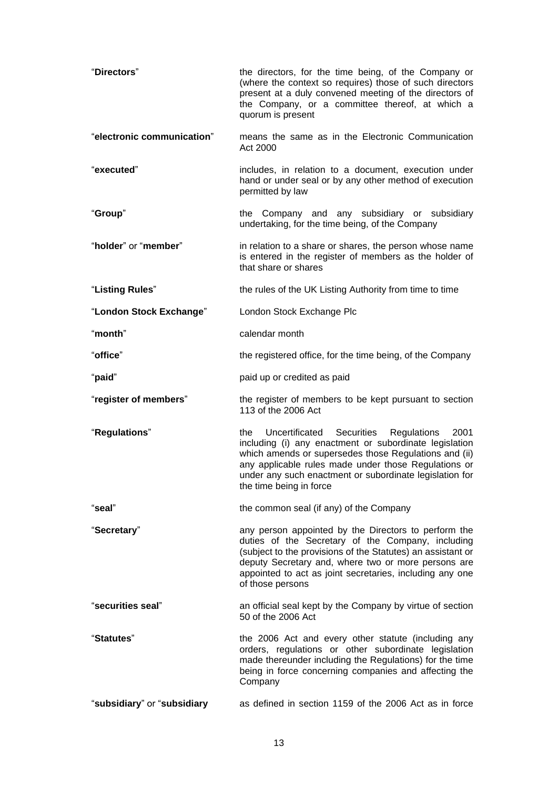| "Directors"                 | the directors, for the time being, of the Company or<br>(where the context so requires) those of such directors<br>present at a duly convened meeting of the directors of<br>the Company, or a committee thereof, at which a<br>quorum is present                                                                        |
|-----------------------------|--------------------------------------------------------------------------------------------------------------------------------------------------------------------------------------------------------------------------------------------------------------------------------------------------------------------------|
| "electronic communication"  | means the same as in the Electronic Communication<br>Act 2000                                                                                                                                                                                                                                                            |
| "executed"                  | includes, in relation to a document, execution under<br>hand or under seal or by any other method of execution<br>permitted by law                                                                                                                                                                                       |
| "Group"                     | the Company and any subsidiary or subsidiary<br>undertaking, for the time being, of the Company                                                                                                                                                                                                                          |
| "holder" or "member"        | in relation to a share or shares, the person whose name<br>is entered in the register of members as the holder of<br>that share or shares                                                                                                                                                                                |
| "Listing Rules"             | the rules of the UK Listing Authority from time to time                                                                                                                                                                                                                                                                  |
| "London Stock Exchange"     | London Stock Exchange Plc                                                                                                                                                                                                                                                                                                |
| "month"                     | calendar month                                                                                                                                                                                                                                                                                                           |
| "office"                    | the registered office, for the time being, of the Company                                                                                                                                                                                                                                                                |
| "paid"                      | paid up or credited as paid                                                                                                                                                                                                                                                                                              |
| "register of members"       | the register of members to be kept pursuant to section<br>113 of the 2006 Act                                                                                                                                                                                                                                            |
| "Regulations"               | Uncertificated Securities<br>Regulations<br>2001<br>the<br>including (i) any enactment or subordinate legislation<br>which amends or supersedes those Regulations and (ii)<br>any applicable rules made under those Regulations or<br>under any such enactment or subordinate legislation for<br>the time being in force |
| "seal"                      | the common seal (if any) of the Company                                                                                                                                                                                                                                                                                  |
| "Secretary"                 | any person appointed by the Directors to perform the<br>duties of the Secretary of the Company, including<br>(subject to the provisions of the Statutes) an assistant or<br>deputy Secretary and, where two or more persons are<br>appointed to act as joint secretaries, including any one<br>of those persons          |
| "securities seal"           | an official seal kept by the Company by virtue of section<br>50 of the 2006 Act                                                                                                                                                                                                                                          |
| "Statutes"                  | the 2006 Act and every other statute (including any<br>orders, regulations or other subordinate legislation<br>made thereunder including the Regulations) for the time<br>being in force concerning companies and affecting the<br>Company                                                                               |
| "subsidiary" or "subsidiary | as defined in section 1159 of the 2006 Act as in force                                                                                                                                                                                                                                                                   |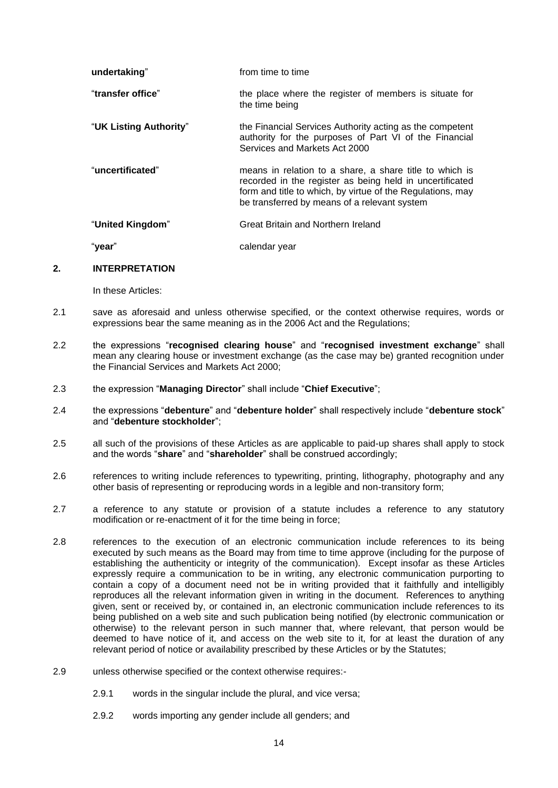| undertaking"           | from time to time                                                                                                                                                                                                                 |
|------------------------|-----------------------------------------------------------------------------------------------------------------------------------------------------------------------------------------------------------------------------------|
| "transfer office"      | the place where the register of members is situate for<br>the time being                                                                                                                                                          |
| "UK Listing Authority" | the Financial Services Authority acting as the competent<br>authority for the purposes of Part VI of the Financial<br>Services and Markets Act 2000                                                                               |
| "uncertificated"       | means in relation to a share, a share title to which is<br>recorded in the register as being held in uncertificated<br>form and title to which, by virtue of the Regulations, may<br>be transferred by means of a relevant system |
| "United Kingdom"       | Great Britain and Northern Ireland                                                                                                                                                                                                |
| "vear"                 | calendar year                                                                                                                                                                                                                     |

#### **2. INTERPRETATION**

In these Articles:

- 2.1 save as aforesaid and unless otherwise specified, or the context otherwise requires, words or expressions bear the same meaning as in the 2006 Act and the Regulations;
- 2.2 the expressions "**recognised clearing house**" and "**recognised investment exchange**" shall mean any clearing house or investment exchange (as the case may be) granted recognition under the Financial Services and Markets Act 2000;
- 2.3 the expression "**Managing Director**" shall include "**Chief Executive**";
- 2.4 the expressions "**debenture**" and "**debenture holder**" shall respectively include "**debenture stock**" and "**debenture stockholder**";
- 2.5 all such of the provisions of these Articles as are applicable to paid-up shares shall apply to stock and the words "**share**" and "**shareholder**" shall be construed accordingly;
- 2.6 references to writing include references to typewriting, printing, lithography, photography and any other basis of representing or reproducing words in a legible and non-transitory form;
- 2.7 a reference to any statute or provision of a statute includes a reference to any statutory modification or re-enactment of it for the time being in force;
- 2.8 references to the execution of an electronic communication include references to its being executed by such means as the Board may from time to time approve (including for the purpose of establishing the authenticity or integrity of the communication). Except insofar as these Articles expressly require a communication to be in writing, any electronic communication purporting to contain a copy of a document need not be in writing provided that it faithfully and intelligibly reproduces all the relevant information given in writing in the document. References to anything given, sent or received by, or contained in, an electronic communication include references to its being published on a web site and such publication being notified (by electronic communication or otherwise) to the relevant person in such manner that, where relevant, that person would be deemed to have notice of it, and access on the web site to it, for at least the duration of any relevant period of notice or availability prescribed by these Articles or by the Statutes;
- 2.9 unless otherwise specified or the context otherwise requires:-
	- 2.9.1 words in the singular include the plural, and vice versa;
	- 2.9.2 words importing any gender include all genders; and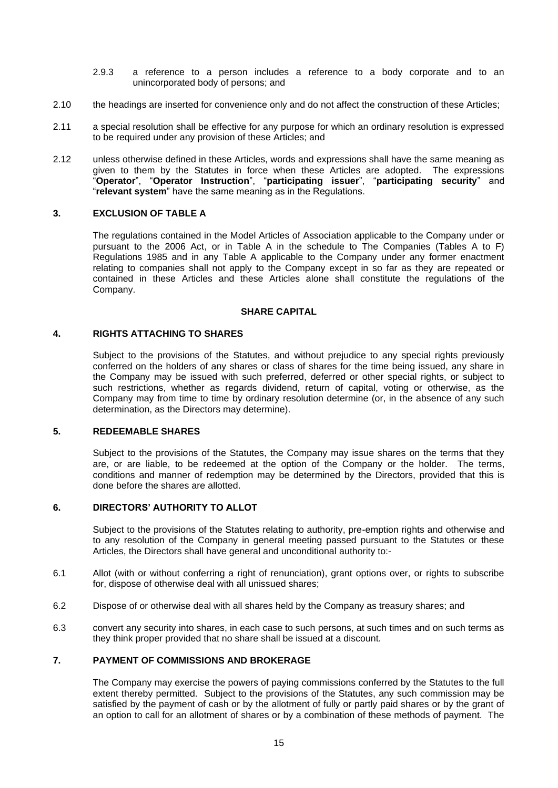- 2.9.3 a reference to a person includes a reference to a body corporate and to an unincorporated body of persons; and
- 2.10 the headings are inserted for convenience only and do not affect the construction of these Articles;
- 2.11 a special resolution shall be effective for any purpose for which an ordinary resolution is expressed to be required under any provision of these Articles; and
- 2.12 unless otherwise defined in these Articles, words and expressions shall have the same meaning as given to them by the Statutes in force when these Articles are adopted. The expressions "**Operator**", "**Operator Instruction**", "**participating issuer**", "**participating security**" and "**relevant system**" have the same meaning as in the Regulations.

### **3. EXCLUSION OF TABLE A**

The regulations contained in the Model Articles of Association applicable to the Company under or pursuant to the 2006 Act, or in Table A in the schedule to The Companies (Tables A to F) Regulations 1985 and in any Table A applicable to the Company under any former enactment relating to companies shall not apply to the Company except in so far as they are repeated or contained in these Articles and these Articles alone shall constitute the regulations of the Company.

### **SHARE CAPITAL**

#### **4. RIGHTS ATTACHING TO SHARES**

Subject to the provisions of the Statutes, and without prejudice to any special rights previously conferred on the holders of any shares or class of shares for the time being issued, any share in the Company may be issued with such preferred, deferred or other special rights, or subject to such restrictions, whether as regards dividend, return of capital, voting or otherwise, as the Company may from time to time by ordinary resolution determine (or, in the absence of any such determination, as the Directors may determine).

#### <span id="page-13-0"></span>**5. REDEEMABLE SHARES**

Subject to the provisions of the Statutes, the Company may issue shares on the terms that they are, or are liable, to be redeemed at the option of the Company or the holder. The terms, conditions and manner of redemption may be determined by the Directors, provided that this is done before the shares are allotted.

### **6. DIRECTORS' AUTHORITY TO ALLOT**

Subject to the provisions of the Statutes relating to authority, pre-emption rights and otherwise and to any resolution of the Company in general meeting passed pursuant to the Statutes or these Articles, the Directors shall have general and unconditional authority to:-

- 6.1 Allot (with or without conferring a right of renunciation), grant options over, or rights to subscribe for, dispose of otherwise deal with all unissued shares;
- 6.2 Dispose of or otherwise deal with all shares held by the Company as treasury shares; and
- 6.3 convert any security into shares, in each case to such persons, at such times and on such terms as they think proper provided that no share shall be issued at a discount.

# **7. PAYMENT OF COMMISSIONS AND BROKERAGE**

The Company may exercise the powers of paying commissions conferred by the Statutes to the full extent thereby permitted. Subject to the provisions of the Statutes, any such commission may be satisfied by the payment of cash or by the allotment of fully or partly paid shares or by the grant of an option to call for an allotment of shares or by a combination of these methods of payment. The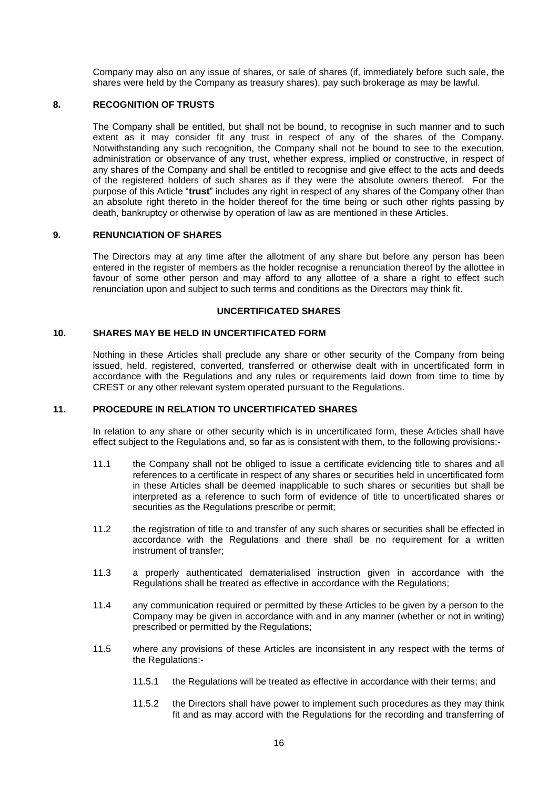Company may also on any issue of shares, or sale of shares (if, immediately before such sale, the shares were held by the Company as treasury shares), pay such brokerage as may be lawful.

## **8. RECOGNITION OF TRUSTS**

The Company shall be entitled, but shall not be bound, to recognise in such manner and to such extent as it may consider fit any trust in respect of any of the shares of the Company. Notwithstanding any such recognition, the Company shall not be bound to see to the execution, administration or observance of any trust, whether express, implied or constructive, in respect of any shares of the Company and shall be entitled to recognise and give effect to the acts and deeds of the registered holders of such shares as if they were the absolute owners thereof. For the purpose of this Article "**trust**" includes any right in respect of any shares of the Company other than an absolute right thereto in the holder thereof for the time being or such other rights passing by death, bankruptcy or otherwise by operation of law as are mentioned in these Articles.

#### **9. RENUNCIATION OF SHARES**

The Directors may at any time after the allotment of any share but before any person has been entered in the register of members as the holder recognise a renunciation thereof by the allottee in favour of some other person and may afford to any allottee of a share a right to effect such renunciation upon and subject to such terms and conditions as the Directors may think fit.

#### **UNCERTIFICATED SHARES**

# <span id="page-14-0"></span>**10. SHARES MAY BE HELD IN UNCERTIFICATED FORM**

Nothing in these Articles shall preclude any share or other security of the Company from being issued, held, registered, converted, transferred or otherwise dealt with in uncertificated form in accordance with the Regulations and any rules or requirements laid down from time to time by CREST or any other relevant system operated pursuant to the Regulations.

### <span id="page-14-1"></span>**11. PROCEDURE IN RELATION TO UNCERTIFICATED SHARES**

In relation to any share or other security which is in uncertificated form, these Articles shall have effect subject to the Regulations and, so far as is consistent with them, to the following provisions:-

- 11.1 the Company shall not be obliged to issue a certificate evidencing title to shares and all references to a certificate in respect of any shares or securities held in uncertificated form in these Articles shall be deemed inapplicable to such shares or securities but shall be interpreted as a reference to such form of evidence of title to uncertificated shares or securities as the Regulations prescribe or permit;
- 11.2 the registration of title to and transfer of any such shares or securities shall be effected in accordance with the Regulations and there shall be no requirement for a written instrument of transfer;
- 11.3 a properly authenticated dematerialised instruction given in accordance with the Regulations shall be treated as effective in accordance with the Regulations;
- 11.4 any communication required or permitted by these Articles to be given by a person to the Company may be given in accordance with and in any manner (whether or not in writing) prescribed or permitted by the Regulations;
- 11.5 where any provisions of these Articles are inconsistent in any respect with the terms of the Regulations:-
	- 11.5.1 the Regulations will be treated as effective in accordance with their terms; and
	- 11.5.2 the Directors shall have power to implement such procedures as they may think fit and as may accord with the Regulations for the recording and transferring of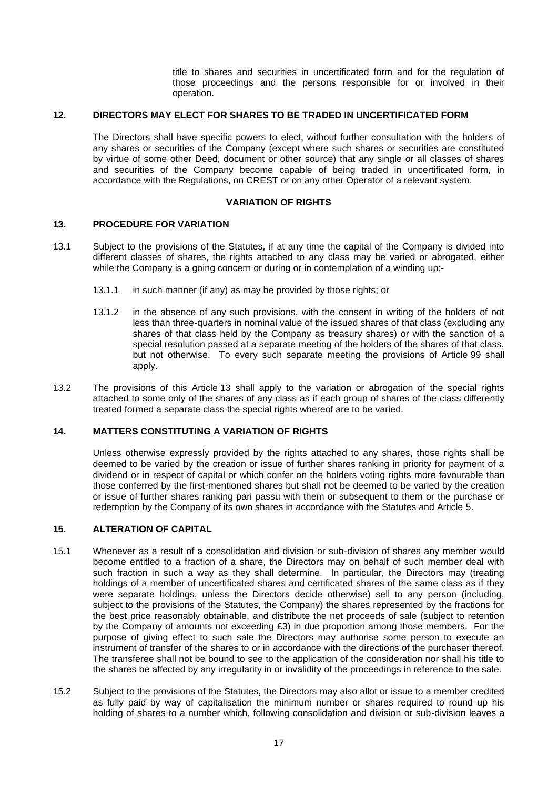title to shares and securities in uncertificated form and for the regulation of those proceedings and the persons responsible for or involved in their operation.

## <span id="page-15-1"></span>**12. DIRECTORS MAY ELECT FOR SHARES TO BE TRADED IN UNCERTIFICATED FORM**

The Directors shall have specific powers to elect, without further consultation with the holders of any shares or securities of the Company (except where such shares or securities are constituted by virtue of some other Deed, document or other source) that any single or all classes of shares and securities of the Company become capable of being traded in uncertificated form, in accordance with the Regulations, on CREST or on any other Operator of a relevant system.

### **VARIATION OF RIGHTS**

### <span id="page-15-0"></span>**13. PROCEDURE FOR VARIATION**

- 13.1 Subject to the provisions of the Statutes, if at any time the capital of the Company is divided into different classes of shares, the rights attached to any class may be varied or abrogated, either while the Company is a going concern or during or in contemplation of a winding up:-
	- 13.1.1 in such manner (if any) as may be provided by those rights; or
	- 13.1.2 in the absence of any such provisions, with the consent in writing of the holders of not less than three-quarters in nominal value of the issued shares of that class (excluding any shares of that class held by the Company as treasury shares) or with the sanction of a special resolution passed at a separate meeting of the holders of the shares of that class, but not otherwise. To every such separate meeting the provisions of Article [99](#page-35-0) shall apply.
- 13.2 The provisions of this Article [13](#page-15-0) shall apply to the variation or abrogation of the special rights attached to some only of the shares of any class as if each group of shares of the class differently treated formed a separate class the special rights whereof are to be varied.

#### **14. MATTERS CONSTITUTING A VARIATION OF RIGHTS**

Unless otherwise expressly provided by the rights attached to any shares, those rights shall be deemed to be varied by the creation or issue of further shares ranking in priority for payment of a dividend or in respect of capital or which confer on the holders voting rights more favourable than those conferred by the first-mentioned shares but shall not be deemed to be varied by the creation or issue of further shares ranking pari passu with them or subsequent to them or the purchase or redemption by the Company of its own shares in accordance with the Statutes and Article [5.](#page-13-0)

#### **15. ALTERATION OF CAPITAL**

- 15.1 Whenever as a result of a consolidation and division or sub-division of shares any member would become entitled to a fraction of a share, the Directors may on behalf of such member deal with such fraction in such a way as they shall determine. In particular, the Directors may (treating holdings of a member of uncertificated shares and certificated shares of the same class as if they were separate holdings, unless the Directors decide otherwise) sell to any person (including, subject to the provisions of the Statutes, the Company) the shares represented by the fractions for the best price reasonably obtainable, and distribute the net proceeds of sale (subject to retention by the Company of amounts not exceeding £3) in due proportion among those members. For the purpose of giving effect to such sale the Directors may authorise some person to execute an instrument of transfer of the shares to or in accordance with the directions of the purchaser thereof. The transferee shall not be bound to see to the application of the consideration nor shall his title to the shares be affected by any irregularity in or invalidity of the proceedings in reference to the sale.
- 15.2 Subject to the provisions of the Statutes, the Directors may also allot or issue to a member credited as fully paid by way of capitalisation the minimum number or shares required to round up his holding of shares to a number which, following consolidation and division or sub-division leaves a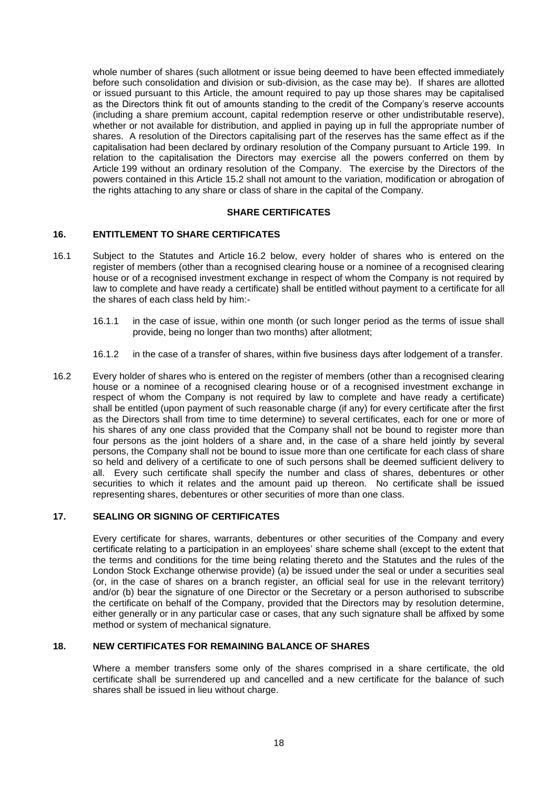whole number of shares (such allotment or issue being deemed to have been effected immediately before such consolidation and division or sub-division, as the case may be). If shares are allotted or issued pursuant to this Article, the amount required to pay up those shares may be capitalised as the Directors think fit out of amounts standing to the credit of the Company's reserve accounts (including a share premium account, capital redemption reserve or other undistributable reserve), whether or not available for distribution, and applied in paying up in full the appropriate number of shares. A resolution of the Directors capitalising part of the reserves has the same effect as if the capitalisation had been declared by ordinary resolution of the Company pursuant to Article 199. In relation to the capitalisation the Directors may exercise all the powers conferred on them by Article 199 without an ordinary resolution of the Company. The exercise by the Directors of the powers contained in this Article 15.2 shall not amount to the variation, modification or abrogation of the rights attaching to any share or class of share in the capital of the Company.

### **SHARE CERTIFICATES**

### <span id="page-16-2"></span>**16. ENTITLEMENT TO SHARE CERTIFICATES**

- 16.1 Subject to the Statutes and Article [16.2](#page-16-0) below, every holder of shares who is entered on the register of members (other than a recognised clearing house or a nominee of a recognised clearing house or of a recognised investment exchange in respect of whom the Company is not required by law to complete and have ready a certificate) shall be entitled without payment to a certificate for all the shares of each class held by him:-
	- 16.1.1 in the case of issue, within one month (or such longer period as the terms of issue shall provide, being no longer than two months) after allotment;
	- 16.1.2 in the case of a transfer of shares, within five business days after lodgement of a transfer.
- <span id="page-16-0"></span>16.2 Every holder of shares who is entered on the register of members (other than a recognised clearing house or a nominee of a recognised clearing house or of a recognised investment exchange in respect of whom the Company is not required by law to complete and have ready a certificate) shall be entitled (upon payment of such reasonable charge (if any) for every certificate after the first as the Directors shall from time to time determine) to several certificates, each for one or more of his shares of any one class provided that the Company shall not be bound to register more than four persons as the joint holders of a share and, in the case of a share held jointly by several persons, the Company shall not be bound to issue more than one certificate for each class of share so held and delivery of a certificate to one of such persons shall be deemed sufficient delivery to all. Every such certificate shall specify the number and class of shares, debentures or other securities to which it relates and the amount paid up thereon. No certificate shall be issued representing shares, debentures or other securities of more than one class.

# <span id="page-16-3"></span>**17. SEALING OR SIGNING OF CERTIFICATES**

Every certificate for shares, warrants, debentures or other securities of the Company and every certificate relating to a participation in an employees' share scheme shall (except to the extent that the terms and conditions for the time being relating thereto and the Statutes and the rules of the London Stock Exchange otherwise provide) (a) be issued under the seal or under a securities seal (or, in the case of shares on a branch register, an official seal for use in the relevant territory) and/or (b) bear the signature of one Director or the Secretary or a person authorised to subscribe the certificate on behalf of the Company, provided that the Directors may by resolution determine, either generally or in any particular case or cases, that any such signature shall be affixed by some method or system of mechanical signature.

#### <span id="page-16-1"></span>**18. NEW CERTIFICATES FOR REMAINING BALANCE OF SHARES**

Where a member transfers some only of the shares comprised in a share certificate, the old certificate shall be surrendered up and cancelled and a new certificate for the balance of such shares shall be issued in lieu without charge.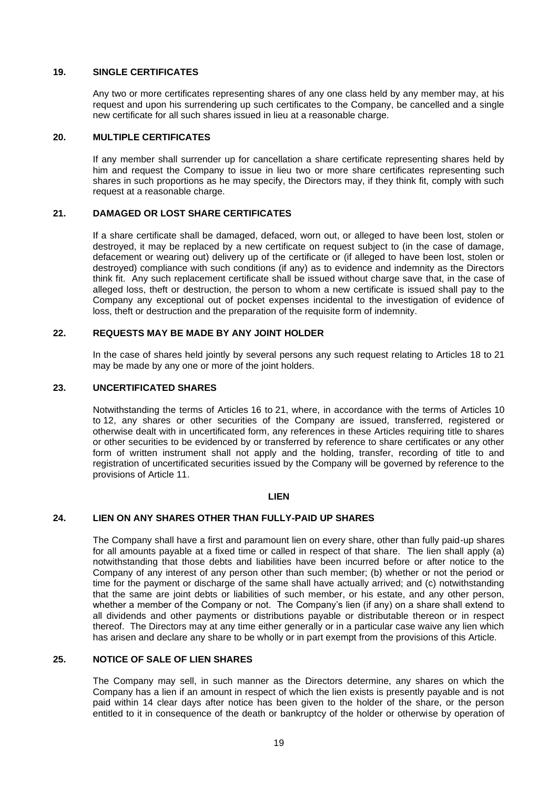### **19. SINGLE CERTIFICATES**

Any two or more certificates representing shares of any one class held by any member may, at his request and upon his surrendering up such certificates to the Company, be cancelled and a single new certificate for all such shares issued in lieu at a reasonable charge.

### **20. MULTIPLE CERTIFICATES**

If any member shall surrender up for cancellation a share certificate representing shares held by him and request the Company to issue in lieu two or more share certificates representing such shares in such proportions as he may specify, the Directors may, if they think fit, comply with such request at a reasonable charge.

### <span id="page-17-0"></span>**21. DAMAGED OR LOST SHARE CERTIFICATES**

If a share certificate shall be damaged, defaced, worn out, or alleged to have been lost, stolen or destroyed, it may be replaced by a new certificate on request subject to (in the case of damage, defacement or wearing out) delivery up of the certificate or (if alleged to have been lost, stolen or destroyed) compliance with such conditions (if any) as to evidence and indemnity as the Directors think fit. Any such replacement certificate shall be issued without charge save that, in the case of alleged loss, theft or destruction, the person to whom a new certificate is issued shall pay to the Company any exceptional out of pocket expenses incidental to the investigation of evidence of loss, theft or destruction and the preparation of the requisite form of indemnity.

# **22. REQUESTS MAY BE MADE BY ANY JOINT HOLDER**

In the case of shares held jointly by several persons any such request relating to Articles [18](#page-16-1) to [21](#page-17-0) may be made by any one or more of the joint holders.

### **23. UNCERTIFICATED SHARES**

Notwithstanding the terms of Articles [16](#page-16-2) to [21,](#page-17-0) where, in accordance with the terms of Articles [10](#page-14-0) to [12,](#page-15-1) any shares or other securities of the Company are issued, transferred, registered or otherwise dealt with in uncertificated form, any references in these Articles requiring title to shares or other securities to be evidenced by or transferred by reference to share certificates or any other form of written instrument shall not apply and the holding, transfer, recording of title to and registration of uncertificated securities issued by the Company will be governed by reference to the provisions of Article [11.](#page-14-1)

#### **LIEN**

# **24. LIEN ON ANY SHARES OTHER THAN FULLY-PAID UP SHARES**

The Company shall have a first and paramount lien on every share, other than fully paid-up shares for all amounts payable at a fixed time or called in respect of that share. The lien shall apply (a) notwithstanding that those debts and liabilities have been incurred before or after notice to the Company of any interest of any person other than such member; (b) whether or not the period or time for the payment or discharge of the same shall have actually arrived; and (c) notwithstanding that the same are joint debts or liabilities of such member, or his estate, and any other person, whether a member of the Company or not. The Company's lien (if any) on a share shall extend to all dividends and other payments or distributions payable or distributable thereon or in respect thereof. The Directors may at any time either generally or in a particular case waive any lien which has arisen and declare any share to be wholly or in part exempt from the provisions of this Article.

### **25. NOTICE OF SALE OF LIEN SHARES**

The Company may sell, in such manner as the Directors determine, any shares on which the Company has a lien if an amount in respect of which the lien exists is presently payable and is not paid within 14 clear days after notice has been given to the holder of the share, or the person entitled to it in consequence of the death or bankruptcy of the holder or otherwise by operation of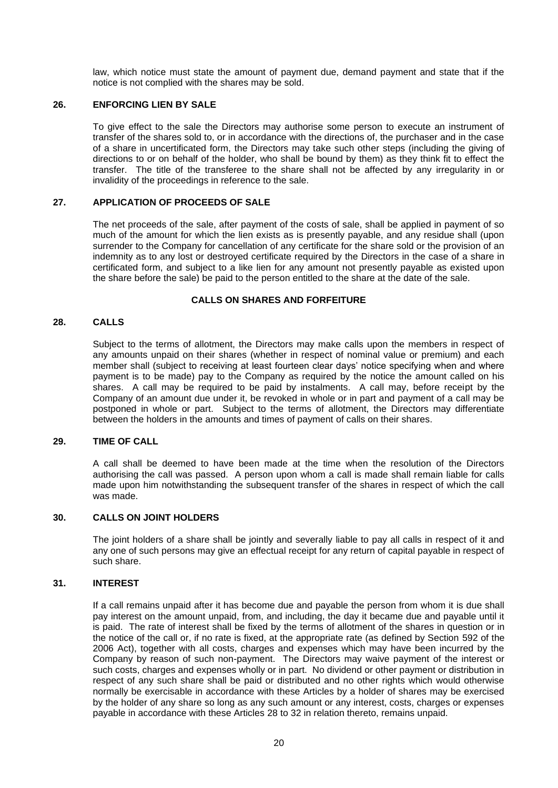law, which notice must state the amount of payment due, demand payment and state that if the notice is not complied with the shares may be sold.

## **26. ENFORCING LIEN BY SALE**

To give effect to the sale the Directors may authorise some person to execute an instrument of transfer of the shares sold to, or in accordance with the directions of, the purchaser and in the case of a share in uncertificated form, the Directors may take such other steps (including the giving of directions to or on behalf of the holder, who shall be bound by them) as they think fit to effect the transfer. The title of the transferee to the share shall not be affected by any irregularity in or invalidity of the proceedings in reference to the sale.

### **27. APPLICATION OF PROCEEDS OF SALE**

The net proceeds of the sale, after payment of the costs of sale, shall be applied in payment of so much of the amount for which the lien exists as is presently payable, and any residue shall (upon surrender to the Company for cancellation of any certificate for the share sold or the provision of an indemnity as to any lost or destroyed certificate required by the Directors in the case of a share in certificated form, and subject to a like lien for any amount not presently payable as existed upon the share before the sale) be paid to the person entitled to the share at the date of the sale.

#### **CALLS ON SHARES AND FORFEITURE**

### <span id="page-18-0"></span>**28. CALLS**

Subject to the terms of allotment, the Directors may make calls upon the members in respect of any amounts unpaid on their shares (whether in respect of nominal value or premium) and each member shall (subject to receiving at least fourteen clear days' notice specifying when and where payment is to be made) pay to the Company as required by the notice the amount called on his shares. A call may be required to be paid by instalments. A call may, before receipt by the Company of an amount due under it, be revoked in whole or in part and payment of a call may be postponed in whole or part. Subject to the terms of allotment, the Directors may differentiate between the holders in the amounts and times of payment of calls on their shares.

#### **29. TIME OF CALL**

A call shall be deemed to have been made at the time when the resolution of the Directors authorising the call was passed. A person upon whom a call is made shall remain liable for calls made upon him notwithstanding the subsequent transfer of the shares in respect of which the call was made.

#### **30. CALLS ON JOINT HOLDERS**

The joint holders of a share shall be jointly and severally liable to pay all calls in respect of it and any one of such persons may give an effectual receipt for any return of capital payable in respect of such share.

#### **31. INTEREST**

If a call remains unpaid after it has become due and payable the person from whom it is due shall pay interest on the amount unpaid, from, and including, the day it became due and payable until it is paid. The rate of interest shall be fixed by the terms of allotment of the shares in question or in the notice of the call or, if no rate is fixed, at the appropriate rate (as defined by Section 592 of the 2006 Act), together with all costs, charges and expenses which may have been incurred by the Company by reason of such non-payment. The Directors may waive payment of the interest or such costs, charges and expenses wholly or in part. No dividend or other payment or distribution in respect of any such share shall be paid or distributed and no other rights which would otherwise normally be exercisable in accordance with these Articles by a holder of shares may be exercised by the holder of any share so long as any such amount or any interest, costs, charges or expenses payable in accordance with these Articles [28](#page-18-0) to [32](#page-19-0) in relation thereto, remains unpaid.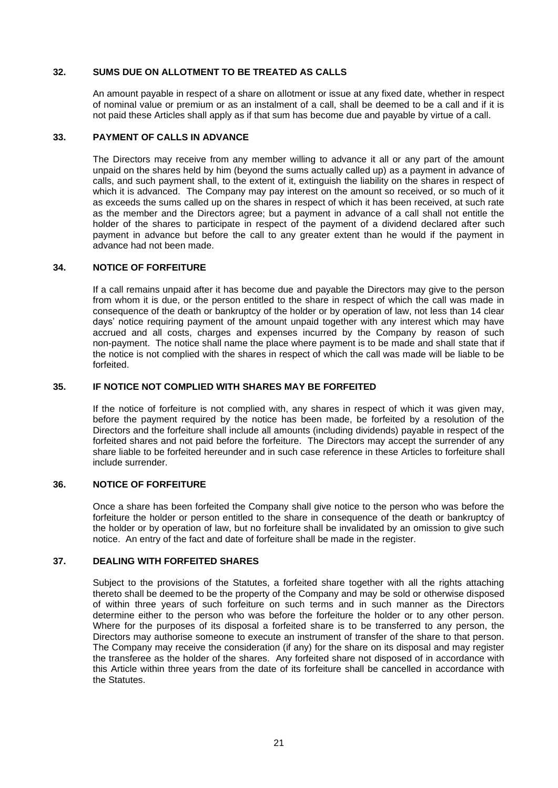## <span id="page-19-0"></span>**32. SUMS DUE ON ALLOTMENT TO BE TREATED AS CALLS**

An amount payable in respect of a share on allotment or issue at any fixed date, whether in respect of nominal value or premium or as an instalment of a call, shall be deemed to be a call and if it is not paid these Articles shall apply as if that sum has become due and payable by virtue of a call.

#### **33. PAYMENT OF CALLS IN ADVANCE**

The Directors may receive from any member willing to advance it all or any part of the amount unpaid on the shares held by him (beyond the sums actually called up) as a payment in advance of calls, and such payment shall, to the extent of it, extinguish the liability on the shares in respect of which it is advanced. The Company may pay interest on the amount so received, or so much of it as exceeds the sums called up on the shares in respect of which it has been received, at such rate as the member and the Directors agree; but a payment in advance of a call shall not entitle the holder of the shares to participate in respect of the payment of a dividend declared after such payment in advance but before the call to any greater extent than he would if the payment in advance had not been made.

### **34. NOTICE OF FORFEITURE**

If a call remains unpaid after it has become due and payable the Directors may give to the person from whom it is due, or the person entitled to the share in respect of which the call was made in consequence of the death or bankruptcy of the holder or by operation of law, not less than 14 clear days' notice requiring payment of the amount unpaid together with any interest which may have accrued and all costs, charges and expenses incurred by the Company by reason of such non-payment. The notice shall name the place where payment is to be made and shall state that if the notice is not complied with the shares in respect of which the call was made will be liable to be forfeited.

### **35. IF NOTICE NOT COMPLIED WITH SHARES MAY BE FORFEITED**

If the notice of forfeiture is not complied with, any shares in respect of which it was given may, before the payment required by the notice has been made, be forfeited by a resolution of the Directors and the forfeiture shall include all amounts (including dividends) payable in respect of the forfeited shares and not paid before the forfeiture. The Directors may accept the surrender of any share liable to be forfeited hereunder and in such case reference in these Articles to forfeiture shall include surrender.

# **36. NOTICE OF FORFEITURE**

Once a share has been forfeited the Company shall give notice to the person who was before the forfeiture the holder or person entitled to the share in consequence of the death or bankruptcy of the holder or by operation of law, but no forfeiture shall be invalidated by an omission to give such notice. An entry of the fact and date of forfeiture shall be made in the register.

# **37. DEALING WITH FORFEITED SHARES**

Subject to the provisions of the Statutes, a forfeited share together with all the rights attaching thereto shall be deemed to be the property of the Company and may be sold or otherwise disposed of within three years of such forfeiture on such terms and in such manner as the Directors determine either to the person who was before the forfeiture the holder or to any other person. Where for the purposes of its disposal a forfeited share is to be transferred to any person, the Directors may authorise someone to execute an instrument of transfer of the share to that person. The Company may receive the consideration (if any) for the share on its disposal and may register the transferee as the holder of the shares. Any forfeited share not disposed of in accordance with this Article within three years from the date of its forfeiture shall be cancelled in accordance with the Statutes.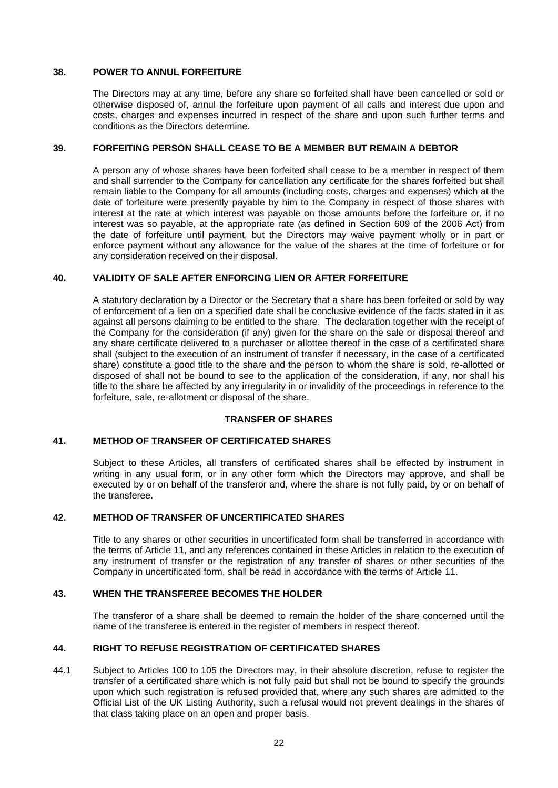### **38. POWER TO ANNUL FORFEITURE**

The Directors may at any time, before any share so forfeited shall have been cancelled or sold or otherwise disposed of, annul the forfeiture upon payment of all calls and interest due upon and costs, charges and expenses incurred in respect of the share and upon such further terms and conditions as the Directors determine.

## **39. FORFEITING PERSON SHALL CEASE TO BE A MEMBER BUT REMAIN A DEBTOR**

A person any of whose shares have been forfeited shall cease to be a member in respect of them and shall surrender to the Company for cancellation any certificate for the shares forfeited but shall remain liable to the Company for all amounts (including costs, charges and expenses) which at the date of forfeiture were presently payable by him to the Company in respect of those shares with interest at the rate at which interest was payable on those amounts before the forfeiture or, if no interest was so payable, at the appropriate rate (as defined in Section 609 of the 2006 Act) from the date of forfeiture until payment, but the Directors may waive payment wholly or in part or enforce payment without any allowance for the value of the shares at the time of forfeiture or for any consideration received on their disposal.

### **40. VALIDITY OF SALE AFTER ENFORCING LIEN OR AFTER FORFEITURE**

A statutory declaration by a Director or the Secretary that a share has been forfeited or sold by way of enforcement of a lien on a specified date shall be conclusive evidence of the facts stated in it as against all persons claiming to be entitled to the share. The declaration together with the receipt of the Company for the consideration (if any) given for the share on the sale or disposal thereof and any share certificate delivered to a purchaser or allottee thereof in the case of a certificated share shall (subject to the execution of an instrument of transfer if necessary, in the case of a certificated share) constitute a good title to the share and the person to whom the share is sold, re-allotted or disposed of shall not be bound to see to the application of the consideration, if any, nor shall his title to the share be affected by any irregularity in or invalidity of the proceedings in reference to the forfeiture, sale, re-allotment or disposal of the share.

# **TRANSFER OF SHARES**

# **41. METHOD OF TRANSFER OF CERTIFICATED SHARES**

Subject to these Articles, all transfers of certificated shares shall be effected by instrument in writing in any usual form, or in any other form which the Directors may approve, and shall be executed by or on behalf of the transferor and, where the share is not fully paid, by or on behalf of the transferee.

#### **42. METHOD OF TRANSFER OF UNCERTIFICATED SHARES**

Title to any shares or other securities in uncertificated form shall be transferred in accordance with the terms of Article [11,](#page-14-1) and any references contained in these Articles in relation to the execution of any instrument of transfer or the registration of any transfer of shares or other securities of the Company in uncertificated form, shall be read in accordance with the terms of Article [11.](#page-14-1)

### **43. WHEN THE TRANSFEREE BECOMES THE HOLDER**

The transferor of a share shall be deemed to remain the holder of the share concerned until the name of the transferee is entered in the register of members in respect thereof.

## <span id="page-20-0"></span>**44. RIGHT TO REFUSE REGISTRATION OF CERTIFICATED SHARES**

44.1 Subject to Articles [100](#page-36-0) to [105](#page-38-0) the Directors may, in their absolute discretion, refuse to register the transfer of a certificated share which is not fully paid but shall not be bound to specify the grounds upon which such registration is refused provided that, where any such shares are admitted to the Official List of the UK Listing Authority, such a refusal would not prevent dealings in the shares of that class taking place on an open and proper basis.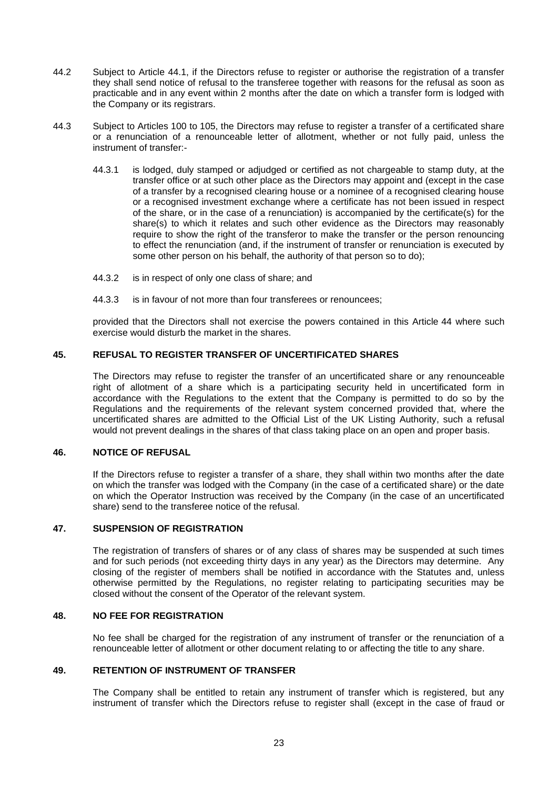- 44.2 Subject to Article 44.1, if the Directors refuse to register or authorise the registration of a transfer they shall send notice of refusal to the transferee together with reasons for the refusal as soon as practicable and in any event within 2 months after the date on which a transfer form is lodged with the Company or its registrars.
- 44.3 Subject to Articles [100](#page-36-0) to [105,](#page-38-0) the Directors may refuse to register a transfer of a certificated share or a renunciation of a renounceable letter of allotment, whether or not fully paid, unless the instrument of transfer:-
	- 44.3.1 is lodged, duly stamped or adjudged or certified as not chargeable to stamp duty, at the transfer office or at such other place as the Directors may appoint and (except in the case of a transfer by a recognised clearing house or a nominee of a recognised clearing house or a recognised investment exchange where a certificate has not been issued in respect of the share, or in the case of a renunciation) is accompanied by the certificate(s) for the share(s) to which it relates and such other evidence as the Directors may reasonably require to show the right of the transferor to make the transfer or the person renouncing to effect the renunciation (and, if the instrument of transfer or renunciation is executed by some other person on his behalf, the authority of that person so to do);
	- 44.3.2 is in respect of only one class of share; and
	- 44.3.3 is in favour of not more than four transferees or renouncees;

provided that the Directors shall not exercise the powers contained in this Article [44](#page-20-0) where such exercise would disturb the market in the shares.

# **45. REFUSAL TO REGISTER TRANSFER OF UNCERTIFICATED SHARES**

The Directors may refuse to register the transfer of an uncertificated share or any renounceable right of allotment of a share which is a participating security held in uncertificated form in accordance with the Regulations to the extent that the Company is permitted to do so by the Regulations and the requirements of the relevant system concerned provided that, where the uncertificated shares are admitted to the Official List of the UK Listing Authority, such a refusal would not prevent dealings in the shares of that class taking place on an open and proper basis.

# **46. NOTICE OF REFUSAL**

If the Directors refuse to register a transfer of a share, they shall within two months after the date on which the transfer was lodged with the Company (in the case of a certificated share) or the date on which the Operator Instruction was received by the Company (in the case of an uncertificated share) send to the transferee notice of the refusal.

#### **47. SUSPENSION OF REGISTRATION**

The registration of transfers of shares or of any class of shares may be suspended at such times and for such periods (not exceeding thirty days in any year) as the Directors may determine. Any closing of the register of members shall be notified in accordance with the Statutes and, unless otherwise permitted by the Regulations, no register relating to participating securities may be closed without the consent of the Operator of the relevant system.

### **48. NO FEE FOR REGISTRATION**

No fee shall be charged for the registration of any instrument of transfer or the renunciation of a renounceable letter of allotment or other document relating to or affecting the title to any share.

# **49. RETENTION OF INSTRUMENT OF TRANSFER**

The Company shall be entitled to retain any instrument of transfer which is registered, but any instrument of transfer which the Directors refuse to register shall (except in the case of fraud or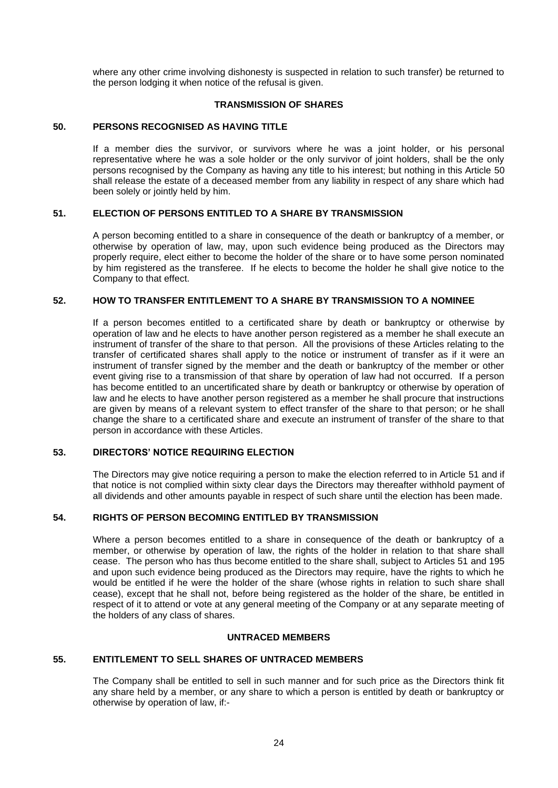where any other crime involving dishonesty is suspected in relation to such transfer) be returned to the person lodging it when notice of the refusal is given.

### **TRANSMISSION OF SHARES**

## **50. PERSONS RECOGNISED AS HAVING TITLE**

If a member dies the survivor, or survivors where he was a joint holder, or his personal representative where he was a sole holder or the only survivor of joint holders, shall be the only persons recognised by the Company as having any title to his interest; but nothing in this Article 50 shall release the estate of a deceased member from any liability in respect of any share which had been solely or jointly held by him.

### <span id="page-22-0"></span>**51. ELECTION OF PERSONS ENTITLED TO A SHARE BY TRANSMISSION**

A person becoming entitled to a share in consequence of the death or bankruptcy of a member, or otherwise by operation of law, may, upon such evidence being produced as the Directors may properly require, elect either to become the holder of the share or to have some person nominated by him registered as the transferee. If he elects to become the holder he shall give notice to the Company to that effect.

# **52. HOW TO TRANSFER ENTITLEMENT TO A SHARE BY TRANSMISSION TO A NOMINEE**

If a person becomes entitled to a certificated share by death or bankruptcy or otherwise by operation of law and he elects to have another person registered as a member he shall execute an instrument of transfer of the share to that person. All the provisions of these Articles relating to the transfer of certificated shares shall apply to the notice or instrument of transfer as if it were an instrument of transfer signed by the member and the death or bankruptcy of the member or other event giving rise to a transmission of that share by operation of law had not occurred. If a person has become entitled to an uncertificated share by death or bankruptcy or otherwise by operation of law and he elects to have another person registered as a member he shall procure that instructions are given by means of a relevant system to effect transfer of the share to that person; or he shall change the share to a certificated share and execute an instrument of transfer of the share to that person in accordance with these Articles.

# **53. DIRECTORS' NOTICE REQUIRING ELECTION**

The Directors may give notice requiring a person to make the election referred to in Article [51](#page-22-0) and if that notice is not complied within sixty clear days the Directors may thereafter withhold payment of all dividends and other amounts payable in respect of such share until the election has been made.

# **54. RIGHTS OF PERSON BECOMING ENTITLED BY TRANSMISSION**

Where a person becomes entitled to a share in consequence of the death or bankruptcy of a member, or otherwise by operation of law, the rights of the holder in relation to that share shall cease. The person who has thus become entitled to the share shall, subject to Articles [51](#page-22-0) and [195](#page-59-0) and upon such evidence being produced as the Directors may require, have the rights to which he would be entitled if he were the holder of the share (whose rights in relation to such share shall cease), except that he shall not, before being registered as the holder of the share, be entitled in respect of it to attend or vote at any general meeting of the Company or at any separate meeting of the holders of any class of shares.

# **UNTRACED MEMBERS**

#### <span id="page-22-1"></span>**55. ENTITLEMENT TO SELL SHARES OF UNTRACED MEMBERS**

The Company shall be entitled to sell in such manner and for such price as the Directors think fit any share held by a member, or any share to which a person is entitled by death or bankruptcy or otherwise by operation of law, if:-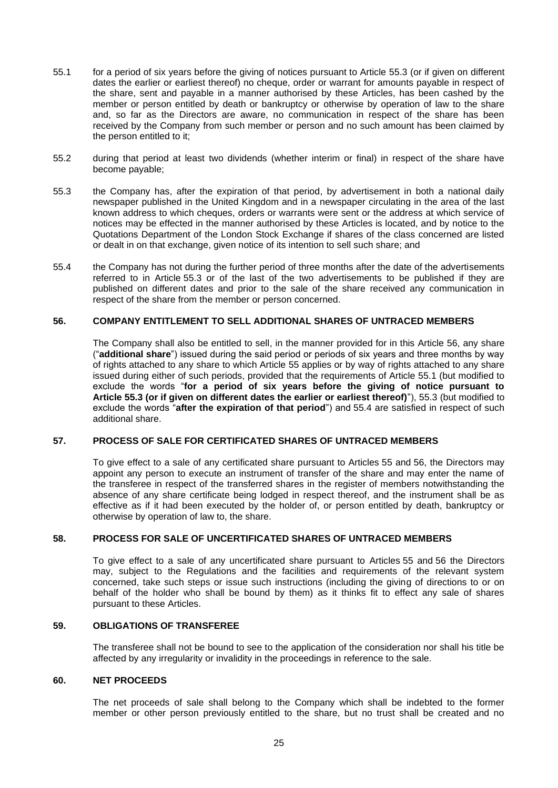- <span id="page-23-1"></span>55.1 for a period of six years before the giving of notices pursuant to Article [55.3](#page-23-0) (or if given on different dates the earlier or earliest thereof) no cheque, order or warrant for amounts payable in respect of the share, sent and payable in a manner authorised by these Articles, has been cashed by the member or person entitled by death or bankruptcy or otherwise by operation of law to the share and, so far as the Directors are aware, no communication in respect of the share has been received by the Company from such member or person and no such amount has been claimed by the person entitled to it;
- 55.2 during that period at least two dividends (whether interim or final) in respect of the share have become payable;
- <span id="page-23-0"></span>55.3 the Company has, after the expiration of that period, by advertisement in both a national daily newspaper published in the United Kingdom and in a newspaper circulating in the area of the last known address to which cheques, orders or warrants were sent or the address at which service of notices may be effected in the manner authorised by these Articles is located, and by notice to the Quotations Department of the London Stock Exchange if shares of the class concerned are listed or dealt in on that exchange, given notice of its intention to sell such share; and
- <span id="page-23-2"></span>55.4 the Company has not during the further period of three months after the date of the advertisements referred to in Article [55.3](#page-23-0) or of the last of the two advertisements to be published if they are published on different dates and prior to the sale of the share received any communication in respect of the share from the member or person concerned.

# <span id="page-23-3"></span>**56. COMPANY ENTITLEMENT TO SELL ADDITIONAL SHARES OF UNTRACED MEMBERS**

The Company shall also be entitled to sell, in the manner provided for in this Article 56, any share ("**additional share**") issued during the said period or periods of six years and three months by way of rights attached to any share to which Article [55](#page-22-1) applies or by way of rights attached to any share issued during either of such periods, provided that the requirements of Article [55.1](#page-23-1) (but modified to exclude the words "**for a period of six years before the giving of notice pursuant to Article [55.3](#page-23-0) (or if given on different dates the earlier or earliest thereof)**"), [55.3](#page-23-0) (but modified to exclude the words "**after the expiration of that period**") and [55.4](#page-23-2) are satisfied in respect of such additional share.

# **57. PROCESS OF SALE FOR CERTIFICATED SHARES OF UNTRACED MEMBERS**

To give effect to a sale of any certificated share pursuant to Articles [55](#page-22-1) and [56,](#page-23-3) the Directors may appoint any person to execute an instrument of transfer of the share and may enter the name of the transferee in respect of the transferred shares in the register of members notwithstanding the absence of any share certificate being lodged in respect thereof, and the instrument shall be as effective as if it had been executed by the holder of, or person entitled by death, bankruptcy or otherwise by operation of law to, the share.

# **58. PROCESS FOR SALE OF UNCERTIFICATED SHARES OF UNTRACED MEMBERS**

To give effect to a sale of any uncertificated share pursuant to Articles [55](#page-22-1) and [56](#page-23-3) the Directors may, subject to the Regulations and the facilities and requirements of the relevant system concerned, take such steps or issue such instructions (including the giving of directions to or on behalf of the holder who shall be bound by them) as it thinks fit to effect any sale of shares pursuant to these Articles.

# **59. OBLIGATIONS OF TRANSFEREE**

The transferee shall not be bound to see to the application of the consideration nor shall his title be affected by any irregularity or invalidity in the proceedings in reference to the sale.

### **60. NET PROCEEDS**

The net proceeds of sale shall belong to the Company which shall be indebted to the former member or other person previously entitled to the share, but no trust shall be created and no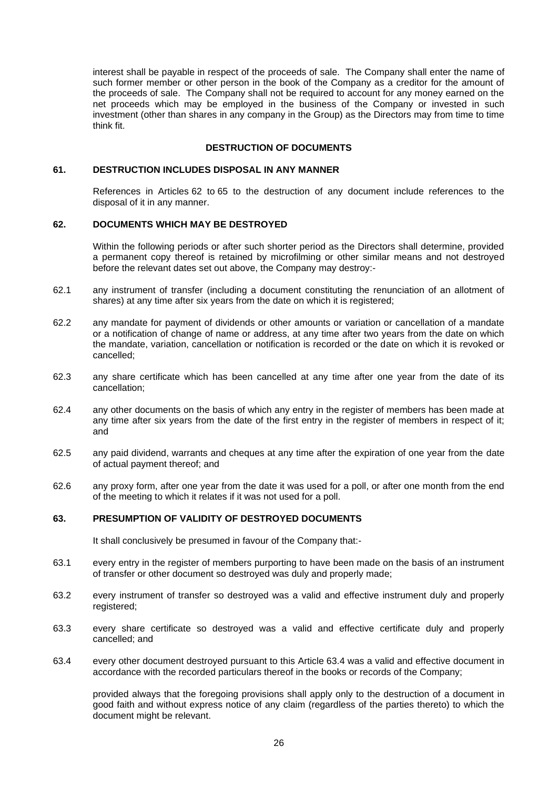interest shall be payable in respect of the proceeds of sale. The Company shall enter the name of such former member or other person in the book of the Company as a creditor for the amount of the proceeds of sale. The Company shall not be required to account for any money earned on the net proceeds which may be employed in the business of the Company or invested in such investment (other than shares in any company in the Group) as the Directors may from time to time think fit.

#### **DESTRUCTION OF DOCUMENTS**

#### **61. DESTRUCTION INCLUDES DISPOSAL IN ANY MANNER**

References in Articles [62](#page-24-0) to [65](#page-25-0) to the destruction of any document include references to the disposal of it in any manner.

### <span id="page-24-0"></span>**62. DOCUMENTS WHICH MAY BE DESTROYED**

Within the following periods or after such shorter period as the Directors shall determine, provided a permanent copy thereof is retained by microfilming or other similar means and not destroyed before the relevant dates set out above, the Company may destroy:-

- 62.1 any instrument of transfer (including a document constituting the renunciation of an allotment of shares) at any time after six years from the date on which it is registered;
- 62.2 any mandate for payment of dividends or other amounts or variation or cancellation of a mandate or a notification of change of name or address, at any time after two years from the date on which the mandate, variation, cancellation or notification is recorded or the date on which it is revoked or cancelled;
- 62.3 any share certificate which has been cancelled at any time after one year from the date of its cancellation;
- 62.4 any other documents on the basis of which any entry in the register of members has been made at any time after six years from the date of the first entry in the register of members in respect of it; and
- 62.5 any paid dividend, warrants and cheques at any time after the expiration of one year from the date of actual payment thereof; and
- 62.6 any proxy form, after one year from the date it was used for a poll, or after one month from the end of the meeting to which it relates if it was not used for a poll.

# <span id="page-24-2"></span>**63. PRESUMPTION OF VALIDITY OF DESTROYED DOCUMENTS**

It shall conclusively be presumed in favour of the Company that:-

- 63.1 every entry in the register of members purporting to have been made on the basis of an instrument of transfer or other document so destroyed was duly and properly made;
- 63.2 every instrument of transfer so destroyed was a valid and effective instrument duly and properly registered;
- 63.3 every share certificate so destroyed was a valid and effective certificate duly and properly cancelled; and
- <span id="page-24-1"></span>63.4 every other document destroyed pursuant to this Article [63.4](#page-24-1) was a valid and effective document in accordance with the recorded particulars thereof in the books or records of the Company;

provided always that the foregoing provisions shall apply only to the destruction of a document in good faith and without express notice of any claim (regardless of the parties thereto) to which the document might be relevant.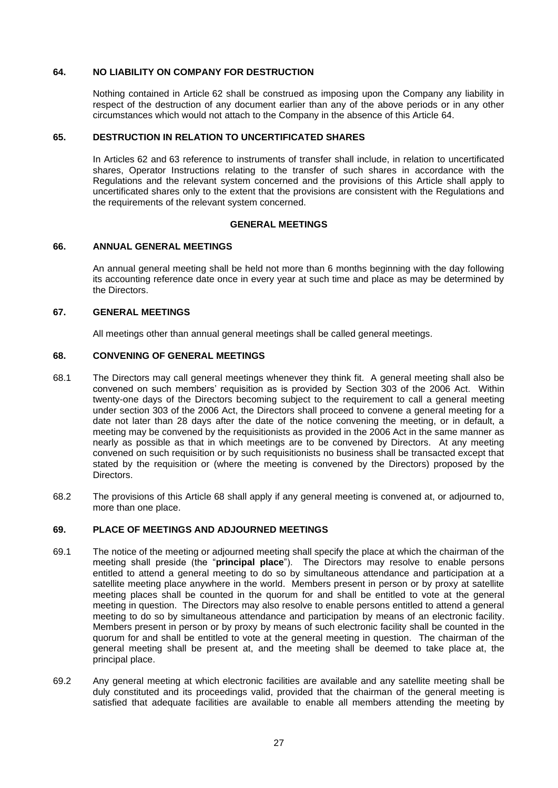#### **64. NO LIABILITY ON COMPANY FOR DESTRUCTION**

Nothing contained in Article [62](#page-24-0) shall be construed as imposing upon the Company any liability in respect of the destruction of any document earlier than any of the above periods or in any other circumstances which would not attach to the Company in the absence of this Article 64.

### <span id="page-25-0"></span>**65. DESTRUCTION IN RELATION TO UNCERTIFICATED SHARES**

In Articles [62](#page-24-0) and [63](#page-24-2) reference to instruments of transfer shall include, in relation to uncertificated shares, Operator Instructions relating to the transfer of such shares in accordance with the Regulations and the relevant system concerned and the provisions of this Article shall apply to uncertificated shares only to the extent that the provisions are consistent with the Regulations and the requirements of the relevant system concerned.

### **GENERAL MEETINGS**

#### **66. ANNUAL GENERAL MEETINGS**

An annual general meeting shall be held not more than 6 months beginning with the day following its accounting reference date once in every year at such time and place as may be determined by the Directors.

### **67. GENERAL MEETINGS**

All meetings other than annual general meetings shall be called general meetings.

### <span id="page-25-1"></span>**68. CONVENING OF GENERAL MEETINGS**

- 68.1 The Directors may call general meetings whenever they think fit. A general meeting shall also be convened on such members' requisition as is provided by Section 303 of the 2006 Act. Within twenty-one days of the Directors becoming subject to the requirement to call a general meeting under section 303 of the 2006 Act, the Directors shall proceed to convene a general meeting for a date not later than 28 days after the date of the notice convening the meeting, or in default, a meeting may be convened by the requisitionists as provided in the 2006 Act in the same manner as nearly as possible as that in which meetings are to be convened by Directors. At any meeting convened on such requisition or by such requisitionists no business shall be transacted except that stated by the requisition or (where the meeting is convened by the Directors) proposed by the Directors.
- 68.2 The provisions of this Article [68](#page-25-1) shall apply if any general meeting is convened at, or adjourned to, more than one place.

# <span id="page-25-2"></span>**69. PLACE OF MEETINGS AND ADJOURNED MEETINGS**

- 69.1 The notice of the meeting or adjourned meeting shall specify the place at which the chairman of the meeting shall preside (the "**principal place**"). The Directors may resolve to enable persons entitled to attend a general meeting to do so by simultaneous attendance and participation at a satellite meeting place anywhere in the world. Members present in person or by proxy at satellite meeting places shall be counted in the quorum for and shall be entitled to vote at the general meeting in question. The Directors may also resolve to enable persons entitled to attend a general meeting to do so by simultaneous attendance and participation by means of an electronic facility. Members present in person or by proxy by means of such electronic facility shall be counted in the quorum for and shall be entitled to vote at the general meeting in question. The chairman of the general meeting shall be present at, and the meeting shall be deemed to take place at, the principal place.
- 69.2 Any general meeting at which electronic facilities are available and any satellite meeting shall be duly constituted and its proceedings valid, provided that the chairman of the general meeting is satisfied that adequate facilities are available to enable all members attending the meeting by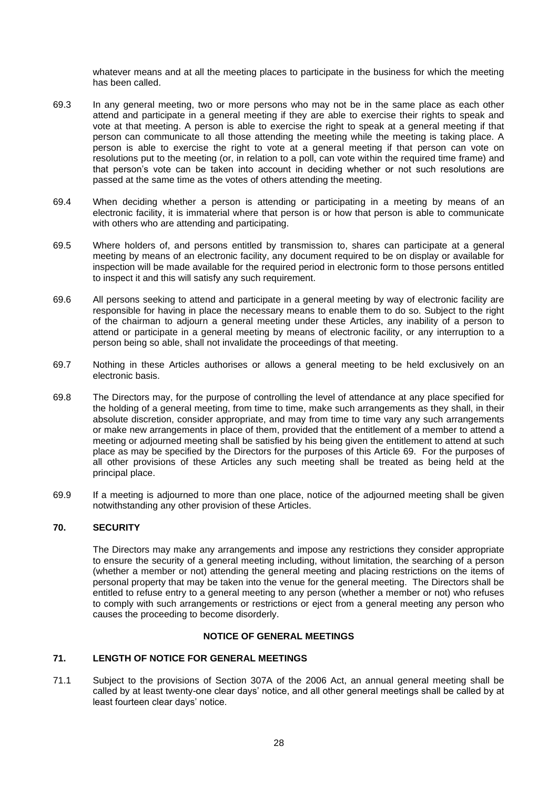whatever means and at all the meeting places to participate in the business for which the meeting has been called.

- 69.3 In any general meeting, two or more persons who may not be in the same place as each other attend and participate in a general meeting if they are able to exercise their rights to speak and vote at that meeting. A person is able to exercise the right to speak at a general meeting if that person can communicate to all those attending the meeting while the meeting is taking place. A person is able to exercise the right to vote at a general meeting if that person can vote on resolutions put to the meeting (or, in relation to a poll, can vote within the required time frame) and that person's vote can be taken into account in deciding whether or not such resolutions are passed at the same time as the votes of others attending the meeting.
- 69.4 When deciding whether a person is attending or participating in a meeting by means of an electronic facility, it is immaterial where that person is or how that person is able to communicate with others who are attending and participating.
- 69.5 Where holders of, and persons entitled by transmission to, shares can participate at a general meeting by means of an electronic facility, any document required to be on display or available for inspection will be made available for the required period in electronic form to those persons entitled to inspect it and this will satisfy any such requirement.
- 69.6 All persons seeking to attend and participate in a general meeting by way of electronic facility are responsible for having in place the necessary means to enable them to do so. Subject to the right of the chairman to adjourn a general meeting under these Articles, any inability of a person to attend or participate in a general meeting by means of electronic facility, or any interruption to a person being so able, shall not invalidate the proceedings of that meeting.
- 69.7 Nothing in these Articles authorises or allows a general meeting to be held exclusively on an electronic basis.
- 69.8 The Directors may, for the purpose of controlling the level of attendance at any place specified for the holding of a general meeting, from time to time, make such arrangements as they shall, in their absolute discretion, consider appropriate, and may from time to time vary any such arrangements or make new arrangements in place of them, provided that the entitlement of a member to attend a meeting or adjourned meeting shall be satisfied by his being given the entitlement to attend at such place as may be specified by the Directors for the purposes of this Article [69.](#page-25-2) For the purposes of all other provisions of these Articles any such meeting shall be treated as being held at the principal place.
- 69.9 If a meeting is adjourned to more than one place, notice of the adjourned meeting shall be given notwithstanding any other provision of these Articles.

# **70. SECURITY**

The Directors may make any arrangements and impose any restrictions they consider appropriate to ensure the security of a general meeting including, without limitation, the searching of a person (whether a member or not) attending the general meeting and placing restrictions on the items of personal property that may be taken into the venue for the general meeting. The Directors shall be entitled to refuse entry to a general meeting to any person (whether a member or not) who refuses to comply with such arrangements or restrictions or eject from a general meeting any person who causes the proceeding to become disorderly.

# **NOTICE OF GENERAL MEETINGS**

# **71. LENGTH OF NOTICE FOR GENERAL MEETINGS**

71.1 Subject to the provisions of Section 307A of the 2006 Act, an annual general meeting shall be called by at least twenty-one clear days' notice, and all other general meetings shall be called by at least fourteen clear days' notice.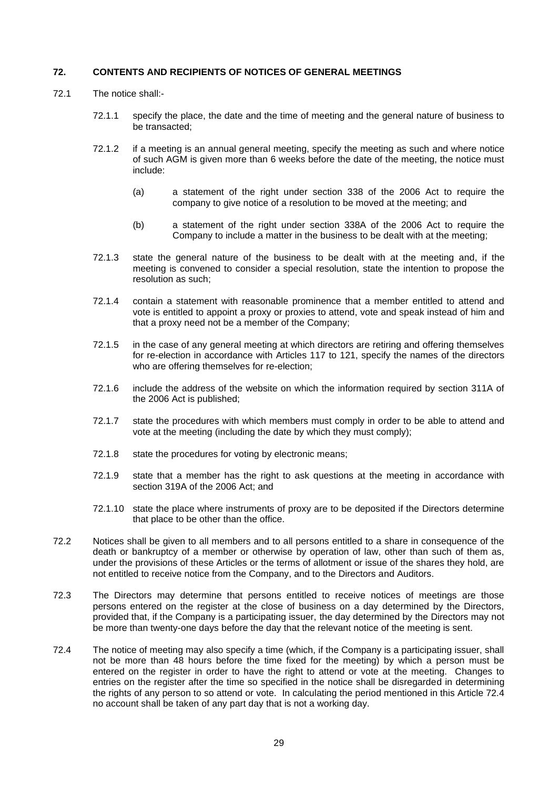### **72. CONTENTS AND RECIPIENTS OF NOTICES OF GENERAL MEETINGS**

- 72.1 The notice shall:-
	- 72.1.1 specify the place, the date and the time of meeting and the general nature of business to be transacted;
	- 72.1.2 if a meeting is an annual general meeting, specify the meeting as such and where notice of such AGM is given more than 6 weeks before the date of the meeting, the notice must include:
		- (a) a statement of the right under section 338 of the 2006 Act to require the company to give notice of a resolution to be moved at the meeting; and
		- (b) a statement of the right under section 338A of the 2006 Act to require the Company to include a matter in the business to be dealt with at the meeting;
	- 72.1.3 state the general nature of the business to be dealt with at the meeting and, if the meeting is convened to consider a special resolution, state the intention to propose the resolution as such;
	- 72.1.4 contain a statement with reasonable prominence that a member entitled to attend and vote is entitled to appoint a proxy or proxies to attend, vote and speak instead of him and that a proxy need not be a member of the Company;
	- 72.1.5 in the case of any general meeting at which directors are retiring and offering themselves for re-election in accordance with Articles 117 to 121, specify the names of the directors who are offering themselves for re-election;
	- 72.1.6 include the address of the website on which the information required by section 311A of the 2006 Act is published;
	- 72.1.7 state the procedures with which members must comply in order to be able to attend and vote at the meeting (including the date by which they must comply);
	- 72.1.8 state the procedures for voting by electronic means;
	- 72.1.9 state that a member has the right to ask questions at the meeting in accordance with section 319A of the 2006 Act; and
	- 72.1.10 state the place where instruments of proxy are to be deposited if the Directors determine that place to be other than the office.
- 72.2 Notices shall be given to all members and to all persons entitled to a share in consequence of the death or bankruptcy of a member or otherwise by operation of law, other than such of them as, under the provisions of these Articles or the terms of allotment or issue of the shares they hold, are not entitled to receive notice from the Company, and to the Directors and Auditors.
- 72.3 The Directors may determine that persons entitled to receive notices of meetings are those persons entered on the register at the close of business on a day determined by the Directors, provided that, if the Company is a participating issuer, the day determined by the Directors may not be more than twenty-one days before the day that the relevant notice of the meeting is sent.
- 72.4 The notice of meeting may also specify a time (which, if the Company is a participating issuer, shall not be more than 48 hours before the time fixed for the meeting) by which a person must be entered on the register in order to have the right to attend or vote at the meeting. Changes to entries on the register after the time so specified in the notice shall be disregarded in determining the rights of any person to so attend or vote. In calculating the period mentioned in this Article 72.4 no account shall be taken of any part day that is not a working day.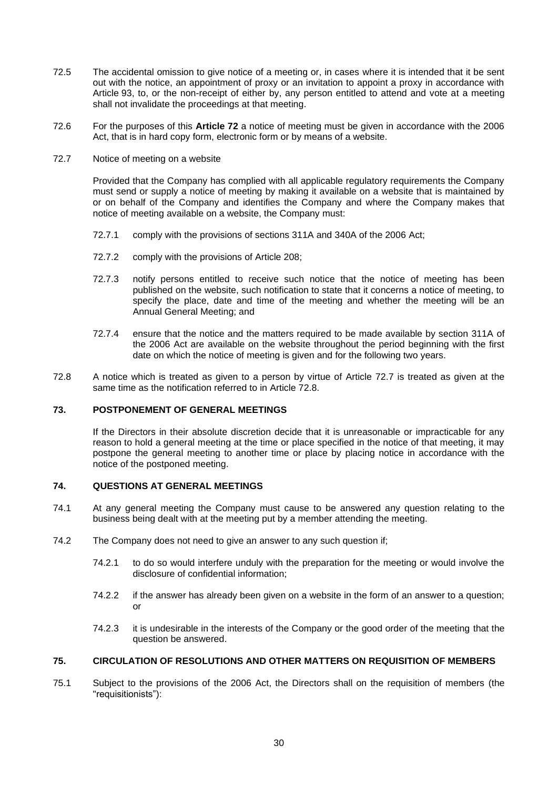- 72.5 The accidental omission to give notice of a meeting or, in cases where it is intended that it be sent out with the notice, an appointment of proxy or an invitation to appoint a proxy in accordance with Article [93,](#page-33-0) to, or the non-receipt of either by, any person entitled to attend and vote at a meeting shall not invalidate the proceedings at that meeting.
- 72.6 For the purposes of this **Article 72** a notice of meeting must be given in accordance with the 2006 Act, that is in hard copy form, electronic form or by means of a website.
- 72.7 Notice of meeting on a website

Provided that the Company has complied with all applicable regulatory requirements the Company must send or supply a notice of meeting by making it available on a website that is maintained by or on behalf of the Company and identifies the Company and where the Company makes that notice of meeting available on a website, the Company must:

- 72.7.1 comply with the provisions of sections 311A and 340A of the 2006 Act;
- 72.7.2 comply with the provisions of Article 208;
- 72.7.3 notify persons entitled to receive such notice that the notice of meeting has been published on the website, such notification to state that it concerns a notice of meeting, to specify the place, date and time of the meeting and whether the meeting will be an Annual General Meeting; and
- 72.7.4 ensure that the notice and the matters required to be made available by section 311A of the 2006 Act are available on the website throughout the period beginning with the first date on which the notice of meeting is given and for the following two years.
- 72.8 A notice which is treated as given to a person by virtue of Article 72.7 is treated as given at the same time as the notification referred to in Article 72.8.

# **73. POSTPONEMENT OF GENERAL MEETINGS**

If the Directors in their absolute discretion decide that it is unreasonable or impracticable for any reason to hold a general meeting at the time or place specified in the notice of that meeting, it may postpone the general meeting to another time or place by placing notice in accordance with the notice of the postponed meeting.

# **74. QUESTIONS AT GENERAL MEETINGS**

- 74.1 At any general meeting the Company must cause to be answered any question relating to the business being dealt with at the meeting put by a member attending the meeting.
- 74.2 The Company does not need to give an answer to any such question if;
	- 74.2.1 to do so would interfere unduly with the preparation for the meeting or would involve the disclosure of confidential information;
	- 74.2.2 if the answer has already been given on a website in the form of an answer to a question; or
	- 74.2.3 it is undesirable in the interests of the Company or the good order of the meeting that the question be answered.

# **75. CIRCULATION OF RESOLUTIONS AND OTHER MATTERS ON REQUISITION OF MEMBERS**

75.1 Subject to the provisions of the 2006 Act, the Directors shall on the requisition of members (the "requisitionists"):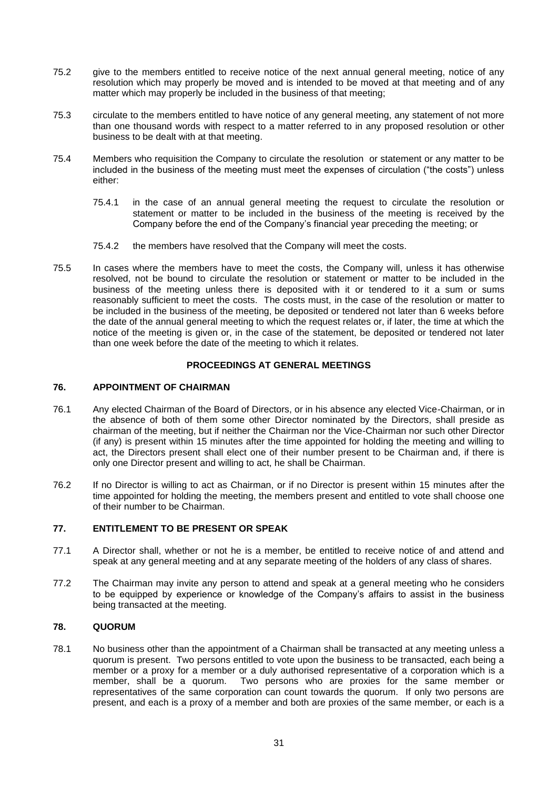- 75.2 give to the members entitled to receive notice of the next annual general meeting, notice of any resolution which may properly be moved and is intended to be moved at that meeting and of any matter which may properly be included in the business of that meeting;
- 75.3 circulate to the members entitled to have notice of any general meeting, any statement of not more than one thousand words with respect to a matter referred to in any proposed resolution or other business to be dealt with at that meeting.
- 75.4 Members who requisition the Company to circulate the resolution or statement or any matter to be included in the business of the meeting must meet the expenses of circulation ("the costs") unless either:
	- 75.4.1 in the case of an annual general meeting the request to circulate the resolution or statement or matter to be included in the business of the meeting is received by the Company before the end of the Company's financial year preceding the meeting; or
	- 75.4.2 the members have resolved that the Company will meet the costs.
- 75.5 In cases where the members have to meet the costs, the Company will, unless it has otherwise resolved, not be bound to circulate the resolution or statement or matter to be included in the business of the meeting unless there is deposited with it or tendered to it a sum or sums reasonably sufficient to meet the costs. The costs must, in the case of the resolution or matter to be included in the business of the meeting, be deposited or tendered not later than 6 weeks before the date of the annual general meeting to which the request relates or, if later, the time at which the notice of the meeting is given or, in the case of the statement, be deposited or tendered not later than one week before the date of the meeting to which it relates.

# **PROCEEDINGS AT GENERAL MEETINGS**

# **76. APPOINTMENT OF CHAIRMAN**

- 76.1 Any elected Chairman of the Board of Directors, or in his absence any elected Vice-Chairman, or in the absence of both of them some other Director nominated by the Directors, shall preside as chairman of the meeting, but if neither the Chairman nor the Vice-Chairman nor such other Director (if any) is present within 15 minutes after the time appointed for holding the meeting and willing to act, the Directors present shall elect one of their number present to be Chairman and, if there is only one Director present and willing to act, he shall be Chairman.
- 76.2 If no Director is willing to act as Chairman, or if no Director is present within 15 minutes after the time appointed for holding the meeting, the members present and entitled to vote shall choose one of their number to be Chairman.

# **77. ENTITLEMENT TO BE PRESENT OR SPEAK**

- 77.1 A Director shall, whether or not he is a member, be entitled to receive notice of and attend and speak at any general meeting and at any separate meeting of the holders of any class of shares.
- 77.2 The Chairman may invite any person to attend and speak at a general meeting who he considers to be equipped by experience or knowledge of the Company's affairs to assist in the business being transacted at the meeting.

# **78. QUORUM**

78.1 No business other than the appointment of a Chairman shall be transacted at any meeting unless a quorum is present. Two persons entitled to vote upon the business to be transacted, each being a member or a proxy for a member or a duly authorised representative of a corporation which is a member, shall be a quorum. Two persons who are proxies for the same member or representatives of the same corporation can count towards the quorum. If only two persons are present, and each is a proxy of a member and both are proxies of the same member, or each is a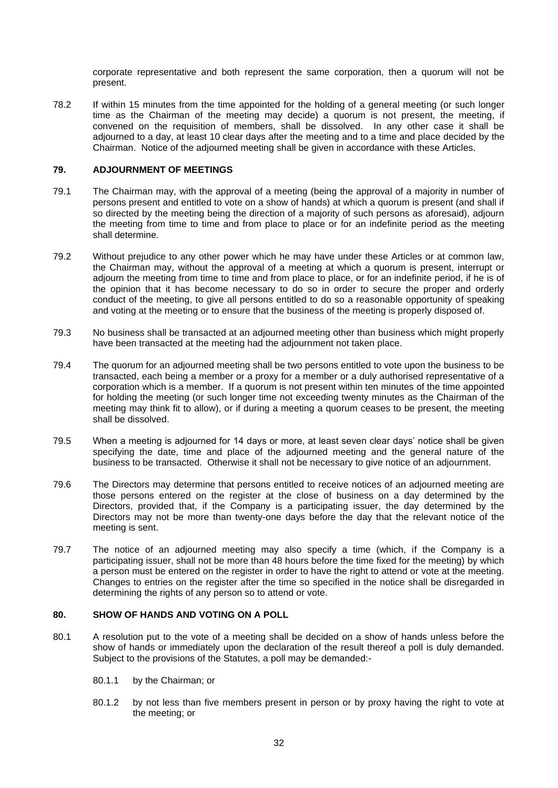corporate representative and both represent the same corporation, then a quorum will not be present.

78.2 If within 15 minutes from the time appointed for the holding of a general meeting (or such longer time as the Chairman of the meeting may decide) a quorum is not present, the meeting, if convened on the requisition of members, shall be dissolved. In any other case it shall be adjourned to a day, at least 10 clear days after the meeting and to a time and place decided by the Chairman. Notice of the adjourned meeting shall be given in accordance with these Articles.

# **79. ADJOURNMENT OF MEETINGS**

- 79.1 The Chairman may, with the approval of a meeting (being the approval of a majority in number of persons present and entitled to vote on a show of hands) at which a quorum is present (and shall if so directed by the meeting being the direction of a majority of such persons as aforesaid), adjourn the meeting from time to time and from place to place or for an indefinite period as the meeting shall determine.
- 79.2 Without prejudice to any other power which he may have under these Articles or at common law, the Chairman may, without the approval of a meeting at which a quorum is present, interrupt or adjourn the meeting from time to time and from place to place, or for an indefinite period, if he is of the opinion that it has become necessary to do so in order to secure the proper and orderly conduct of the meeting, to give all persons entitled to do so a reasonable opportunity of speaking and voting at the meeting or to ensure that the business of the meeting is properly disposed of.
- 79.3 No business shall be transacted at an adjourned meeting other than business which might properly have been transacted at the meeting had the adjournment not taken place.
- 79.4 The quorum for an adjourned meeting shall be two persons entitled to vote upon the business to be transacted, each being a member or a proxy for a member or a duly authorised representative of a corporation which is a member. If a quorum is not present within ten minutes of the time appointed for holding the meeting (or such longer time not exceeding twenty minutes as the Chairman of the meeting may think fit to allow), or if during a meeting a quorum ceases to be present, the meeting shall be dissolved.
- 79.5 When a meeting is adjourned for 14 days or more, at least seven clear days' notice shall be given specifying the date, time and place of the adjourned meeting and the general nature of the business to be transacted. Otherwise it shall not be necessary to give notice of an adjournment.
- 79.6 The Directors may determine that persons entitled to receive notices of an adjourned meeting are those persons entered on the register at the close of business on a day determined by the Directors, provided that, if the Company is a participating issuer, the day determined by the Directors may not be more than twenty-one days before the day that the relevant notice of the meeting is sent.
- 79.7 The notice of an adjourned meeting may also specify a time (which, if the Company is a participating issuer, shall not be more than 48 hours before the time fixed for the meeting) by which a person must be entered on the register in order to have the right to attend or vote at the meeting. Changes to entries on the register after the time so specified in the notice shall be disregarded in determining the rights of any person so to attend or vote.

# **80. SHOW OF HANDS AND VOTING ON A POLL**

- 80.1 A resolution put to the vote of a meeting shall be decided on a show of hands unless before the show of hands or immediately upon the declaration of the result thereof a poll is duly demanded. Subject to the provisions of the Statutes, a poll may be demanded:-
	- 80.1.1 by the Chairman; or
	- 80.1.2 by not less than five members present in person or by proxy having the right to vote at the meeting; or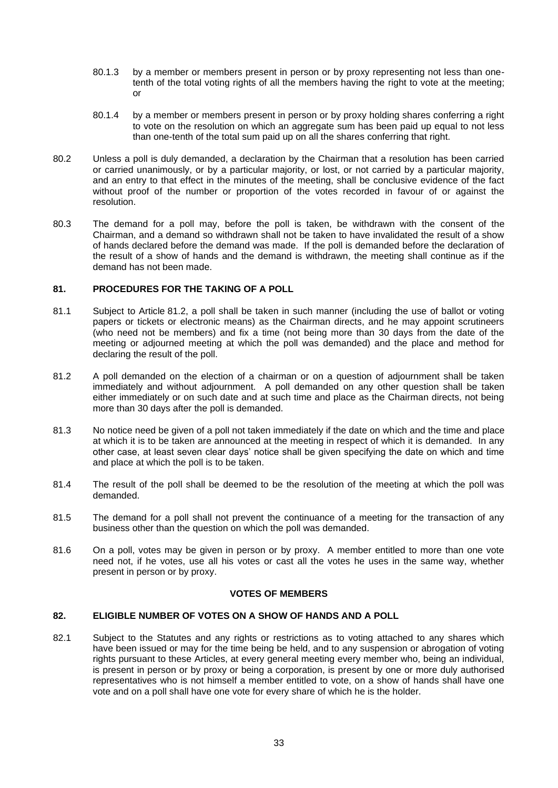- 80.1.3 by a member or members present in person or by proxy representing not less than onetenth of the total voting rights of all the members having the right to vote at the meeting; or
- 80.1.4 by a member or members present in person or by proxy holding shares conferring a right to vote on the resolution on which an aggregate sum has been paid up equal to not less than one-tenth of the total sum paid up on all the shares conferring that right.
- 80.2 Unless a poll is duly demanded, a declaration by the Chairman that a resolution has been carried or carried unanimously, or by a particular majority, or lost, or not carried by a particular majority, and an entry to that effect in the minutes of the meeting, shall be conclusive evidence of the fact without proof of the number or proportion of the votes recorded in favour of or against the resolution.
- 80.3 The demand for a poll may, before the poll is taken, be withdrawn with the consent of the Chairman, and a demand so withdrawn shall not be taken to have invalidated the result of a show of hands declared before the demand was made. If the poll is demanded before the declaration of the result of a show of hands and the demand is withdrawn, the meeting shall continue as if the demand has not been made.

# **81. PROCEDURES FOR THE TAKING OF A POLL**

- 81.1 Subject to Article [81.2,](#page-31-0) a poll shall be taken in such manner (including the use of ballot or voting papers or tickets or electronic means) as the Chairman directs, and he may appoint scrutineers (who need not be members) and fix a time (not being more than 30 days from the date of the meeting or adjourned meeting at which the poll was demanded) and the place and method for declaring the result of the poll.
- <span id="page-31-0"></span>81.2 A poll demanded on the election of a chairman or on a question of adjournment shall be taken immediately and without adjournment. A poll demanded on any other question shall be taken either immediately or on such date and at such time and place as the Chairman directs, not being more than 30 days after the poll is demanded.
- 81.3 No notice need be given of a poll not taken immediately if the date on which and the time and place at which it is to be taken are announced at the meeting in respect of which it is demanded. In any other case, at least seven clear days' notice shall be given specifying the date on which and time and place at which the poll is to be taken.
- 81.4 The result of the poll shall be deemed to be the resolution of the meeting at which the poll was demanded.
- 81.5 The demand for a poll shall not prevent the continuance of a meeting for the transaction of any business other than the question on which the poll was demanded.
- 81.6 On a poll, votes may be given in person or by proxy. A member entitled to more than one vote need not, if he votes, use all his votes or cast all the votes he uses in the same way, whether present in person or by proxy.

# **VOTES OF MEMBERS**

### **82. ELIGIBLE NUMBER OF VOTES ON A SHOW OF HANDS AND A POLL**

82.1 Subject to the Statutes and any rights or restrictions as to voting attached to any shares which have been issued or may for the time being be held, and to any suspension or abrogation of voting rights pursuant to these Articles, at every general meeting every member who, being an individual, is present in person or by proxy or being a corporation, is present by one or more duly authorised representatives who is not himself a member entitled to vote, on a show of hands shall have one vote and on a poll shall have one vote for every share of which he is the holder.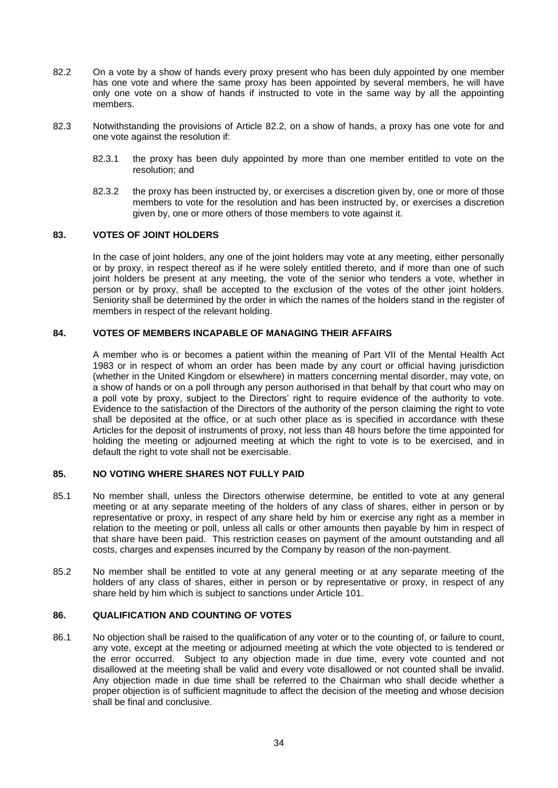- 82.2 On a vote by a show of hands every proxy present who has been duly appointed by one member has one vote and where the same proxy has been appointed by several members, he will have only one vote on a show of hands if instructed to vote in the same way by all the appointing members.
- 82.3 Notwithstanding the provisions of Article 82.2, on a show of hands, a proxy has one vote for and one vote against the resolution if:
	- 82.3.1 the proxy has been duly appointed by more than one member entitled to vote on the resolution; and
	- 82.3.2 the proxy has been instructed by, or exercises a discretion given by, one or more of those members to vote for the resolution and has been instructed by, or exercises a discretion given by, one or more others of those members to vote against it.

### **83. VOTES OF JOINT HOLDERS**

In the case of joint holders, any one of the joint holders may vote at any meeting, either personally or by proxy, in respect thereof as if he were solely entitled thereto, and if more than one of such joint holders be present at any meeting, the vote of the senior who tenders a vote, whether in person or by proxy, shall be accepted to the exclusion of the votes of the other joint holders. Seniority shall be determined by the order in which the names of the holders stand in the register of members in respect of the relevant holding.

# **84. VOTES OF MEMBERS INCAPABLE OF MANAGING THEIR AFFAIRS**

A member who is or becomes a patient within the meaning of Part VII of the Mental Health Act 1983 or in respect of whom an order has been made by any court or official having jurisdiction (whether in the United Kingdom or elsewhere) in matters concerning mental disorder, may vote, on a show of hands or on a poll through any person authorised in that behalf by that court who may on a poll vote by proxy, subject to the Directors' right to require evidence of the authority to vote. Evidence to the satisfaction of the Directors of the authority of the person claiming the right to vote shall be deposited at the office, or at such other place as is specified in accordance with these Articles for the deposit of instruments of proxy, not less than 48 hours before the time appointed for holding the meeting or adjourned meeting at which the right to vote is to be exercised, and in default the right to vote shall not be exercisable.

#### **85. NO VOTING WHERE SHARES NOT FULLY PAID**

- 85.1 No member shall, unless the Directors otherwise determine, be entitled to vote at any general meeting or at any separate meeting of the holders of any class of shares, either in person or by representative or proxy, in respect of any share held by him or exercise any right as a member in relation to the meeting or poll, unless all calls or other amounts then payable by him in respect of that share have been paid. This restriction ceases on payment of the amount outstanding and all costs, charges and expenses incurred by the Company by reason of the non-payment.
- 85.2 No member shall be entitled to vote at any general meeting or at any separate meeting of the holders of any class of shares, either in person or by representative or proxy, in respect of any share held by him which is subject to sanctions under Article [101.](#page-37-0)

### **86. QUALIFICATION AND COUNTING OF VOTES**

86.1 No objection shall be raised to the qualification of any voter or to the counting of, or failure to count, any vote, except at the meeting or adjourned meeting at which the vote objected to is tendered or the error occurred. Subject to any objection made in due time, every vote counted and not disallowed at the meeting shall be valid and every vote disallowed or not counted shall be invalid. Any objection made in due time shall be referred to the Chairman who shall decide whether a proper objection is of sufficient magnitude to affect the decision of the meeting and whose decision shall be final and conclusive.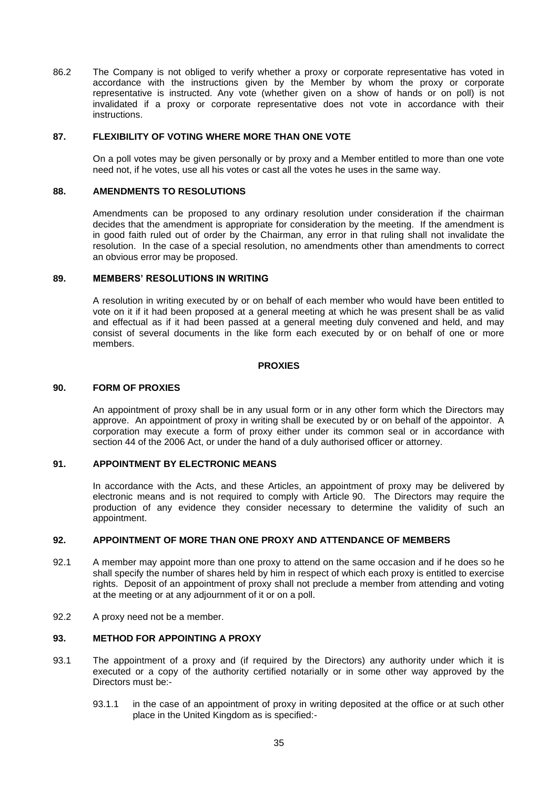86.2 The Company is not obliged to verify whether a proxy or corporate representative has voted in accordance with the instructions given by the Member by whom the proxy or corporate representative is instructed. Any vote (whether given on a show of hands or on poll) is not invalidated if a proxy or corporate representative does not vote in accordance with their instructions.

#### **87. FLEXIBILITY OF VOTING WHERE MORE THAN ONE VOTE**

On a poll votes may be given personally or by proxy and a Member entitled to more than one vote need not, if he votes, use all his votes or cast all the votes he uses in the same way.

#### **88. AMENDMENTS TO RESOLUTIONS**

Amendments can be proposed to any ordinary resolution under consideration if the chairman decides that the amendment is appropriate for consideration by the meeting. If the amendment is in good faith ruled out of order by the Chairman, any error in that ruling shall not invalidate the resolution. In the case of a special resolution, no amendments other than amendments to correct an obvious error may be proposed.

#### **89. MEMBERS' RESOLUTIONS IN WRITING**

A resolution in writing executed by or on behalf of each member who would have been entitled to vote on it if it had been proposed at a general meeting at which he was present shall be as valid and effectual as if it had been passed at a general meeting duly convened and held, and may consist of several documents in the like form each executed by or on behalf of one or more members.

#### **PROXIES**

#### <span id="page-33-1"></span>**90. FORM OF PROXIES**

An appointment of proxy shall be in any usual form or in any other form which the Directors may approve. An appointment of proxy in writing shall be executed by or on behalf of the appointor. A corporation may execute a form of proxy either under its common seal or in accordance with section 44 of the 2006 Act, or under the hand of a duly authorised officer or attorney.

### **91. APPOINTMENT BY ELECTRONIC MEANS**

In accordance with the Acts, and these Articles, an appointment of proxy may be delivered by electronic means and is not required to comply with Article [90.](#page-33-1) The Directors may require the production of any evidence they consider necessary to determine the validity of such an appointment.

# **92. APPOINTMENT OF MORE THAN ONE PROXY AND ATTENDANCE OF MEMBERS**

- 92.1 A member may appoint more than one proxy to attend on the same occasion and if he does so he shall specify the number of shares held by him in respect of which each proxy is entitled to exercise rights. Deposit of an appointment of proxy shall not preclude a member from attending and voting at the meeting or at any adjournment of it or on a poll.
- 92.2 A proxy need not be a member.

#### <span id="page-33-0"></span>**93. METHOD FOR APPOINTING A PROXY**

- 93.1 The appointment of a proxy and (if required by the Directors) any authority under which it is executed or a copy of the authority certified notarially or in some other way approved by the Directors must be:-
	- 93.1.1 in the case of an appointment of proxy in writing deposited at the office or at such other place in the United Kingdom as is specified:-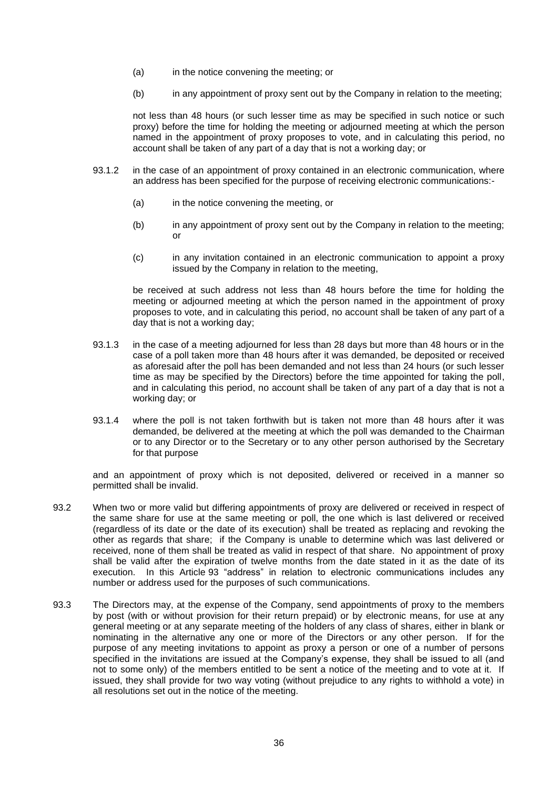- (a) in the notice convening the meeting; or
- (b) in any appointment of proxy sent out by the Company in relation to the meeting;

not less than 48 hours (or such lesser time as may be specified in such notice or such proxy) before the time for holding the meeting or adjourned meeting at which the person named in the appointment of proxy proposes to vote, and in calculating this period, no account shall be taken of any part of a day that is not a working day; or

- 93.1.2 in the case of an appointment of proxy contained in an electronic communication, where an address has been specified for the purpose of receiving electronic communications:-
	- (a) in the notice convening the meeting, or
	- (b) in any appointment of proxy sent out by the Company in relation to the meeting; or
	- (c) in any invitation contained in an electronic communication to appoint a proxy issued by the Company in relation to the meeting,

be received at such address not less than 48 hours before the time for holding the meeting or adjourned meeting at which the person named in the appointment of proxy proposes to vote, and in calculating this period, no account shall be taken of any part of a day that is not a working day;

- 93.1.3 in the case of a meeting adjourned for less than 28 days but more than 48 hours or in the case of a poll taken more than 48 hours after it was demanded, be deposited or received as aforesaid after the poll has been demanded and not less than 24 hours (or such lesser time as may be specified by the Directors) before the time appointed for taking the poll, and in calculating this period, no account shall be taken of any part of a day that is not a working day; or
- 93.1.4 where the poll is not taken forthwith but is taken not more than 48 hours after it was demanded, be delivered at the meeting at which the poll was demanded to the Chairman or to any Director or to the Secretary or to any other person authorised by the Secretary for that purpose

and an appointment of proxy which is not deposited, delivered or received in a manner so permitted shall be invalid.

- 93.2 When two or more valid but differing appointments of proxy are delivered or received in respect of the same share for use at the same meeting or poll, the one which is last delivered or received (regardless of its date or the date of its execution) shall be treated as replacing and revoking the other as regards that share; if the Company is unable to determine which was last delivered or received, none of them shall be treated as valid in respect of that share. No appointment of proxy shall be valid after the expiration of twelve months from the date stated in it as the date of its execution. In this Article [93](#page-33-0) "address" in relation to electronic communications includes any number or address used for the purposes of such communications.
- 93.3 The Directors may, at the expense of the Company, send appointments of proxy to the members by post (with or without provision for their return prepaid) or by electronic means, for use at any general meeting or at any separate meeting of the holders of any class of shares, either in blank or nominating in the alternative any one or more of the Directors or any other person. If for the purpose of any meeting invitations to appoint as proxy a person or one of a number of persons specified in the invitations are issued at the Company's expense, they shall be issued to all (and not to some only) of the members entitled to be sent a notice of the meeting and to vote at it. If issued, they shall provide for two way voting (without prejudice to any rights to withhold a vote) in all resolutions set out in the notice of the meeting.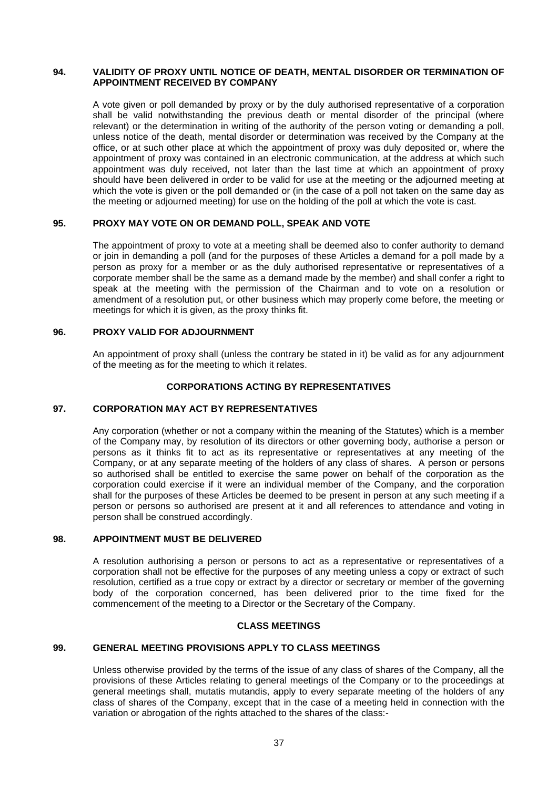#### **94. VALIDITY OF PROXY UNTIL NOTICE OF DEATH, MENTAL DISORDER OR TERMINATION OF APPOINTMENT RECEIVED BY COMPANY**

A vote given or poll demanded by proxy or by the duly authorised representative of a corporation shall be valid notwithstanding the previous death or mental disorder of the principal (where relevant) or the determination in writing of the authority of the person voting or demanding a poll, unless notice of the death, mental disorder or determination was received by the Company at the office, or at such other place at which the appointment of proxy was duly deposited or, where the appointment of proxy was contained in an electronic communication, at the address at which such appointment was duly received, not later than the last time at which an appointment of proxy should have been delivered in order to be valid for use at the meeting or the adjourned meeting at which the vote is given or the poll demanded or (in the case of a poll not taken on the same day as the meeting or adjourned meeting) for use on the holding of the poll at which the vote is cast.

# **95. PROXY MAY VOTE ON OR DEMAND POLL, SPEAK AND VOTE**

The appointment of proxy to vote at a meeting shall be deemed also to confer authority to demand or join in demanding a poll (and for the purposes of these Articles a demand for a poll made by a person as proxy for a member or as the duly authorised representative or representatives of a corporate member shall be the same as a demand made by the member) and shall confer a right to speak at the meeting with the permission of the Chairman and to vote on a resolution or amendment of a resolution put, or other business which may properly come before, the meeting or meetings for which it is given, as the proxy thinks fit.

# **96. PROXY VALID FOR ADJOURNMENT**

An appointment of proxy shall (unless the contrary be stated in it) be valid as for any adjournment of the meeting as for the meeting to which it relates.

### **CORPORATIONS ACTING BY REPRESENTATIVES**

# **97. CORPORATION MAY ACT BY REPRESENTATIVES**

Any corporation (whether or not a company within the meaning of the Statutes) which is a member of the Company may, by resolution of its directors or other governing body, authorise a person or persons as it thinks fit to act as its representative or representatives at any meeting of the Company, or at any separate meeting of the holders of any class of shares. A person or persons so authorised shall be entitled to exercise the same power on behalf of the corporation as the corporation could exercise if it were an individual member of the Company, and the corporation shall for the purposes of these Articles be deemed to be present in person at any such meeting if a person or persons so authorised are present at it and all references to attendance and voting in person shall be construed accordingly.

# **98. APPOINTMENT MUST BE DELIVERED**

A resolution authorising a person or persons to act as a representative or representatives of a corporation shall not be effective for the purposes of any meeting unless a copy or extract of such resolution, certified as a true copy or extract by a director or secretary or member of the governing body of the corporation concerned, has been delivered prior to the time fixed for the commencement of the meeting to a Director or the Secretary of the Company.

# **CLASS MEETINGS**

# <span id="page-35-0"></span>**99. GENERAL MEETING PROVISIONS APPLY TO CLASS MEETINGS**

Unless otherwise provided by the terms of the issue of any class of shares of the Company, all the provisions of these Articles relating to general meetings of the Company or to the proceedings at general meetings shall, mutatis mutandis, apply to every separate meeting of the holders of any class of shares of the Company, except that in the case of a meeting held in connection with the variation or abrogation of the rights attached to the shares of the class:-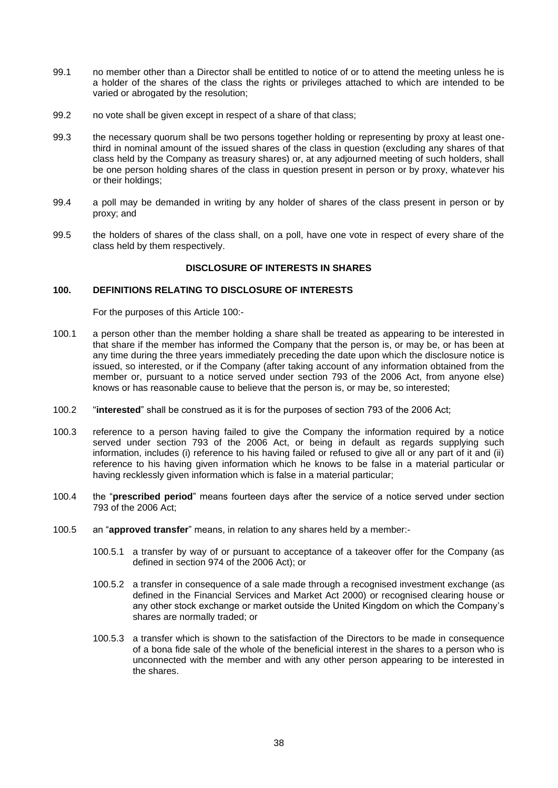- 99.1 no member other than a Director shall be entitled to notice of or to attend the meeting unless he is a holder of the shares of the class the rights or privileges attached to which are intended to be varied or abrogated by the resolution;
- 99.2 no vote shall be given except in respect of a share of that class;
- 99.3 the necessary quorum shall be two persons together holding or representing by proxy at least onethird in nominal amount of the issued shares of the class in question (excluding any shares of that class held by the Company as treasury shares) or, at any adjourned meeting of such holders, shall be one person holding shares of the class in question present in person or by proxy, whatever his or their holdings;
- 99.4 a poll may be demanded in writing by any holder of shares of the class present in person or by proxy; and
- 99.5 the holders of shares of the class shall, on a poll, have one vote in respect of every share of the class held by them respectively.

### **DISCLOSURE OF INTERESTS IN SHARES**

#### <span id="page-36-0"></span>**100. DEFINITIONS RELATING TO DISCLOSURE OF INTERESTS**

For the purposes of this Article [100:-](#page-36-0)

- 100.1 a person other than the member holding a share shall be treated as appearing to be interested in that share if the member has informed the Company that the person is, or may be, or has been at any time during the three years immediately preceding the date upon which the disclosure notice is issued, so interested, or if the Company (after taking account of any information obtained from the member or, pursuant to a notice served under section 793 of the 2006 Act, from anyone else) knows or has reasonable cause to believe that the person is, or may be, so interested;
- 100.2 "**interested**" shall be construed as it is for the purposes of section 793 of the 2006 Act;
- 100.3 reference to a person having failed to give the Company the information required by a notice served under section 793 of the 2006 Act, or being in default as regards supplying such information, includes (i) reference to his having failed or refused to give all or any part of it and (ii) reference to his having given information which he knows to be false in a material particular or having recklessly given information which is false in a material particular;
- 100.4 the "**prescribed period**" means fourteen days after the service of a notice served under section 793 of the 2006 Act;
- 100.5 an "**approved transfer**" means, in relation to any shares held by a member:-
	- 100.5.1 a transfer by way of or pursuant to acceptance of a takeover offer for the Company (as defined in section 974 of the 2006 Act); or
	- 100.5.2 a transfer in consequence of a sale made through a recognised investment exchange (as defined in the Financial Services and Market Act 2000) or recognised clearing house or any other stock exchange or market outside the United Kingdom on which the Company's shares are normally traded; or
	- 100.5.3 a transfer which is shown to the satisfaction of the Directors to be made in consequence of a bona fide sale of the whole of the beneficial interest in the shares to a person who is unconnected with the member and with any other person appearing to be interested in the shares.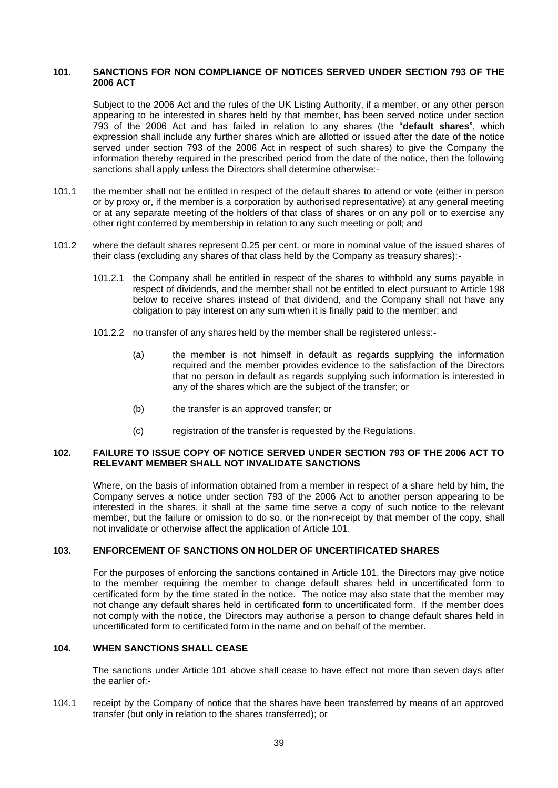#### <span id="page-37-0"></span>**101. SANCTIONS FOR NON COMPLIANCE OF NOTICES SERVED UNDER SECTION 793 OF THE 2006 ACT**

Subject to the 2006 Act and the rules of the UK Listing Authority, if a member, or any other person appearing to be interested in shares held by that member, has been served notice under section 793 of the 2006 Act and has failed in relation to any shares (the "**default shares**", which expression shall include any further shares which are allotted or issued after the date of the notice served under section 793 of the 2006 Act in respect of such shares) to give the Company the information thereby required in the prescribed period from the date of the notice, then the following sanctions shall apply unless the Directors shall determine otherwise:-

- 101.1 the member shall not be entitled in respect of the default shares to attend or vote (either in person or by proxy or, if the member is a corporation by authorised representative) at any general meeting or at any separate meeting of the holders of that class of shares or on any poll or to exercise any other right conferred by membership in relation to any such meeting or poll; and
- 101.2 where the default shares represent 0.25 per cent. or more in nominal value of the issued shares of their class (excluding any shares of that class held by the Company as treasury shares):-
	- 101.2.1 the Company shall be entitled in respect of the shares to withhold any sums payable in respect of dividends, and the member shall not be entitled to elect pursuant to Article [198](#page-59-1) below to receive shares instead of that dividend, and the Company shall not have any obligation to pay interest on any sum when it is finally paid to the member; and
	- 101.2.2 no transfer of any shares held by the member shall be registered unless:-
		- (a) the member is not himself in default as regards supplying the information required and the member provides evidence to the satisfaction of the Directors that no person in default as regards supplying such information is interested in any of the shares which are the subject of the transfer; or
		- (b) the transfer is an approved transfer; or
		- (c) registration of the transfer is requested by the Regulations.

#### **102. FAILURE TO ISSUE COPY OF NOTICE SERVED UNDER SECTION 793 OF THE 2006 ACT TO RELEVANT MEMBER SHALL NOT INVALIDATE SANCTIONS**

Where, on the basis of information obtained from a member in respect of a share held by him, the Company serves a notice under section 793 of the 2006 Act to another person appearing to be interested in the shares, it shall at the same time serve a copy of such notice to the relevant member, but the failure or omission to do so, or the non-receipt by that member of the copy, shall not invalidate or otherwise affect the application of Article [101.](#page-37-0)

### **103. ENFORCEMENT OF SANCTIONS ON HOLDER OF UNCERTIFICATED SHARES**

For the purposes of enforcing the sanctions contained in Article [101,](#page-37-0) the Directors may give notice to the member requiring the member to change default shares held in uncertificated form to certificated form by the time stated in the notice. The notice may also state that the member may not change any default shares held in certificated form to uncertificated form. If the member does not comply with the notice, the Directors may authorise a person to change default shares held in uncertificated form to certificated form in the name and on behalf of the member.

#### <span id="page-37-1"></span>**104. WHEN SANCTIONS SHALL CEASE**

The sanctions under Article [101](#page-37-0) above shall cease to have effect not more than seven days after the earlier of:-

104.1 receipt by the Company of notice that the shares have been transferred by means of an approved transfer (but only in relation to the shares transferred); or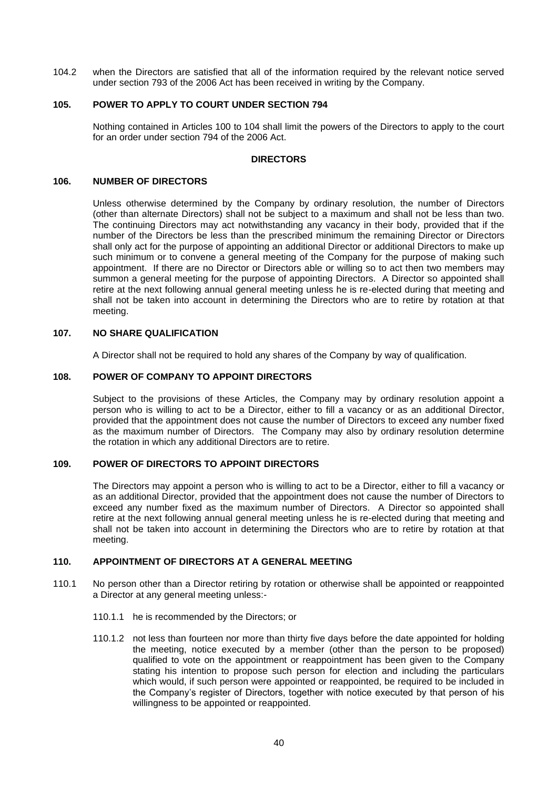104.2 when the Directors are satisfied that all of the information required by the relevant notice served under section 793 of the 2006 Act has been received in writing by the Company.

## <span id="page-38-0"></span>**105. POWER TO APPLY TO COURT UNDER SECTION 794**

Nothing contained in Articles [100](#page-36-0) to [104](#page-37-1) shall limit the powers of the Directors to apply to the court for an order under section 794 of the 2006 Act.

# **DIRECTORS**

#### **106. NUMBER OF DIRECTORS**

Unless otherwise determined by the Company by ordinary resolution, the number of Directors (other than alternate Directors) shall not be subject to a maximum and shall not be less than two. The continuing Directors may act notwithstanding any vacancy in their body, provided that if the number of the Directors be less than the prescribed minimum the remaining Director or Directors shall only act for the purpose of appointing an additional Director or additional Directors to make up such minimum or to convene a general meeting of the Company for the purpose of making such appointment. If there are no Director or Directors able or willing so to act then two members may summon a general meeting for the purpose of appointing Directors. A Director so appointed shall retire at the next following annual general meeting unless he is re-elected during that meeting and shall not be taken into account in determining the Directors who are to retire by rotation at that meeting.

# **107. NO SHARE QUALIFICATION**

A Director shall not be required to hold any shares of the Company by way of qualification.

### **108. POWER OF COMPANY TO APPOINT DIRECTORS**

Subject to the provisions of these Articles, the Company may by ordinary resolution appoint a person who is willing to act to be a Director, either to fill a vacancy or as an additional Director, provided that the appointment does not cause the number of Directors to exceed any number fixed as the maximum number of Directors. The Company may also by ordinary resolution determine the rotation in which any additional Directors are to retire.

### **109. POWER OF DIRECTORS TO APPOINT DIRECTORS**

The Directors may appoint a person who is willing to act to be a Director, either to fill a vacancy or as an additional Director, provided that the appointment does not cause the number of Directors to exceed any number fixed as the maximum number of Directors. A Director so appointed shall retire at the next following annual general meeting unless he is re-elected during that meeting and shall not be taken into account in determining the Directors who are to retire by rotation at that meeting.

# **110. APPOINTMENT OF DIRECTORS AT A GENERAL MEETING**

- <span id="page-38-1"></span>110.1 No person other than a Director retiring by rotation or otherwise shall be appointed or reappointed a Director at any general meeting unless:-
	- 110.1.1 he is recommended by the Directors; or
	- 110.1.2 not less than fourteen nor more than thirty five days before the date appointed for holding the meeting, notice executed by a member (other than the person to be proposed) qualified to vote on the appointment or reappointment has been given to the Company stating his intention to propose such person for election and including the particulars which would, if such person were appointed or reappointed, be required to be included in the Company's register of Directors, together with notice executed by that person of his willingness to be appointed or reappointed.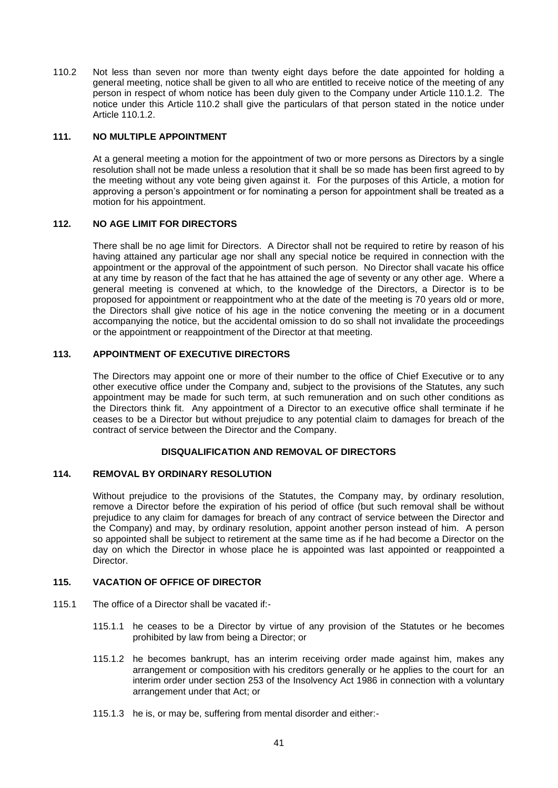<span id="page-39-0"></span>110.2 Not less than seven nor more than twenty eight days before the date appointed for holding a general meeting, notice shall be given to all who are entitled to receive notice of the meeting of any person in respect of whom notice has been duly given to the Company under Article [110.1.2.](#page-38-1) The notice under this Article [110.2](#page-39-0) shall give the particulars of that person stated in the notice under Article [110.1.2.](#page-38-1)

## **111. NO MULTIPLE APPOINTMENT**

At a general meeting a motion for the appointment of two or more persons as Directors by a single resolution shall not be made unless a resolution that it shall be so made has been first agreed to by the meeting without any vote being given against it. For the purposes of this Article, a motion for approving a person's appointment or for nominating a person for appointment shall be treated as a motion for his appointment.

### **112. NO AGE LIMIT FOR DIRECTORS**

There shall be no age limit for Directors. A Director shall not be required to retire by reason of his having attained any particular age nor shall any special notice be required in connection with the appointment or the approval of the appointment of such person. No Director shall vacate his office at any time by reason of the fact that he has attained the age of seventy or any other age. Where a general meeting is convened at which, to the knowledge of the Directors, a Director is to be proposed for appointment or reappointment who at the date of the meeting is 70 years old or more, the Directors shall give notice of his age in the notice convening the meeting or in a document accompanying the notice, but the accidental omission to do so shall not invalidate the proceedings or the appointment or reappointment of the Director at that meeting.

# **113. APPOINTMENT OF EXECUTIVE DIRECTORS**

The Directors may appoint one or more of their number to the office of Chief Executive or to any other executive office under the Company and, subject to the provisions of the Statutes, any such appointment may be made for such term, at such remuneration and on such other conditions as the Directors think fit. Any appointment of a Director to an executive office shall terminate if he ceases to be a Director but without prejudice to any potential claim to damages for breach of the contract of service between the Director and the Company.

### **DISQUALIFICATION AND REMOVAL OF DIRECTORS**

#### **114. REMOVAL BY ORDINARY RESOLUTION**

Without prejudice to the provisions of the Statutes, the Company may, by ordinary resolution, remove a Director before the expiration of his period of office (but such removal shall be without prejudice to any claim for damages for breach of any contract of service between the Director and the Company) and may, by ordinary resolution, appoint another person instead of him. A person so appointed shall be subject to retirement at the same time as if he had become a Director on the day on which the Director in whose place he is appointed was last appointed or reappointed a Director.

# **115. VACATION OF OFFICE OF DIRECTOR**

- 115.1 The office of a Director shall be vacated if:-
	- 115.1.1 he ceases to be a Director by virtue of any provision of the Statutes or he becomes prohibited by law from being a Director; or
	- 115.1.2 he becomes bankrupt, has an interim receiving order made against him, makes any arrangement or composition with his creditors generally or he applies to the court for an interim order under section 253 of the Insolvency Act 1986 in connection with a voluntary arrangement under that Act; or
	- 115.1.3 he is, or may be, suffering from mental disorder and either:-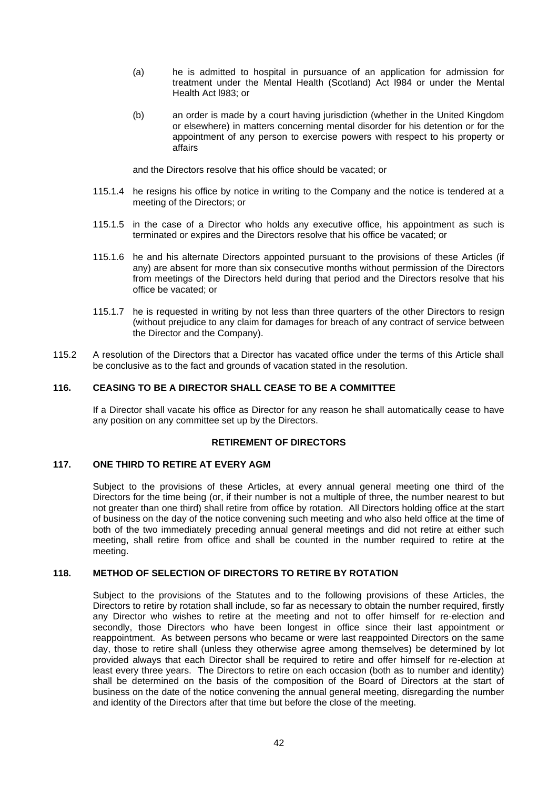- (a) he is admitted to hospital in pursuance of an application for admission for treatment under the Mental Health (Scotland) Act l984 or under the Mental Health Act l983; or
- (b) an order is made by a court having jurisdiction (whether in the United Kingdom or elsewhere) in matters concerning mental disorder for his detention or for the appointment of any person to exercise powers with respect to his property or affairs

and the Directors resolve that his office should be vacated; or

- 115.1.4 he resigns his office by notice in writing to the Company and the notice is tendered at a meeting of the Directors; or
- 115.1.5 in the case of a Director who holds any executive office, his appointment as such is terminated or expires and the Directors resolve that his office be vacated; or
- 115.1.6 he and his alternate Directors appointed pursuant to the provisions of these Articles (if any) are absent for more than six consecutive months without permission of the Directors from meetings of the Directors held during that period and the Directors resolve that his office be vacated; or
- 115.1.7 he is requested in writing by not less than three quarters of the other Directors to resign (without prejudice to any claim for damages for breach of any contract of service between the Director and the Company).
- 115.2 A resolution of the Directors that a Director has vacated office under the terms of this Article shall be conclusive as to the fact and grounds of vacation stated in the resolution.

# **116. CEASING TO BE A DIRECTOR SHALL CEASE TO BE A COMMITTEE**

If a Director shall vacate his office as Director for any reason he shall automatically cease to have any position on any committee set up by the Directors.

# **RETIREMENT OF DIRECTORS**

# **117. ONE THIRD TO RETIRE AT EVERY AGM**

Subject to the provisions of these Articles, at every annual general meeting one third of the Directors for the time being (or, if their number is not a multiple of three, the number nearest to but not greater than one third) shall retire from office by rotation. All Directors holding office at the start of business on the day of the notice convening such meeting and who also held office at the time of both of the two immediately preceding annual general meetings and did not retire at either such meeting, shall retire from office and shall be counted in the number required to retire at the meeting.

# **118. METHOD OF SELECTION OF DIRECTORS TO RETIRE BY ROTATION**

Subject to the provisions of the Statutes and to the following provisions of these Articles, the Directors to retire by rotation shall include, so far as necessary to obtain the number required, firstly any Director who wishes to retire at the meeting and not to offer himself for re-election and secondly, those Directors who have been longest in office since their last appointment or reappointment. As between persons who became or were last reappointed Directors on the same day, those to retire shall (unless they otherwise agree among themselves) be determined by lot provided always that each Director shall be required to retire and offer himself for re-election at least every three years. The Directors to retire on each occasion (both as to number and identity) shall be determined on the basis of the composition of the Board of Directors at the start of business on the date of the notice convening the annual general meeting, disregarding the number and identity of the Directors after that time but before the close of the meeting.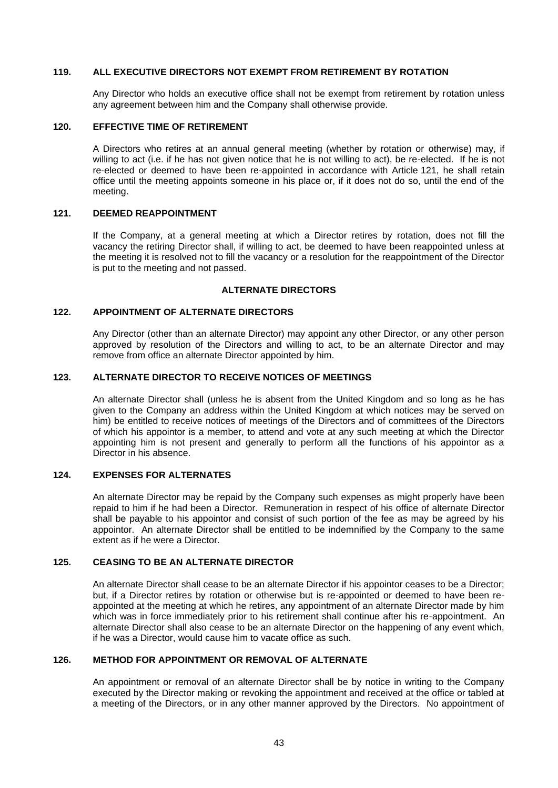#### **119. ALL EXECUTIVE DIRECTORS NOT EXEMPT FROM RETIREMENT BY ROTATION**

Any Director who holds an executive office shall not be exempt from retirement by rotation unless any agreement between him and the Company shall otherwise provide.

### **120. EFFECTIVE TIME OF RETIREMENT**

A Directors who retires at an annual general meeting (whether by rotation or otherwise) may, if willing to act (i.e. if he has not given notice that he is not willing to act), be re-elected. If he is not re-elected or deemed to have been re-appointed in accordance with Article [121,](#page-41-0) he shall retain office until the meeting appoints someone in his place or, if it does not do so, until the end of the meeting.

### <span id="page-41-0"></span>**121. DEEMED REAPPOINTMENT**

If the Company, at a general meeting at which a Director retires by rotation, does not fill the vacancy the retiring Director shall, if willing to act, be deemed to have been reappointed unless at the meeting it is resolved not to fill the vacancy or a resolution for the reappointment of the Director is put to the meeting and not passed.

### **ALTERNATE DIRECTORS**

### **122. APPOINTMENT OF ALTERNATE DIRECTORS**

Any Director (other than an alternate Director) may appoint any other Director, or any other person approved by resolution of the Directors and willing to act, to be an alternate Director and may remove from office an alternate Director appointed by him.

# **123. ALTERNATE DIRECTOR TO RECEIVE NOTICES OF MEETINGS**

An alternate Director shall (unless he is absent from the United Kingdom and so long as he has given to the Company an address within the United Kingdom at which notices may be served on him) be entitled to receive notices of meetings of the Directors and of committees of the Directors of which his appointor is a member, to attend and vote at any such meeting at which the Director appointing him is not present and generally to perform all the functions of his appointor as a Director in his absence.

# **124. EXPENSES FOR ALTERNATES**

An alternate Director may be repaid by the Company such expenses as might properly have been repaid to him if he had been a Director. Remuneration in respect of his office of alternate Director shall be payable to his appointor and consist of such portion of the fee as may be agreed by his appointor. An alternate Director shall be entitled to be indemnified by the Company to the same extent as if he were a Director.

### **125. CEASING TO BE AN ALTERNATE DIRECTOR**

An alternate Director shall cease to be an alternate Director if his appointor ceases to be a Director; but, if a Director retires by rotation or otherwise but is re-appointed or deemed to have been reappointed at the meeting at which he retires, any appointment of an alternate Director made by him which was in force immediately prior to his retirement shall continue after his re-appointment. An alternate Director shall also cease to be an alternate Director on the happening of any event which, if he was a Director, would cause him to vacate office as such.

### **126. METHOD FOR APPOINTMENT OR REMOVAL OF ALTERNATE**

An appointment or removal of an alternate Director shall be by notice in writing to the Company executed by the Director making or revoking the appointment and received at the office or tabled at a meeting of the Directors, or in any other manner approved by the Directors. No appointment of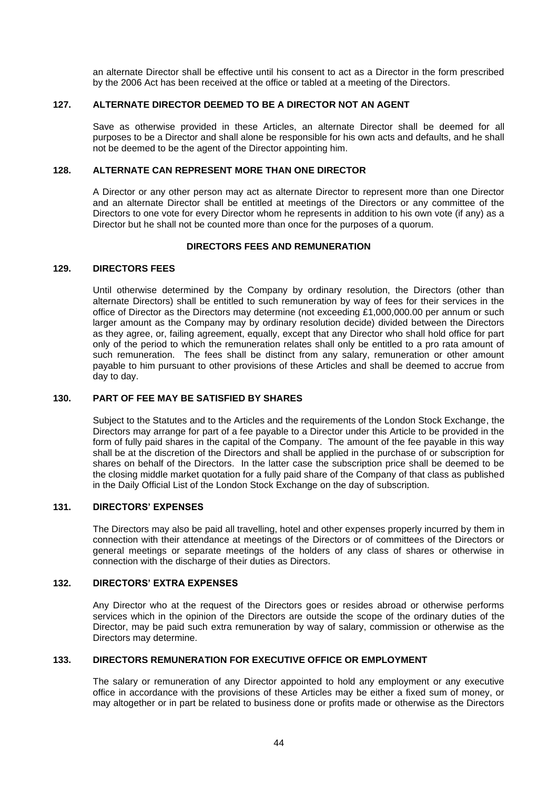an alternate Director shall be effective until his consent to act as a Director in the form prescribed by the 2006 Act has been received at the office or tabled at a meeting of the Directors.

### **127. ALTERNATE DIRECTOR DEEMED TO BE A DIRECTOR NOT AN AGENT**

Save as otherwise provided in these Articles, an alternate Director shall be deemed for all purposes to be a Director and shall alone be responsible for his own acts and defaults, and he shall not be deemed to be the agent of the Director appointing him.

# **128. ALTERNATE CAN REPRESENT MORE THAN ONE DIRECTOR**

A Director or any other person may act as alternate Director to represent more than one Director and an alternate Director shall be entitled at meetings of the Directors or any committee of the Directors to one vote for every Director whom he represents in addition to his own vote (if any) as a Director but he shall not be counted more than once for the purposes of a quorum.

## **DIRECTORS FEES AND REMUNERATION**

### **129. DIRECTORS FEES**

Until otherwise determined by the Company by ordinary resolution, the Directors (other than alternate Directors) shall be entitled to such remuneration by way of fees for their services in the office of Director as the Directors may determine (not exceeding £1,000,000.00 per annum or such larger amount as the Company may by ordinary resolution decide) divided between the Directors as they agree, or, failing agreement, equally, except that any Director who shall hold office for part only of the period to which the remuneration relates shall only be entitled to a pro rata amount of such remuneration. The fees shall be distinct from any salary, remuneration or other amount payable to him pursuant to other provisions of these Articles and shall be deemed to accrue from day to day.

# **130. PART OF FEE MAY BE SATISFIED BY SHARES**

Subject to the Statutes and to the Articles and the requirements of the London Stock Exchange, the Directors may arrange for part of a fee payable to a Director under this Article to be provided in the form of fully paid shares in the capital of the Company. The amount of the fee payable in this way shall be at the discretion of the Directors and shall be applied in the purchase of or subscription for shares on behalf of the Directors. In the latter case the subscription price shall be deemed to be the closing middle market quotation for a fully paid share of the Company of that class as published in the Daily Official List of the London Stock Exchange on the day of subscription.

### **131. DIRECTORS' EXPENSES**

The Directors may also be paid all travelling, hotel and other expenses properly incurred by them in connection with their attendance at meetings of the Directors or of committees of the Directors or general meetings or separate meetings of the holders of any class of shares or otherwise in connection with the discharge of their duties as Directors.

# **132. DIRECTORS' EXTRA EXPENSES**

Any Director who at the request of the Directors goes or resides abroad or otherwise performs services which in the opinion of the Directors are outside the scope of the ordinary duties of the Director, may be paid such extra remuneration by way of salary, commission or otherwise as the Directors may determine.

#### **133. DIRECTORS REMUNERATION FOR EXECUTIVE OFFICE OR EMPLOYMENT**

The salary or remuneration of any Director appointed to hold any employment or any executive office in accordance with the provisions of these Articles may be either a fixed sum of money, or may altogether or in part be related to business done or profits made or otherwise as the Directors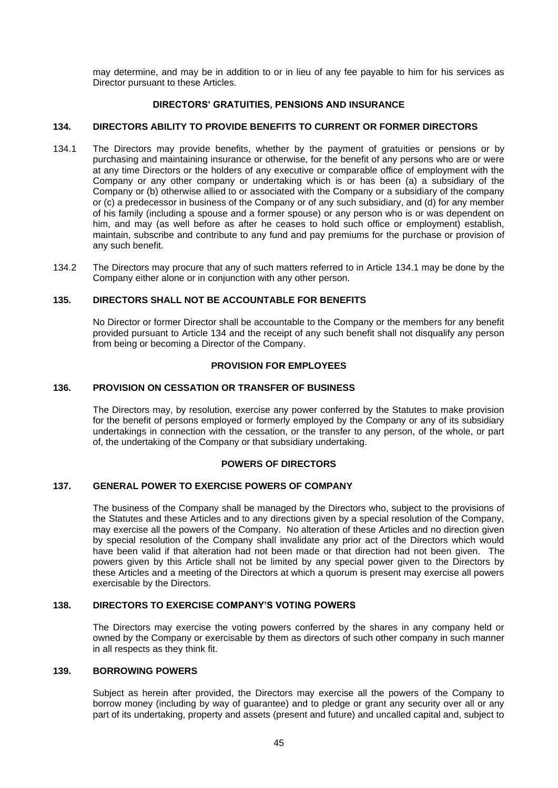may determine, and may be in addition to or in lieu of any fee payable to him for his services as Director pursuant to these Articles.

### **DIRECTORS' GRATUITIES, PENSIONS AND INSURANCE**

## <span id="page-43-1"></span>**134. DIRECTORS ABILITY TO PROVIDE BENEFITS TO CURRENT OR FORMER DIRECTORS**

- <span id="page-43-0"></span>134.1 The Directors may provide benefits, whether by the payment of gratuities or pensions or by purchasing and maintaining insurance or otherwise, for the benefit of any persons who are or were at any time Directors or the holders of any executive or comparable office of employment with the Company or any other company or undertaking which is or has been (a) a subsidiary of the Company or (b) otherwise allied to or associated with the Company or a subsidiary of the company or (c) a predecessor in business of the Company or of any such subsidiary, and (d) for any member of his family (including a spouse and a former spouse) or any person who is or was dependent on him, and may (as well before as after he ceases to hold such office or employment) establish, maintain, subscribe and contribute to any fund and pay premiums for the purchase or provision of any such benefit.
- 134.2 The Directors may procure that any of such matters referred to in Article [134.1](#page-43-0) may be done by the Company either alone or in conjunction with any other person.

#### **135. DIRECTORS SHALL NOT BE ACCOUNTABLE FOR BENEFITS**

No Director or former Director shall be accountable to the Company or the members for any benefit provided pursuant to Article [134](#page-43-1) and the receipt of any such benefit shall not disqualify any person from being or becoming a Director of the Company.

### **PROVISION FOR EMPLOYEES**

#### **136. PROVISION ON CESSATION OR TRANSFER OF BUSINESS**

The Directors may, by resolution, exercise any power conferred by the Statutes to make provision for the benefit of persons employed or formerly employed by the Company or any of its subsidiary undertakings in connection with the cessation, or the transfer to any person, of the whole, or part of, the undertaking of the Company or that subsidiary undertaking.

#### **POWERS OF DIRECTORS**

## **137. GENERAL POWER TO EXERCISE POWERS OF COMPANY**

The business of the Company shall be managed by the Directors who, subject to the provisions of the Statutes and these Articles and to any directions given by a special resolution of the Company, may exercise all the powers of the Company. No alteration of these Articles and no direction given by special resolution of the Company shall invalidate any prior act of the Directors which would have been valid if that alteration had not been made or that direction had not been given. The powers given by this Article shall not be limited by any special power given to the Directors by these Articles and a meeting of the Directors at which a quorum is present may exercise all powers exercisable by the Directors.

### **138. DIRECTORS TO EXERCISE COMPANY'S VOTING POWERS**

The Directors may exercise the voting powers conferred by the shares in any company held or owned by the Company or exercisable by them as directors of such other company in such manner in all respects as they think fit.

# **139. BORROWING POWERS**

Subject as herein after provided, the Directors may exercise all the powers of the Company to borrow money (including by way of guarantee) and to pledge or grant any security over all or any part of its undertaking, property and assets (present and future) and uncalled capital and, subject to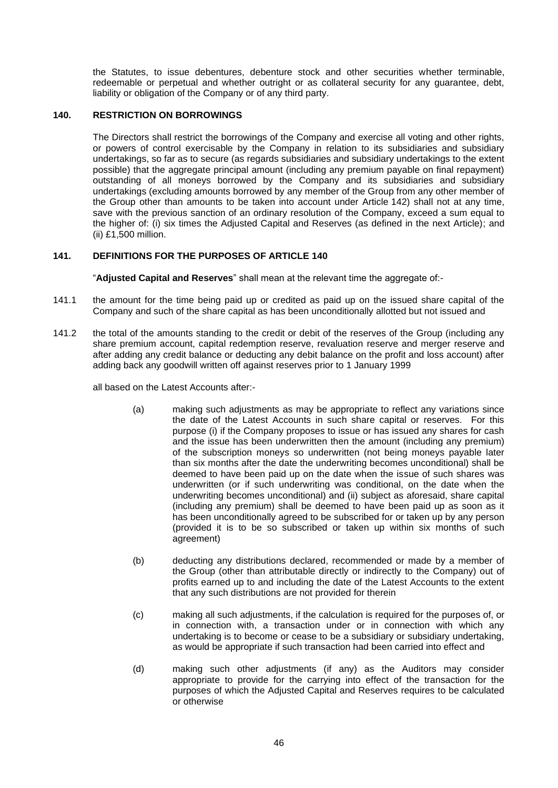the Statutes, to issue debentures, debenture stock and other securities whether terminable, redeemable or perpetual and whether outright or as collateral security for any quarantee, debt, liability or obligation of the Company or of any third party.

# <span id="page-44-0"></span>**140. RESTRICTION ON BORROWINGS**

The Directors shall restrict the borrowings of the Company and exercise all voting and other rights, or powers of control exercisable by the Company in relation to its subsidiaries and subsidiary undertakings, so far as to secure (as regards subsidiaries and subsidiary undertakings to the extent possible) that the aggregate principal amount (including any premium payable on final repayment) outstanding of all moneys borrowed by the Company and its subsidiaries and subsidiary undertakings (excluding amounts borrowed by any member of the Group from any other member of the Group other than amounts to be taken into account under Article [142\)](#page-46-0) shall not at any time, save with the previous sanction of an ordinary resolution of the Company, exceed a sum equal to the higher of: (i) six times the Adjusted Capital and Reserves (as defined in the next Article); and (ii) £1,500 million.

### **141. DEFINITIONS FOR THE PURPOSES OF ARTICLE [140](#page-44-0)**

"**Adjusted Capital and Reserves**" shall mean at the relevant time the aggregate of:-

- 141.1 the amount for the time being paid up or credited as paid up on the issued share capital of the Company and such of the share capital as has been unconditionally allotted but not issued and
- 141.2 the total of the amounts standing to the credit or debit of the reserves of the Group (including any share premium account, capital redemption reserve, revaluation reserve and merger reserve and after adding any credit balance or deducting any debit balance on the profit and loss account) after adding back any goodwill written off against reserves prior to 1 January 1999

all based on the Latest Accounts after:-

- (a) making such adjustments as may be appropriate to reflect any variations since the date of the Latest Accounts in such share capital or reserves. For this purpose (i) if the Company proposes to issue or has issued any shares for cash and the issue has been underwritten then the amount (including any premium) of the subscription moneys so underwritten (not being moneys payable later than six months after the date the underwriting becomes unconditional) shall be deemed to have been paid up on the date when the issue of such shares was underwritten (or if such underwriting was conditional, on the date when the underwriting becomes unconditional) and (ii) subject as aforesaid, share capital (including any premium) shall be deemed to have been paid up as soon as it has been unconditionally agreed to be subscribed for or taken up by any person (provided it is to be so subscribed or taken up within six months of such agreement)
- (b) deducting any distributions declared, recommended or made by a member of the Group (other than attributable directly or indirectly to the Company) out of profits earned up to and including the date of the Latest Accounts to the extent that any such distributions are not provided for therein
- (c) making all such adjustments, if the calculation is required for the purposes of, or in connection with, a transaction under or in connection with which any undertaking is to become or cease to be a subsidiary or subsidiary undertaking, as would be appropriate if such transaction had been carried into effect and
- (d) making such other adjustments (if any) as the Auditors may consider appropriate to provide for the carrying into effect of the transaction for the purposes of which the Adjusted Capital and Reserves requires to be calculated or otherwise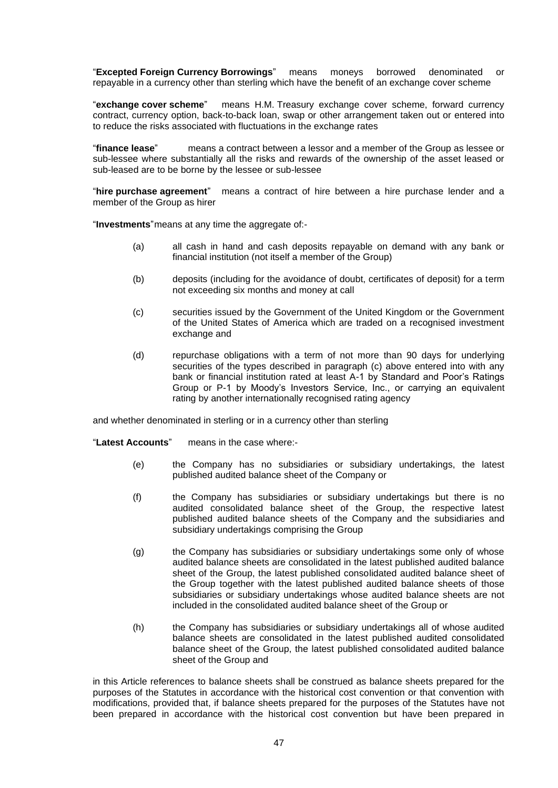"**Excepted Foreign Currency Borrowings**" means moneys borrowed denominated or repayable in a currency other than sterling which have the benefit of an exchange cover scheme

"**exchange cover scheme**" means H.M. Treasury exchange cover scheme, forward currency contract, currency option, back-to-back loan, swap or other arrangement taken out or entered into to reduce the risks associated with fluctuations in the exchange rates

"**finance lease**" means a contract between a lessor and a member of the Group as lessee or sub-lessee where substantially all the risks and rewards of the ownership of the asset leased or sub-leased are to be borne by the lessee or sub-lessee

"**hire purchase agreement**" means a contract of hire between a hire purchase lender and a member of the Group as hirer

"**Investments**"means at any time the aggregate of:-

- (a) all cash in hand and cash deposits repayable on demand with any bank or financial institution (not itself a member of the Group)
- (b) deposits (including for the avoidance of doubt, certificates of deposit) for a term not exceeding six months and money at call
- (c) securities issued by the Government of the United Kingdom or the Government of the United States of America which are traded on a recognised investment exchange and
- (d) repurchase obligations with a term of not more than 90 days for underlying securities of the types described in paragraph (c) above entered into with any bank or financial institution rated at least A-1 by Standard and Poor's Ratings Group or P-1 by Moody's Investors Service, Inc., or carrying an equivalent rating by another internationally recognised rating agency

and whether denominated in sterling or in a currency other than sterling

"**Latest Accounts**" means in the case where:-

- (e) the Company has no subsidiaries or subsidiary undertakings, the latest published audited balance sheet of the Company or
- (f) the Company has subsidiaries or subsidiary undertakings but there is no audited consolidated balance sheet of the Group, the respective latest published audited balance sheets of the Company and the subsidiaries and subsidiary undertakings comprising the Group
- (g) the Company has subsidiaries or subsidiary undertakings some only of whose audited balance sheets are consolidated in the latest published audited balance sheet of the Group, the latest published consolidated audited balance sheet of the Group together with the latest published audited balance sheets of those subsidiaries or subsidiary undertakings whose audited balance sheets are not included in the consolidated audited balance sheet of the Group or
- (h) the Company has subsidiaries or subsidiary undertakings all of whose audited balance sheets are consolidated in the latest published audited consolidated balance sheet of the Group, the latest published consolidated audited balance sheet of the Group and

in this Article references to balance sheets shall be construed as balance sheets prepared for the purposes of the Statutes in accordance with the historical cost convention or that convention with modifications, provided that, if balance sheets prepared for the purposes of the Statutes have not been prepared in accordance with the historical cost convention but have been prepared in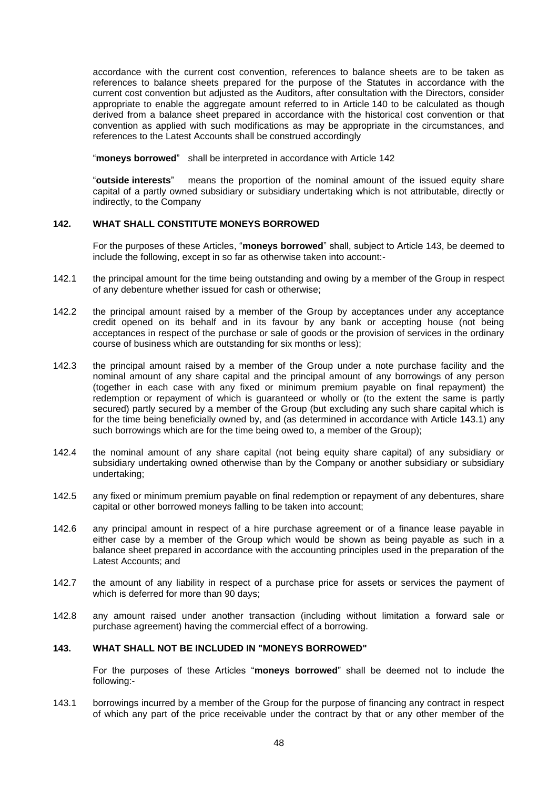accordance with the current cost convention, references to balance sheets are to be taken as references to balance sheets prepared for the purpose of the Statutes in accordance with the current cost convention but adjusted as the Auditors, after consultation with the Directors, consider appropriate to enable the aggregate amount referred to in Article [140](#page-44-0) to be calculated as though derived from a balance sheet prepared in accordance with the historical cost convention or that convention as applied with such modifications as may be appropriate in the circumstances, and references to the Latest Accounts shall be construed accordingly

"**moneys borrowed**" shall be interpreted in accordance with Article [142](#page-46-0)

"**outside interests**" means the proportion of the nominal amount of the issued equity share capital of a partly owned subsidiary or subsidiary undertaking which is not attributable, directly or indirectly, to the Company

#### <span id="page-46-0"></span>**142. WHAT SHALL CONSTITUTE MONEYS BORROWED**

For the purposes of these Articles, "**moneys borrowed**" shall, subject to Article [143,](#page-46-1) be deemed to include the following, except in so far as otherwise taken into account:-

- 142.1 the principal amount for the time being outstanding and owing by a member of the Group in respect of any debenture whether issued for cash or otherwise;
- 142.2 the principal amount raised by a member of the Group by acceptances under any acceptance credit opened on its behalf and in its favour by any bank or accepting house (not being acceptances in respect of the purchase or sale of goods or the provision of services in the ordinary course of business which are outstanding for six months or less);
- 142.3 the principal amount raised by a member of the Group under a note purchase facility and the nominal amount of any share capital and the principal amount of any borrowings of any person (together in each case with any fixed or minimum premium payable on final repayment) the redemption or repayment of which is guaranteed or wholly or (to the extent the same is partly secured) partly secured by a member of the Group (but excluding any such share capital which is for the time being beneficially owned by, and (as determined in accordance with Article [143.1\)](#page-46-2) any such borrowings which are for the time being owed to, a member of the Group);
- 142.4 the nominal amount of any share capital (not being equity share capital) of any subsidiary or subsidiary undertaking owned otherwise than by the Company or another subsidiary or subsidiary undertaking;
- 142.5 any fixed or minimum premium payable on final redemption or repayment of any debentures, share capital or other borrowed moneys falling to be taken into account;
- 142.6 any principal amount in respect of a hire purchase agreement or of a finance lease payable in either case by a member of the Group which would be shown as being payable as such in a balance sheet prepared in accordance with the accounting principles used in the preparation of the Latest Accounts; and
- 142.7 the amount of any liability in respect of a purchase price for assets or services the payment of which is deferred for more than 90 days;
- 142.8 any amount raised under another transaction (including without limitation a forward sale or purchase agreement) having the commercial effect of a borrowing.

## <span id="page-46-1"></span>**143. WHAT SHALL NOT BE INCLUDED IN "MONEYS BORROWED"**

For the purposes of these Articles "**moneys borrowed**" shall be deemed not to include the following:-

<span id="page-46-2"></span>143.1 borrowings incurred by a member of the Group for the purpose of financing any contract in respect of which any part of the price receivable under the contract by that or any other member of the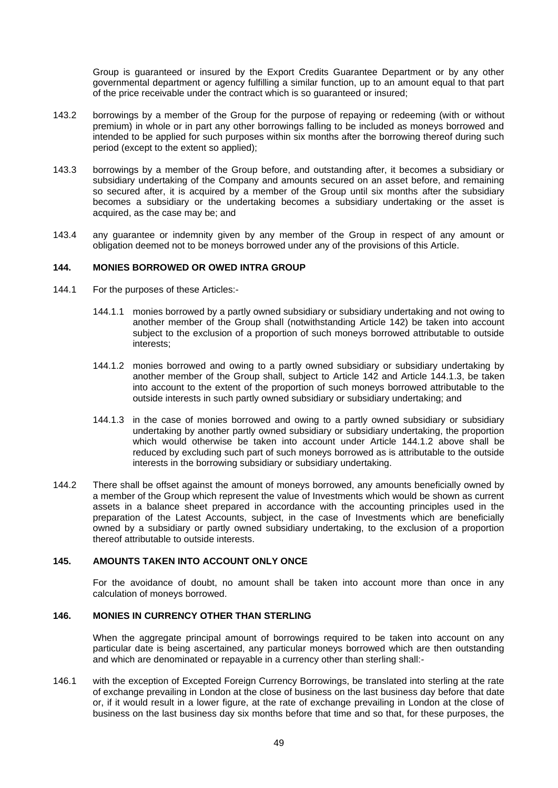Group is guaranteed or insured by the Export Credits Guarantee Department or by any other governmental department or agency fulfilling a similar function, up to an amount equal to that part of the price receivable under the contract which is so guaranteed or insured;

- 143.2 borrowings by a member of the Group for the purpose of repaying or redeeming (with or without premium) in whole or in part any other borrowings falling to be included as moneys borrowed and intended to be applied for such purposes within six months after the borrowing thereof during such period (except to the extent so applied);
- 143.3 borrowings by a member of the Group before, and outstanding after, it becomes a subsidiary or subsidiary undertaking of the Company and amounts secured on an asset before, and remaining so secured after, it is acquired by a member of the Group until six months after the subsidiary becomes a subsidiary or the undertaking becomes a subsidiary undertaking or the asset is acquired, as the case may be; and
- 143.4 any guarantee or indemnity given by any member of the Group in respect of any amount or obligation deemed not to be moneys borrowed under any of the provisions of this Article.

### **144. MONIES BORROWED OR OWED INTRA GROUP**

- 144.1 For the purposes of these Articles:-
	- 144.1.1 monies borrowed by a partly owned subsidiary or subsidiary undertaking and not owing to another member of the Group shall (notwithstanding Article 142) be taken into account subject to the exclusion of a proportion of such moneys borrowed attributable to outside interests;
	- 144.1.2 monies borrowed and owing to a partly owned subsidiary or subsidiary undertaking by another member of the Group shall, subject to Article 142 and Article 144.1.3, be taken into account to the extent of the proportion of such moneys borrowed attributable to the outside interests in such partly owned subsidiary or subsidiary undertaking; and
	- 144.1.3 in the case of monies borrowed and owing to a partly owned subsidiary or subsidiary undertaking by another partly owned subsidiary or subsidiary undertaking, the proportion which would otherwise be taken into account under Article 144.1.2 above shall be reduced by excluding such part of such moneys borrowed as is attributable to the outside interests in the borrowing subsidiary or subsidiary undertaking.
- 144.2 There shall be offset against the amount of moneys borrowed, any amounts beneficially owned by a member of the Group which represent the value of Investments which would be shown as current assets in a balance sheet prepared in accordance with the accounting principles used in the preparation of the Latest Accounts, subject, in the case of Investments which are beneficially owned by a subsidiary or partly owned subsidiary undertaking, to the exclusion of a proportion thereof attributable to outside interests.

#### **145. AMOUNTS TAKEN INTO ACCOUNT ONLY ONCE**

For the avoidance of doubt, no amount shall be taken into account more than once in any calculation of moneys borrowed.

### **146. MONIES IN CURRENCY OTHER THAN STERLING**

When the aggregate principal amount of borrowings required to be taken into account on any particular date is being ascertained, any particular moneys borrowed which are then outstanding and which are denominated or repayable in a currency other than sterling shall:-

<span id="page-47-0"></span>146.1 with the exception of Excepted Foreign Currency Borrowings, be translated into sterling at the rate of exchange prevailing in London at the close of business on the last business day before that date or, if it would result in a lower figure, at the rate of exchange prevailing in London at the close of business on the last business day six months before that time and so that, for these purposes, the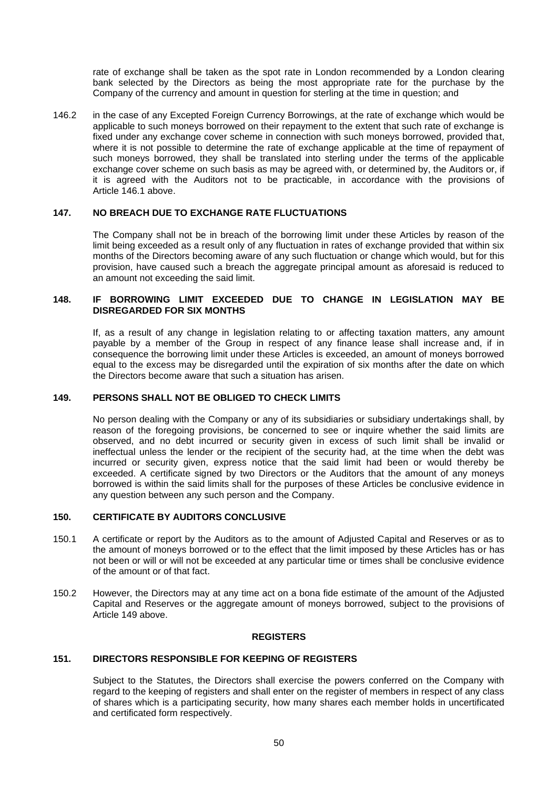rate of exchange shall be taken as the spot rate in London recommended by a London clearing bank selected by the Directors as being the most appropriate rate for the purchase by the Company of the currency and amount in question for sterling at the time in question; and

146.2 in the case of any Excepted Foreign Currency Borrowings, at the rate of exchange which would be applicable to such moneys borrowed on their repayment to the extent that such rate of exchange is fixed under any exchange cover scheme in connection with such moneys borrowed, provided that, where it is not possible to determine the rate of exchange applicable at the time of repayment of such moneys borrowed, they shall be translated into sterling under the terms of the applicable exchange cover scheme on such basis as may be agreed with, or determined by, the Auditors or, if it is agreed with the Auditors not to be practicable, in accordance with the provisions of Article [146.1](#page-47-0) above.

## **147. NO BREACH DUE TO EXCHANGE RATE FLUCTUATIONS**

The Company shall not be in breach of the borrowing limit under these Articles by reason of the limit being exceeded as a result only of any fluctuation in rates of exchange provided that within six months of the Directors becoming aware of any such fluctuation or change which would, but for this provision, have caused such a breach the aggregate principal amount as aforesaid is reduced to an amount not exceeding the said limit.

#### **148. IF BORROWING LIMIT EXCEEDED DUE TO CHANGE IN LEGISLATION MAY BE DISREGARDED FOR SIX MONTHS**

If, as a result of any change in legislation relating to or affecting taxation matters, any amount payable by a member of the Group in respect of any finance lease shall increase and, if in consequence the borrowing limit under these Articles is exceeded, an amount of moneys borrowed equal to the excess may be disregarded until the expiration of six months after the date on which the Directors become aware that such a situation has arisen.

### <span id="page-48-0"></span>**149. PERSONS SHALL NOT BE OBLIGED TO CHECK LIMITS**

No person dealing with the Company or any of its subsidiaries or subsidiary undertakings shall, by reason of the foregoing provisions, be concerned to see or inquire whether the said limits are observed, and no debt incurred or security given in excess of such limit shall be invalid or ineffectual unless the lender or the recipient of the security had, at the time when the debt was incurred or security given, express notice that the said limit had been or would thereby be exceeded. A certificate signed by two Directors or the Auditors that the amount of any moneys borrowed is within the said limits shall for the purposes of these Articles be conclusive evidence in any question between any such person and the Company.

### **150. CERTIFICATE BY AUDITORS CONCLUSIVE**

- 150.1 A certificate or report by the Auditors as to the amount of Adjusted Capital and Reserves or as to the amount of moneys borrowed or to the effect that the limit imposed by these Articles has or has not been or will or will not be exceeded at any particular time or times shall be conclusive evidence of the amount or of that fact.
- 150.2 However, the Directors may at any time act on a bona fide estimate of the amount of the Adjusted Capital and Reserves or the aggregate amount of moneys borrowed, subject to the provisions of Article [149](#page-48-0) above.

#### **REGISTERS**

#### **151. DIRECTORS RESPONSIBLE FOR KEEPING OF REGISTERS**

Subject to the Statutes, the Directors shall exercise the powers conferred on the Company with regard to the keeping of registers and shall enter on the register of members in respect of any class of shares which is a participating security, how many shares each member holds in uncertificated and certificated form respectively.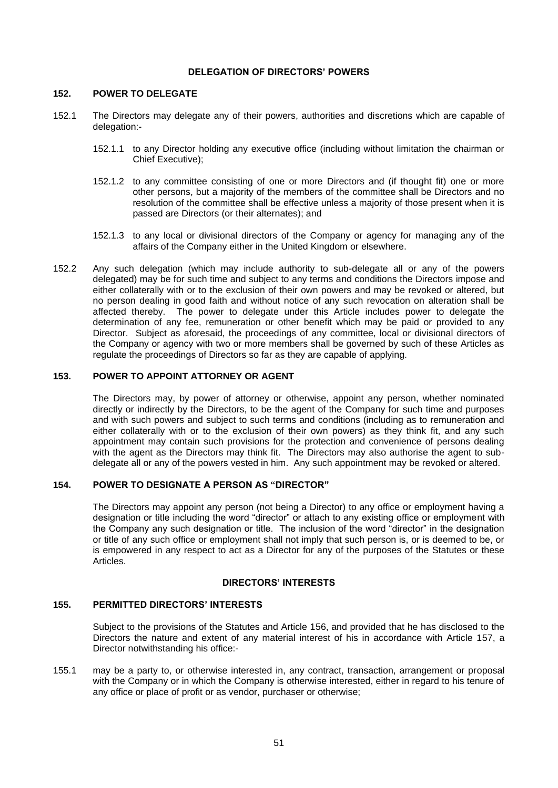#### **DELEGATION OF DIRECTORS' POWERS**

#### **152. POWER TO DELEGATE**

- 152.1 The Directors may delegate any of their powers, authorities and discretions which are capable of delegation:-
	- 152.1.1 to any Director holding any executive office (including without limitation the chairman or Chief Executive);
	- 152.1.2 to any committee consisting of one or more Directors and (if thought fit) one or more other persons, but a majority of the members of the committee shall be Directors and no resolution of the committee shall be effective unless a majority of those present when it is passed are Directors (or their alternates); and
	- 152.1.3 to any local or divisional directors of the Company or agency for managing any of the affairs of the Company either in the United Kingdom or elsewhere.
- 152.2 Any such delegation (which may include authority to sub-delegate all or any of the powers delegated) may be for such time and subject to any terms and conditions the Directors impose and either collaterally with or to the exclusion of their own powers and may be revoked or altered, but no person dealing in good faith and without notice of any such revocation on alteration shall be affected thereby. The power to delegate under this Article includes power to delegate the determination of any fee, remuneration or other benefit which may be paid or provided to any Director. Subject as aforesaid, the proceedings of any committee, local or divisional directors of the Company or agency with two or more members shall be governed by such of these Articles as regulate the proceedings of Directors so far as they are capable of applying.

### **153. POWER TO APPOINT ATTORNEY OR AGENT**

The Directors may, by power of attorney or otherwise, appoint any person, whether nominated directly or indirectly by the Directors, to be the agent of the Company for such time and purposes and with such powers and subject to such terms and conditions (including as to remuneration and either collaterally with or to the exclusion of their own powers) as they think fit, and any such appointment may contain such provisions for the protection and convenience of persons dealing with the agent as the Directors may think fit. The Directors may also authorise the agent to subdelegate all or any of the powers vested in him. Any such appointment may be revoked or altered.

# **154. POWER TO DESIGNATE A PERSON AS "DIRECTOR"**

The Directors may appoint any person (not being a Director) to any office or employment having a designation or title including the word "director" or attach to any existing office or employment with the Company any such designation or title. The inclusion of the word "director" in the designation or title of any such office or employment shall not imply that such person is, or is deemed to be, or is empowered in any respect to act as a Director for any of the purposes of the Statutes or these Articles.

### **DIRECTORS' INTERESTS**

# **155. PERMITTED DIRECTORS' INTERESTS**

Subject to the provisions of the Statutes and Article 156, and provided that he has disclosed to the Directors the nature and extent of any material interest of his in accordance with Article 157, a Director notwithstanding his office:-

155.1 may be a party to, or otherwise interested in, any contract, transaction, arrangement or proposal with the Company or in which the Company is otherwise interested, either in regard to his tenure of any office or place of profit or as vendor, purchaser or otherwise;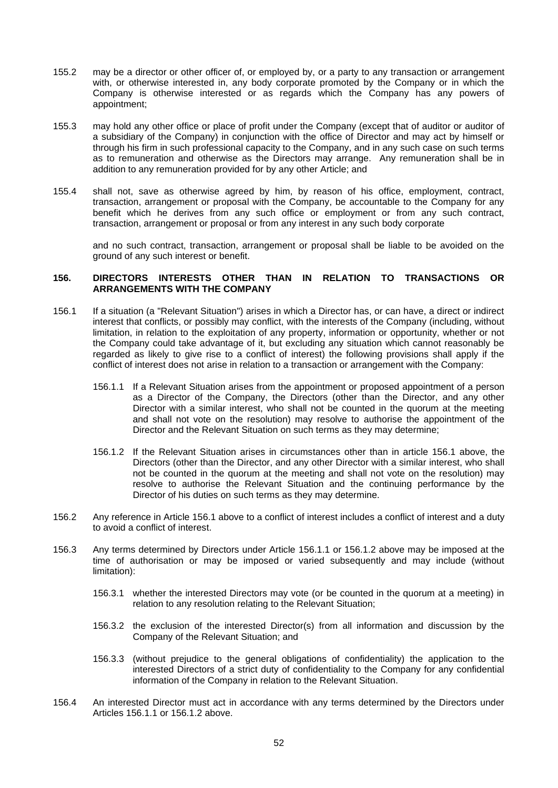- 155.2 may be a director or other officer of, or employed by, or a party to any transaction or arrangement with, or otherwise interested in, any body corporate promoted by the Company or in which the Company is otherwise interested or as regards which the Company has any powers of appointment;
- 155.3 may hold any other office or place of profit under the Company (except that of auditor or auditor of a subsidiary of the Company) in conjunction with the office of Director and may act by himself or through his firm in such professional capacity to the Company, and in any such case on such terms as to remuneration and otherwise as the Directors may arrange. Any remuneration shall be in addition to any remuneration provided for by any other Article; and
- 155.4 shall not, save as otherwise agreed by him, by reason of his office, employment, contract, transaction, arrangement or proposal with the Company, be accountable to the Company for any benefit which he derives from any such office or employment or from any such contract, transaction, arrangement or proposal or from any interest in any such body corporate

and no such contract, transaction, arrangement or proposal shall be liable to be avoided on the ground of any such interest or benefit.

#### **156. DIRECTORS INTERESTS OTHER THAN IN RELATION TO TRANSACTIONS OR ARRANGEMENTS WITH THE COMPANY**

- <span id="page-50-2"></span><span id="page-50-0"></span>156.1 If a situation (a "Relevant Situation") arises in which a Director has, or can have, a direct or indirect interest that conflicts, or possibly may conflict, with the interests of the Company (including, without limitation, in relation to the exploitation of any property, information or opportunity, whether or not the Company could take advantage of it, but excluding any situation which cannot reasonably be regarded as likely to give rise to a conflict of interest) the following provisions shall apply if the conflict of interest does not arise in relation to a transaction or arrangement with the Company:
	- 156.1.1 If a Relevant Situation arises from the appointment or proposed appointment of a person as a Director of the Company, the Directors (other than the Director, and any other Director with a similar interest, who shall not be counted in the quorum at the meeting and shall not vote on the resolution) may resolve to authorise the appointment of the Director and the Relevant Situation on such terms as they may determine;
	- 156.1.2 If the Relevant Situation arises in circumstances other than in article 156.1 above, the Directors (other than the Director, and any other Director with a similar interest, who shall not be counted in the quorum at the meeting and shall not vote on the resolution) may resolve to authorise the Relevant Situation and the continuing performance by the Director of his duties on such terms as they may determine.
- <span id="page-50-1"></span>156.2 Any reference in Article 156.1 above to a conflict of interest includes a conflict of interest and a duty to avoid a conflict of interest.
- 156.3 Any terms determined by Directors under Article [156.1.1](#page-50-0) or [156.1.2](#page-50-1) above may be imposed at the time of authorisation or may be imposed or varied subsequently and may include (without limitation):
	- 156.3.1 whether the interested Directors may vote (or be counted in the quorum at a meeting) in relation to any resolution relating to the Relevant Situation;
	- 156.3.2 the exclusion of the interested Director(s) from all information and discussion by the Company of the Relevant Situation; and
	- 156.3.3 (without prejudice to the general obligations of confidentiality) the application to the interested Directors of a strict duty of confidentiality to the Company for any confidential information of the Company in relation to the Relevant Situation.
- 156.4 An interested Director must act in accordance with any terms determined by the Directors under Articles [156.1.1](#page-50-0) or [156.1.2](#page-50-1) above.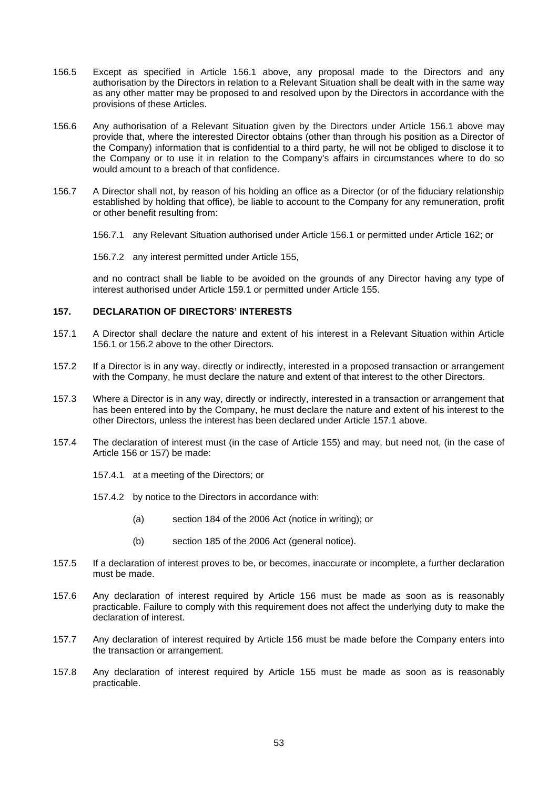- 156.5 Except as specified in Article [156.1](#page-50-2) above, any proposal made to the Directors and any authorisation by the Directors in relation to a Relevant Situation shall be dealt with in the same way as any other matter may be proposed to and resolved upon by the Directors in accordance with the provisions of these Articles.
- 156.6 Any authorisation of a Relevant Situation given by the Directors under Article [156.1](#page-50-2) above may provide that, where the interested Director obtains (other than through his position as a Director of the Company) information that is confidential to a third party, he will not be obliged to disclose it to the Company or to use it in relation to the Company's affairs in circumstances where to do so would amount to a breach of that confidence.
- 156.7 A Director shall not, by reason of his holding an office as a Director (or of the fiduciary relationship established by holding that office), be liable to account to the Company for any remuneration, profit or other benefit resulting from:
	- 156.7.1 any Relevant Situation authorised under Article [156.1](#page-50-2) or permitted under Article 162; or
	- 156.7.2 any interest permitted under Article 155,

and no contract shall be liable to be avoided on the grounds of any Director having any type of interest authorised under Article 159.1 or permitted under Article 155.

### **157. DECLARATION OF DIRECTORS' INTERESTS**

- 157.1 A Director shall declare the nature and extent of his interest in a Relevant Situation within Article 156.1 or 156.2 above to the other Directors.
- 157.2 If a Director is in any way, directly or indirectly, interested in a proposed transaction or arrangement with the Company, he must declare the nature and extent of that interest to the other Directors.
- 157.3 Where a Director is in any way, directly or indirectly, interested in a transaction or arrangement that has been entered into by the Company, he must declare the nature and extent of his interest to the other Directors, unless the interest has been declared under Article 157.1 above.
- 157.4 The declaration of interest must (in the case of Article 155) and may, but need not, (in the case of Article 156 or 157) be made:
	- 157.4.1 at a meeting of the Directors; or
	- 157.4.2 by notice to the Directors in accordance with:
		- (a) section 184 of the 2006 Act (notice in writing); or
		- (b) section 185 of the 2006 Act (general notice).
- 157.5 If a declaration of interest proves to be, or becomes, inaccurate or incomplete, a further declaration must be made.
- 157.6 Any declaration of interest required by Article 156 must be made as soon as is reasonably practicable. Failure to comply with this requirement does not affect the underlying duty to make the declaration of interest.
- 157.7 Any declaration of interest required by Article 156 must be made before the Company enters into the transaction or arrangement.
- 157.8 Any declaration of interest required by Article 155 must be made as soon as is reasonably practicable.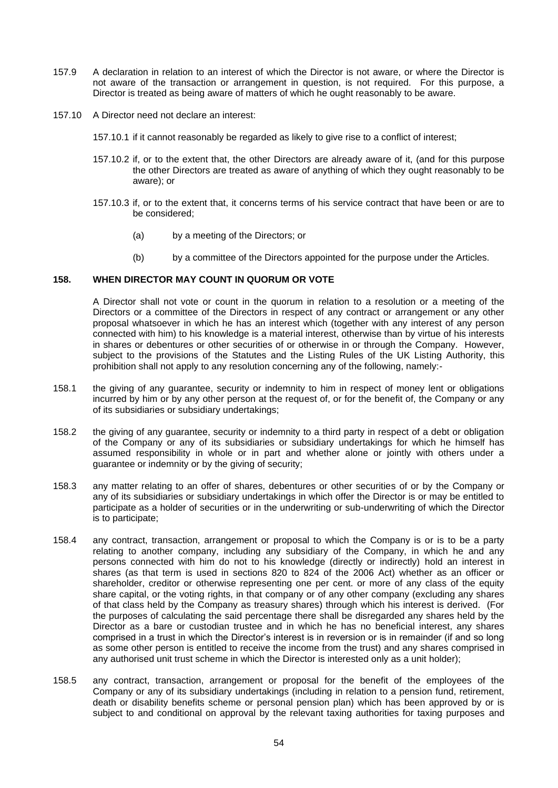- 157.9 A declaration in relation to an interest of which the Director is not aware, or where the Director is not aware of the transaction or arrangement in question, is not required. For this purpose, a Director is treated as being aware of matters of which he ought reasonably to be aware.
- 157.10 A Director need not declare an interest:
	- 157.10.1 if it cannot reasonably be regarded as likely to give rise to a conflict of interest;
	- 157.10.2 if, or to the extent that, the other Directors are already aware of it, (and for this purpose the other Directors are treated as aware of anything of which they ought reasonably to be aware); or
	- 157.10.3 if, or to the extent that, it concerns terms of his service contract that have been or are to be considered;
		- (a) by a meeting of the Directors; or
		- (b) by a committee of the Directors appointed for the purpose under the Articles.

### **158. WHEN DIRECTOR MAY COUNT IN QUORUM OR VOTE**

A Director shall not vote or count in the quorum in relation to a resolution or a meeting of the Directors or a committee of the Directors in respect of any contract or arrangement or any other proposal whatsoever in which he has an interest which (together with any interest of any person connected with him) to his knowledge is a material interest, otherwise than by virtue of his interests in shares or debentures or other securities of or otherwise in or through the Company. However, subject to the provisions of the Statutes and the Listing Rules of the UK Listing Authority, this prohibition shall not apply to any resolution concerning any of the following, namely:-

- 158.1 the giving of any guarantee, security or indemnity to him in respect of money lent or obligations incurred by him or by any other person at the request of, or for the benefit of, the Company or any of its subsidiaries or subsidiary undertakings;
- 158.2 the giving of any guarantee, security or indemnity to a third party in respect of a debt or obligation of the Company or any of its subsidiaries or subsidiary undertakings for which he himself has assumed responsibility in whole or in part and whether alone or jointly with others under a guarantee or indemnity or by the giving of security;
- 158.3 any matter relating to an offer of shares, debentures or other securities of or by the Company or any of its subsidiaries or subsidiary undertakings in which offer the Director is or may be entitled to participate as a holder of securities or in the underwriting or sub-underwriting of which the Director is to participate;
- 158.4 any contract, transaction, arrangement or proposal to which the Company is or is to be a party relating to another company, including any subsidiary of the Company, in which he and any persons connected with him do not to his knowledge (directly or indirectly) hold an interest in shares (as that term is used in sections 820 to 824 of the 2006 Act) whether as an officer or shareholder, creditor or otherwise representing one per cent. or more of any class of the equity share capital, or the voting rights, in that company or of any other company (excluding any shares of that class held by the Company as treasury shares) through which his interest is derived. (For the purposes of calculating the said percentage there shall be disregarded any shares held by the Director as a bare or custodian trustee and in which he has no beneficial interest, any shares comprised in a trust in which the Director's interest is in reversion or is in remainder (if and so long as some other person is entitled to receive the income from the trust) and any shares comprised in any authorised unit trust scheme in which the Director is interested only as a unit holder);
- 158.5 any contract, transaction, arrangement or proposal for the benefit of the employees of the Company or any of its subsidiary undertakings (including in relation to a pension fund, retirement, death or disability benefits scheme or personal pension plan) which has been approved by or is subject to and conditional on approval by the relevant taxing authorities for taxing purposes and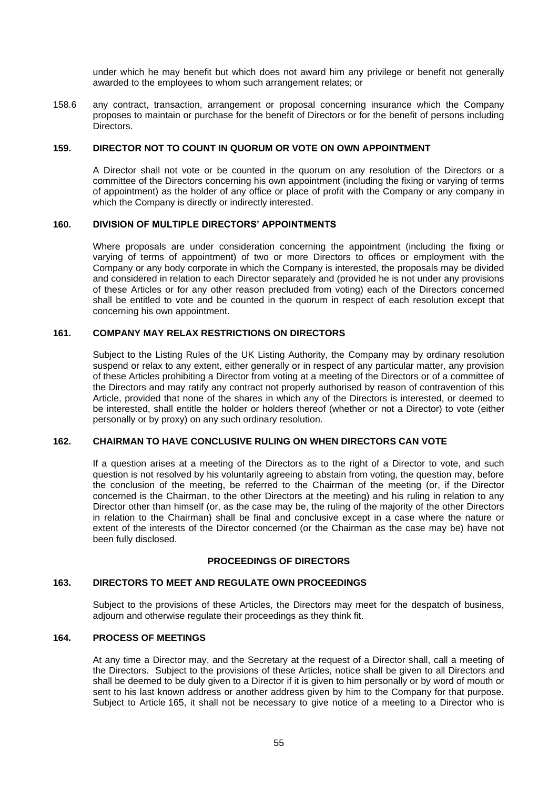under which he may benefit but which does not award him any privilege or benefit not generally awarded to the employees to whom such arrangement relates; or

158.6 any contract, transaction, arrangement or proposal concerning insurance which the Company proposes to maintain or purchase for the benefit of Directors or for the benefit of persons including Directors.

## **159. DIRECTOR NOT TO COUNT IN QUORUM OR VOTE ON OWN APPOINTMENT**

A Director shall not vote or be counted in the quorum on any resolution of the Directors or a committee of the Directors concerning his own appointment (including the fixing or varying of terms of appointment) as the holder of any office or place of profit with the Company or any company in which the Company is directly or indirectly interested.

### **160. DIVISION OF MULTIPLE DIRECTORS' APPOINTMENTS**

Where proposals are under consideration concerning the appointment (including the fixing or varying of terms of appointment) of two or more Directors to offices or employment with the Company or any body corporate in which the Company is interested, the proposals may be divided and considered in relation to each Director separately and (provided he is not under any provisions of these Articles or for any other reason precluded from voting) each of the Directors concerned shall be entitled to vote and be counted in the quorum in respect of each resolution except that concerning his own appointment.

# **161. COMPANY MAY RELAX RESTRICTIONS ON DIRECTORS**

Subject to the Listing Rules of the UK Listing Authority, the Company may by ordinary resolution suspend or relax to any extent, either generally or in respect of any particular matter, any provision of these Articles prohibiting a Director from voting at a meeting of the Directors or of a committee of the Directors and may ratify any contract not properly authorised by reason of contravention of this Article, provided that none of the shares in which any of the Directors is interested, or deemed to be interested, shall entitle the holder or holders thereof (whether or not a Director) to vote (either personally or by proxy) on any such ordinary resolution.

# **162. CHAIRMAN TO HAVE CONCLUSIVE RULING ON WHEN DIRECTORS CAN VOTE**

If a question arises at a meeting of the Directors as to the right of a Director to vote, and such question is not resolved by his voluntarily agreeing to abstain from voting, the question may, before the conclusion of the meeting, be referred to the Chairman of the meeting (or, if the Director concerned is the Chairman, to the other Directors at the meeting) and his ruling in relation to any Director other than himself (or, as the case may be, the ruling of the majority of the other Directors in relation to the Chairman) shall be final and conclusive except in a case where the nature or extent of the interests of the Director concerned (or the Chairman as the case may be) have not been fully disclosed.

#### **PROCEEDINGS OF DIRECTORS**

### **163. DIRECTORS TO MEET AND REGULATE OWN PROCEEDINGS**

Subject to the provisions of these Articles, the Directors may meet for the despatch of business, adjourn and otherwise regulate their proceedings as they think fit.

## **164. PROCESS OF MEETINGS**

At any time a Director may, and the Secretary at the request of a Director shall, call a meeting of the Directors. Subject to the provisions of these Articles, notice shall be given to all Directors and shall be deemed to be duly given to a Director if it is given to him personally or by word of mouth or sent to his last known address or another address given by him to the Company for that purpose. Subject to Article [165,](#page-54-0) it shall not be necessary to give notice of a meeting to a Director who is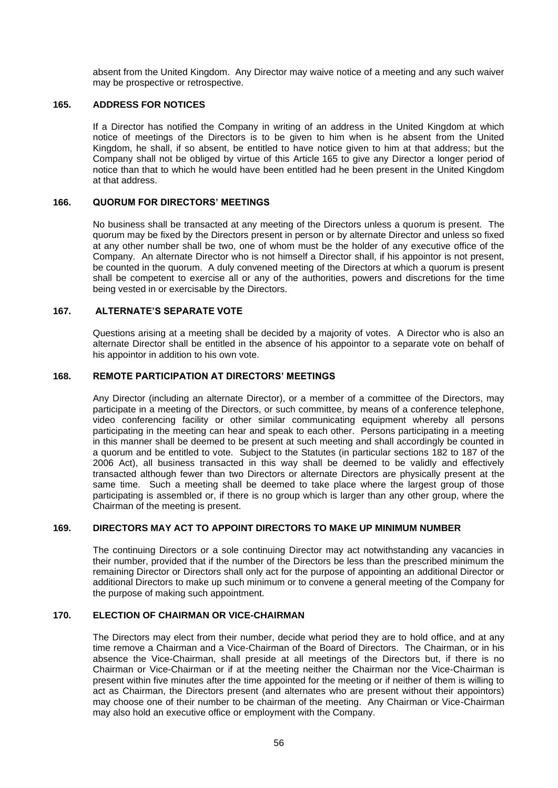absent from the United Kingdom. Any Director may waive notice of a meeting and any such waiver may be prospective or retrospective.

#### <span id="page-54-0"></span>**165. ADDRESS FOR NOTICES**

If a Director has notified the Company in writing of an address in the United Kingdom at which notice of meetings of the Directors is to be given to him when is he absent from the United Kingdom, he shall, if so absent, be entitled to have notice given to him at that address; but the Company shall not be obliged by virtue of this Article [165](#page-54-0) to give any Director a longer period of notice than that to which he would have been entitled had he been present in the United Kingdom at that address.

#### **166. QUORUM FOR DIRECTORS' MEETINGS**

No business shall be transacted at any meeting of the Directors unless a quorum is present. The quorum may be fixed by the Directors present in person or by alternate Director and unless so fixed at any other number shall be two, one of whom must be the holder of any executive office of the Company. An alternate Director who is not himself a Director shall, if his appointor is not present, be counted in the quorum. A duly convened meeting of the Directors at which a quorum is present shall be competent to exercise all or any of the authorities, powers and discretions for the time being vested in or exercisable by the Directors.

### **167. ALTERNATE'S SEPARATE VOTE**

Questions arising at a meeting shall be decided by a majority of votes. A Director who is also an alternate Director shall be entitled in the absence of his appointor to a separate vote on behalf of his appointor in addition to his own vote.

### **168. REMOTE PARTICIPATION AT DIRECTORS' MEETINGS**

Any Director (including an alternate Director), or a member of a committee of the Directors, may participate in a meeting of the Directors, or such committee, by means of a conference telephone, video conferencing facility or other similar communicating equipment whereby all persons participating in the meeting can hear and speak to each other. Persons participating in a meeting in this manner shall be deemed to be present at such meeting and shall accordingly be counted in a quorum and be entitled to vote. Subject to the Statutes (in particular sections 182 to 187 of the 2006 Act), all business transacted in this way shall be deemed to be validly and effectively transacted although fewer than two Directors or alternate Directors are physically present at the same time. Such a meeting shall be deemed to take place where the largest group of those participating is assembled or, if there is no group which is larger than any other group, where the Chairman of the meeting is present.

# **169. DIRECTORS MAY ACT TO APPOINT DIRECTORS TO MAKE UP MINIMUM NUMBER**

The continuing Directors or a sole continuing Director may act notwithstanding any vacancies in their number, provided that if the number of the Directors be less than the prescribed minimum the remaining Director or Directors shall only act for the purpose of appointing an additional Director or additional Directors to make up such minimum or to convene a general meeting of the Company for the purpose of making such appointment.

# **170. ELECTION OF CHAIRMAN OR VICE-CHAIRMAN**

The Directors may elect from their number, decide what period they are to hold office, and at any time remove a Chairman and a Vice-Chairman of the Board of Directors. The Chairman, or in his absence the Vice-Chairman, shall preside at all meetings of the Directors but, if there is no Chairman or Vice-Chairman or if at the meeting neither the Chairman nor the Vice-Chairman is present within five minutes after the time appointed for the meeting or if neither of them is willing to act as Chairman, the Directors present (and alternates who are present without their appointors) may choose one of their number to be chairman of the meeting. Any Chairman or Vice-Chairman may also hold an executive office or employment with the Company.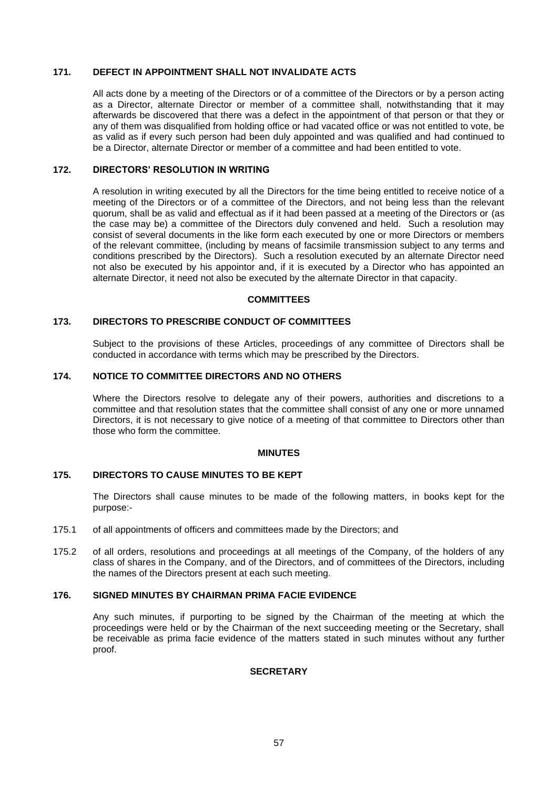#### **171. DEFECT IN APPOINTMENT SHALL NOT INVALIDATE ACTS**

All acts done by a meeting of the Directors or of a committee of the Directors or by a person acting as a Director, alternate Director or member of a committee shall, notwithstanding that it may afterwards be discovered that there was a defect in the appointment of that person or that they or any of them was disqualified from holding office or had vacated office or was not entitled to vote, be as valid as if every such person had been duly appointed and was qualified and had continued to be a Director, alternate Director or member of a committee and had been entitled to vote.

# **172. DIRECTORS' RESOLUTION IN WRITING**

A resolution in writing executed by all the Directors for the time being entitled to receive notice of a meeting of the Directors or of a committee of the Directors, and not being less than the relevant quorum, shall be as valid and effectual as if it had been passed at a meeting of the Directors or (as the case may be) a committee of the Directors duly convened and held. Such a resolution may consist of several documents in the like form each executed by one or more Directors or members of the relevant committee, (including by means of facsimile transmission subject to any terms and conditions prescribed by the Directors). Such a resolution executed by an alternate Director need not also be executed by his appointor and, if it is executed by a Director who has appointed an alternate Director, it need not also be executed by the alternate Director in that capacity.

### **COMMITTEES**

# **173. DIRECTORS TO PRESCRIBE CONDUCT OF COMMITTEES**

Subject to the provisions of these Articles, proceedings of any committee of Directors shall be conducted in accordance with terms which may be prescribed by the Directors.

### **174. NOTICE TO COMMITTEE DIRECTORS AND NO OTHERS**

Where the Directors resolve to delegate any of their powers, authorities and discretions to a committee and that resolution states that the committee shall consist of any one or more unnamed Directors, it is not necessary to give notice of a meeting of that committee to Directors other than those who form the committee.

#### **MINUTES**

# **175. DIRECTORS TO CAUSE MINUTES TO BE KEPT**

The Directors shall cause minutes to be made of the following matters, in books kept for the purpose:-

- 175.1 of all appointments of officers and committees made by the Directors; and
- 175.2 of all orders, resolutions and proceedings at all meetings of the Company, of the holders of any class of shares in the Company, and of the Directors, and of committees of the Directors, including the names of the Directors present at each such meeting.

# **176. SIGNED MINUTES BY CHAIRMAN PRIMA FACIE EVIDENCE**

Any such minutes, if purporting to be signed by the Chairman of the meeting at which the proceedings were held or by the Chairman of the next succeeding meeting or the Secretary, shall be receivable as prima facie evidence of the matters stated in such minutes without any further proof.

# **SECRETARY**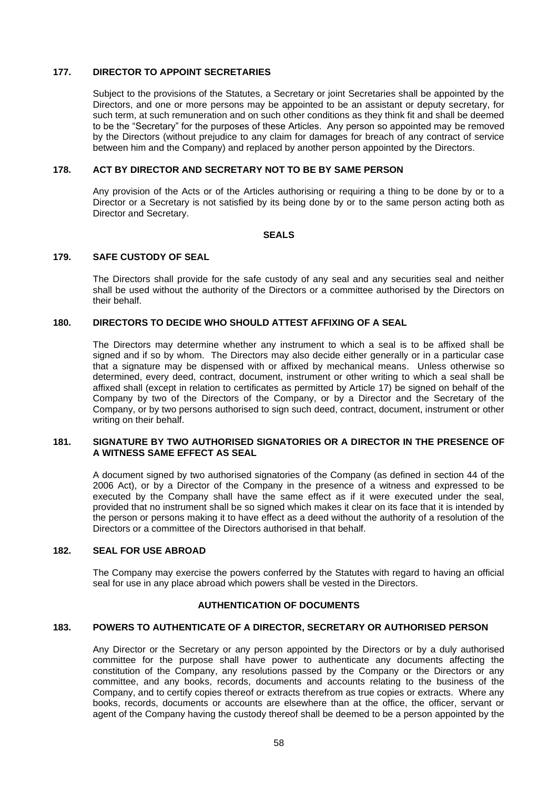#### **177. DIRECTOR TO APPOINT SECRETARIES**

Subject to the provisions of the Statutes, a Secretary or joint Secretaries shall be appointed by the Directors, and one or more persons may be appointed to be an assistant or deputy secretary, for such term, at such remuneration and on such other conditions as they think fit and shall be deemed to be the "Secretary" for the purposes of these Articles. Any person so appointed may be removed by the Directors (without prejudice to any claim for damages for breach of any contract of service between him and the Company) and replaced by another person appointed by the Directors.

# **178. ACT BY DIRECTOR AND SECRETARY NOT TO BE BY SAME PERSON**

Any provision of the Acts or of the Articles authorising or requiring a thing to be done by or to a Director or a Secretary is not satisfied by its being done by or to the same person acting both as Director and Secretary.

#### **SEALS**

# **179. SAFE CUSTODY OF SEAL**

The Directors shall provide for the safe custody of any seal and any securities seal and neither shall be used without the authority of the Directors or a committee authorised by the Directors on their behalf.

# **180. DIRECTORS TO DECIDE WHO SHOULD ATTEST AFFIXING OF A SEAL**

The Directors may determine whether any instrument to which a seal is to be affixed shall be signed and if so by whom. The Directors may also decide either generally or in a particular case that a signature may be dispensed with or affixed by mechanical means. Unless otherwise so determined, every deed, contract, document, instrument or other writing to which a seal shall be affixed shall (except in relation to certificates as permitted by Article [17\)](#page-16-3) be signed on behalf of the Company by two of the Directors of the Company, or by a Director and the Secretary of the Company, or by two persons authorised to sign such deed, contract, document, instrument or other writing on their behalf.

#### **181. SIGNATURE BY TWO AUTHORISED SIGNATORIES OR A DIRECTOR IN THE PRESENCE OF A WITNESS SAME EFFECT AS SEAL**

A document signed by two authorised signatories of the Company (as defined in section 44 of the 2006 Act), or by a Director of the Company in the presence of a witness and expressed to be executed by the Company shall have the same effect as if it were executed under the seal, provided that no instrument shall be so signed which makes it clear on its face that it is intended by the person or persons making it to have effect as a deed without the authority of a resolution of the Directors or a committee of the Directors authorised in that behalf.

# **182. SEAL FOR USE ABROAD**

The Company may exercise the powers conferred by the Statutes with regard to having an official seal for use in any place abroad which powers shall be vested in the Directors.

# **AUTHENTICATION OF DOCUMENTS**

#### **183. POWERS TO AUTHENTICATE OF A DIRECTOR, SECRETARY OR AUTHORISED PERSON**

Any Director or the Secretary or any person appointed by the Directors or by a duly authorised committee for the purpose shall have power to authenticate any documents affecting the constitution of the Company, any resolutions passed by the Company or the Directors or any committee, and any books, records, documents and accounts relating to the business of the Company, and to certify copies thereof or extracts therefrom as true copies or extracts. Where any books, records, documents or accounts are elsewhere than at the office, the officer, servant or agent of the Company having the custody thereof shall be deemed to be a person appointed by the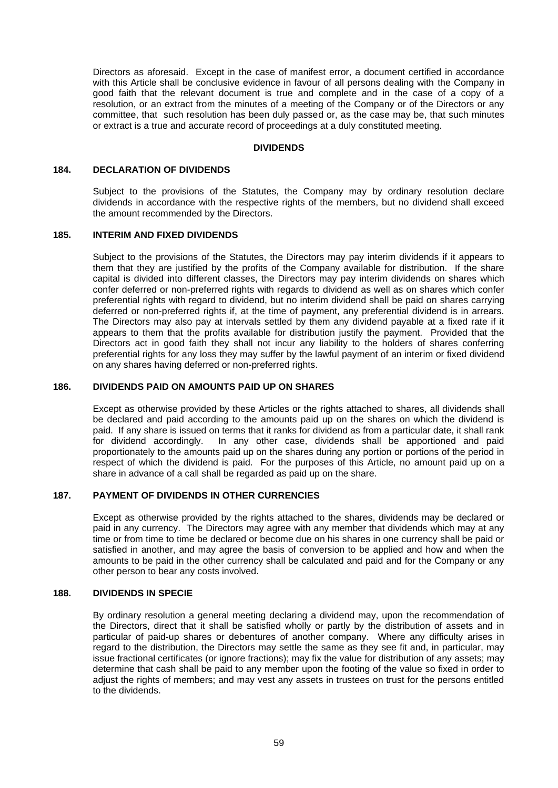Directors as aforesaid. Except in the case of manifest error, a document certified in accordance with this Article shall be conclusive evidence in favour of all persons dealing with the Company in good faith that the relevant document is true and complete and in the case of a copy of a resolution, or an extract from the minutes of a meeting of the Company or of the Directors or any committee, that such resolution has been duly passed or, as the case may be, that such minutes or extract is a true and accurate record of proceedings at a duly constituted meeting.

#### **DIVIDENDS**

# **184. DECLARATION OF DIVIDENDS**

Subject to the provisions of the Statutes, the Company may by ordinary resolution declare dividends in accordance with the respective rights of the members, but no dividend shall exceed the amount recommended by the Directors.

#### **185. INTERIM AND FIXED DIVIDENDS**

Subject to the provisions of the Statutes, the Directors may pay interim dividends if it appears to them that they are justified by the profits of the Company available for distribution. If the share capital is divided into different classes, the Directors may pay interim dividends on shares which confer deferred or non-preferred rights with regards to dividend as well as on shares which confer preferential rights with regard to dividend, but no interim dividend shall be paid on shares carrying deferred or non-preferred rights if, at the time of payment, any preferential dividend is in arrears. The Directors may also pay at intervals settled by them any dividend payable at a fixed rate if it appears to them that the profits available for distribution justify the payment. Provided that the Directors act in good faith they shall not incur any liability to the holders of shares conferring preferential rights for any loss they may suffer by the lawful payment of an interim or fixed dividend on any shares having deferred or non-preferred rights.

#### **186. DIVIDENDS PAID ON AMOUNTS PAID UP ON SHARES**

Except as otherwise provided by these Articles or the rights attached to shares, all dividends shall be declared and paid according to the amounts paid up on the shares on which the dividend is paid. If any share is issued on terms that it ranks for dividend as from a particular date, it shall rank for dividend accordingly. In any other case, dividends shall be apportioned and paid proportionately to the amounts paid up on the shares during any portion or portions of the period in respect of which the dividend is paid. For the purposes of this Article, no amount paid up on a share in advance of a call shall be regarded as paid up on the share.

#### **187. PAYMENT OF DIVIDENDS IN OTHER CURRENCIES**

Except as otherwise provided by the rights attached to the shares, dividends may be declared or paid in any currency. The Directors may agree with any member that dividends which may at any time or from time to time be declared or become due on his shares in one currency shall be paid or satisfied in another, and may agree the basis of conversion to be applied and how and when the amounts to be paid in the other currency shall be calculated and paid and for the Company or any other person to bear any costs involved.

## **188. DIVIDENDS IN SPECIE**

By ordinary resolution a general meeting declaring a dividend may, upon the recommendation of the Directors, direct that it shall be satisfied wholly or partly by the distribution of assets and in particular of paid-up shares or debentures of another company. Where any difficulty arises in regard to the distribution, the Directors may settle the same as they see fit and, in particular, may issue fractional certificates (or ignore fractions); may fix the value for distribution of any assets; may determine that cash shall be paid to any member upon the footing of the value so fixed in order to adjust the rights of members; and may vest any assets in trustees on trust for the persons entitled to the dividends.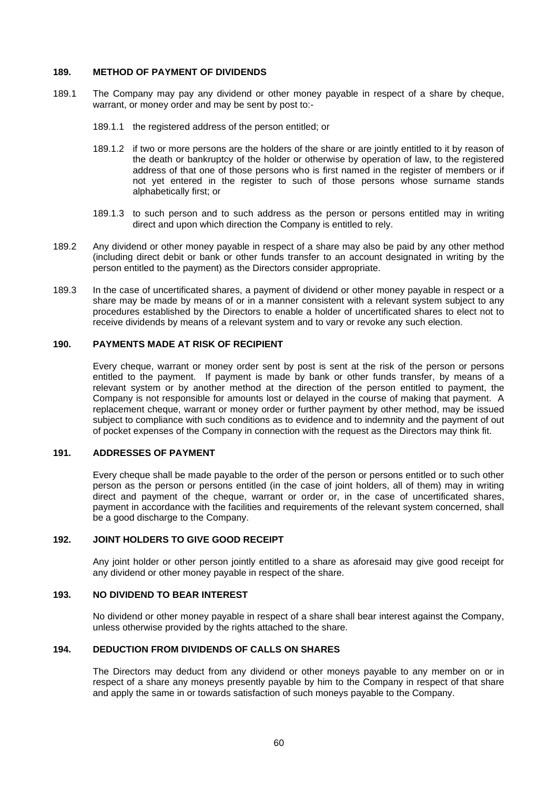#### **189. METHOD OF PAYMENT OF DIVIDENDS**

- 189.1 The Company may pay any dividend or other money payable in respect of a share by cheque, warrant, or money order and may be sent by post to:-
	- 189.1.1 the registered address of the person entitled; or
	- 189.1.2 if two or more persons are the holders of the share or are jointly entitled to it by reason of the death or bankruptcy of the holder or otherwise by operation of law, to the registered address of that one of those persons who is first named in the register of members or if not yet entered in the register to such of those persons whose surname stands alphabetically first; or
	- 189.1.3 to such person and to such address as the person or persons entitled may in writing direct and upon which direction the Company is entitled to rely.
- 189.2 Any dividend or other money payable in respect of a share may also be paid by any other method (including direct debit or bank or other funds transfer to an account designated in writing by the person entitled to the payment) as the Directors consider appropriate.
- 189.3 In the case of uncertificated shares, a payment of dividend or other money payable in respect or a share may be made by means of or in a manner consistent with a relevant system subject to any procedures established by the Directors to enable a holder of uncertificated shares to elect not to receive dividends by means of a relevant system and to vary or revoke any such election.

## **190. PAYMENTS MADE AT RISK OF RECIPIENT**

Every cheque, warrant or money order sent by post is sent at the risk of the person or persons entitled to the payment. If payment is made by bank or other funds transfer, by means of a relevant system or by another method at the direction of the person entitled to payment, the Company is not responsible for amounts lost or delayed in the course of making that payment. A replacement cheque, warrant or money order or further payment by other method, may be issued subject to compliance with such conditions as to evidence and to indemnity and the payment of out of pocket expenses of the Company in connection with the request as the Directors may think fit.

# **191. ADDRESSES OF PAYMENT**

Every cheque shall be made payable to the order of the person or persons entitled or to such other person as the person or persons entitled (in the case of joint holders, all of them) may in writing direct and payment of the cheque, warrant or order or, in the case of uncertificated shares, payment in accordance with the facilities and requirements of the relevant system concerned, shall be a good discharge to the Company.

# **192. JOINT HOLDERS TO GIVE GOOD RECEIPT**

Any joint holder or other person jointly entitled to a share as aforesaid may give good receipt for any dividend or other money payable in respect of the share.

# **193. NO DIVIDEND TO BEAR INTEREST**

No dividend or other money payable in respect of a share shall bear interest against the Company, unless otherwise provided by the rights attached to the share.

## **194. DEDUCTION FROM DIVIDENDS OF CALLS ON SHARES**

The Directors may deduct from any dividend or other moneys payable to any member on or in respect of a share any moneys presently payable by him to the Company in respect of that share and apply the same in or towards satisfaction of such moneys payable to the Company.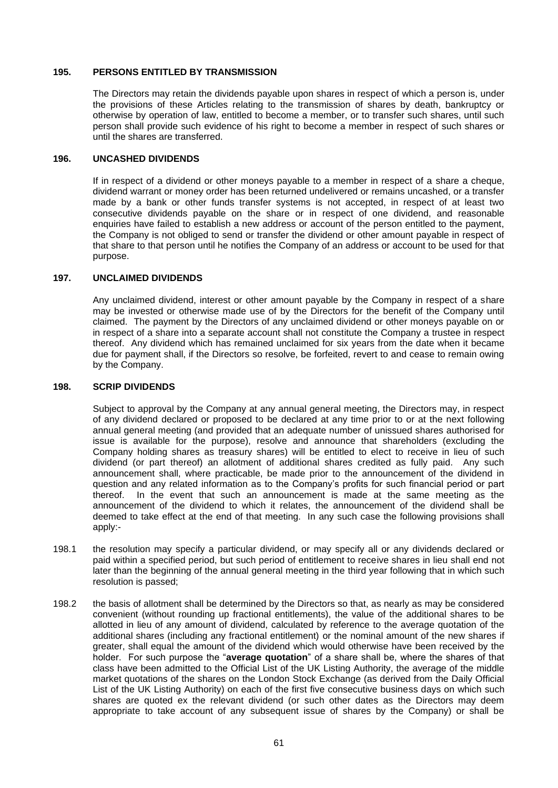#### <span id="page-59-0"></span>**195. PERSONS ENTITLED BY TRANSMISSION**

The Directors may retain the dividends payable upon shares in respect of which a person is, under the provisions of these Articles relating to the transmission of shares by death, bankruptcy or otherwise by operation of law, entitled to become a member, or to transfer such shares, until such person shall provide such evidence of his right to become a member in respect of such shares or until the shares are transferred.

### **196. UNCASHED DIVIDENDS**

If in respect of a dividend or other moneys payable to a member in respect of a share a cheque, dividend warrant or money order has been returned undelivered or remains uncashed, or a transfer made by a bank or other funds transfer systems is not accepted, in respect of at least two consecutive dividends payable on the share or in respect of one dividend, and reasonable enquiries have failed to establish a new address or account of the person entitled to the payment, the Company is not obliged to send or transfer the dividend or other amount payable in respect of that share to that person until he notifies the Company of an address or account to be used for that purpose.

### **197. UNCLAIMED DIVIDENDS**

Any unclaimed dividend, interest or other amount payable by the Company in respect of a share may be invested or otherwise made use of by the Directors for the benefit of the Company until claimed. The payment by the Directors of any unclaimed dividend or other moneys payable on or in respect of a share into a separate account shall not constitute the Company a trustee in respect thereof. Any dividend which has remained unclaimed for six years from the date when it became due for payment shall, if the Directors so resolve, be forfeited, revert to and cease to remain owing by the Company.

### <span id="page-59-1"></span>**198. SCRIP DIVIDENDS**

Subject to approval by the Company at any annual general meeting, the Directors may, in respect of any dividend declared or proposed to be declared at any time prior to or at the next following annual general meeting (and provided that an adequate number of unissued shares authorised for issue is available for the purpose), resolve and announce that shareholders (excluding the Company holding shares as treasury shares) will be entitled to elect to receive in lieu of such dividend (or part thereof) an allotment of additional shares credited as fully paid. Any such announcement shall, where practicable, be made prior to the announcement of the dividend in question and any related information as to the Company's profits for such financial period or part thereof. In the event that such an announcement is made at the same meeting as the announcement of the dividend to which it relates, the announcement of the dividend shall be deemed to take effect at the end of that meeting. In any such case the following provisions shall apply:-

- 198.1 the resolution may specify a particular dividend, or may specify all or any dividends declared or paid within a specified period, but such period of entitlement to receive shares in lieu shall end not later than the beginning of the annual general meeting in the third year following that in which such resolution is passed;
- <span id="page-59-2"></span>198.2 the basis of allotment shall be determined by the Directors so that, as nearly as may be considered convenient (without rounding up fractional entitlements), the value of the additional shares to be allotted in lieu of any amount of dividend, calculated by reference to the average quotation of the additional shares (including any fractional entitlement) or the nominal amount of the new shares if greater, shall equal the amount of the dividend which would otherwise have been received by the holder. For such purpose the "**average quotation**" of a share shall be, where the shares of that class have been admitted to the Official List of the UK Listing Authority, the average of the middle market quotations of the shares on the London Stock Exchange (as derived from the Daily Official List of the UK Listing Authority) on each of the first five consecutive business days on which such shares are quoted ex the relevant dividend (or such other dates as the Directors may deem appropriate to take account of any subsequent issue of shares by the Company) or shall be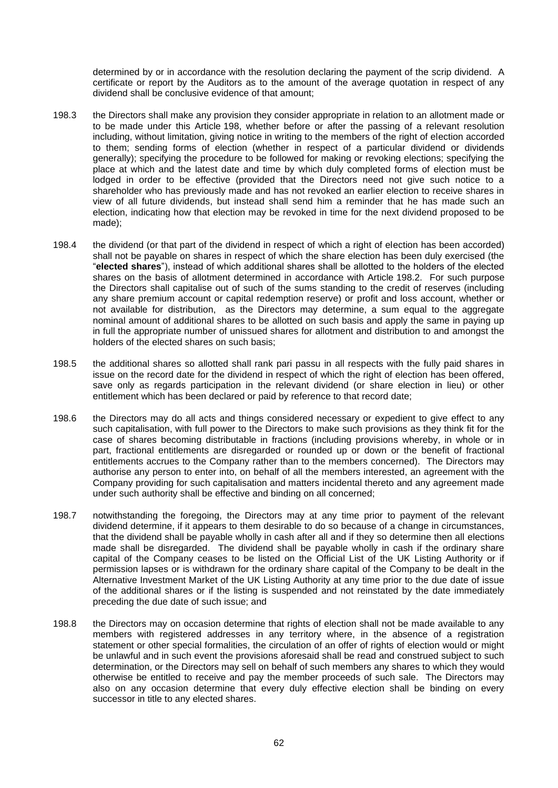determined by or in accordance with the resolution declaring the payment of the scrip dividend. A certificate or report by the Auditors as to the amount of the average quotation in respect of any dividend shall be conclusive evidence of that amount;

- 198.3 the Directors shall make any provision they consider appropriate in relation to an allotment made or to be made under this Article [198,](#page-59-1) whether before or after the passing of a relevant resolution including, without limitation, giving notice in writing to the members of the right of election accorded to them; sending forms of election (whether in respect of a particular dividend or dividends generally); specifying the procedure to be followed for making or revoking elections; specifying the place at which and the latest date and time by which duly completed forms of election must be lodged in order to be effective (provided that the Directors need not give such notice to a shareholder who has previously made and has not revoked an earlier election to receive shares in view of all future dividends, but instead shall send him a reminder that he has made such an election, indicating how that election may be revoked in time for the next dividend proposed to be made);
- 198.4 the dividend (or that part of the dividend in respect of which a right of election has been accorded) shall not be payable on shares in respect of which the share election has been duly exercised (the "**elected shares**"), instead of which additional shares shall be allotted to the holders of the elected shares on the basis of allotment determined in accordance with Article [198.2.](#page-59-2) For such purpose the Directors shall capitalise out of such of the sums standing to the credit of reserves (including any share premium account or capital redemption reserve) or profit and loss account, whether or not available for distribution, as the Directors may determine, a sum equal to the aggregate nominal amount of additional shares to be allotted on such basis and apply the same in paying up in full the appropriate number of unissued shares for allotment and distribution to and amongst the holders of the elected shares on such basis;
- 198.5 the additional shares so allotted shall rank pari passu in all respects with the fully paid shares in issue on the record date for the dividend in respect of which the right of election has been offered, save only as regards participation in the relevant dividend (or share election in lieu) or other entitlement which has been declared or paid by reference to that record date;
- 198.6 the Directors may do all acts and things considered necessary or expedient to give effect to any such capitalisation, with full power to the Directors to make such provisions as they think fit for the case of shares becoming distributable in fractions (including provisions whereby, in whole or in part, fractional entitlements are disregarded or rounded up or down or the benefit of fractional entitlements accrues to the Company rather than to the members concerned). The Directors may authorise any person to enter into, on behalf of all the members interested, an agreement with the Company providing for such capitalisation and matters incidental thereto and any agreement made under such authority shall be effective and binding on all concerned;
- 198.7 notwithstanding the foregoing, the Directors may at any time prior to payment of the relevant dividend determine, if it appears to them desirable to do so because of a change in circumstances, that the dividend shall be payable wholly in cash after all and if they so determine then all elections made shall be disregarded. The dividend shall be payable wholly in cash if the ordinary share capital of the Company ceases to be listed on the Official List of the UK Listing Authority or if permission lapses or is withdrawn for the ordinary share capital of the Company to be dealt in the Alternative Investment Market of the UK Listing Authority at any time prior to the due date of issue of the additional shares or if the listing is suspended and not reinstated by the date immediately preceding the due date of such issue; and
- 198.8 the Directors may on occasion determine that rights of election shall not be made available to any members with registered addresses in any territory where, in the absence of a registration statement or other special formalities, the circulation of an offer of rights of election would or might be unlawful and in such event the provisions aforesaid shall be read and construed subject to such determination, or the Directors may sell on behalf of such members any shares to which they would otherwise be entitled to receive and pay the member proceeds of such sale. The Directors may also on any occasion determine that every duly effective election shall be binding on every successor in title to any elected shares.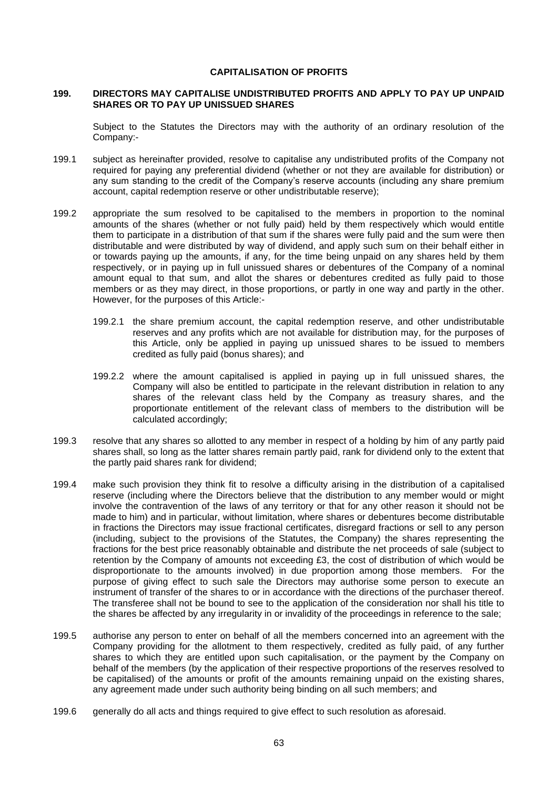#### **CAPITALISATION OF PROFITS**

#### <span id="page-61-0"></span>**199. DIRECTORS MAY CAPITALISE UNDISTRIBUTED PROFITS AND APPLY TO PAY UP UNPAID SHARES OR TO PAY UP UNISSUED SHARES**

Subject to the Statutes the Directors may with the authority of an ordinary resolution of the Company:-

- 199.1 subject as hereinafter provided, resolve to capitalise any undistributed profits of the Company not required for paying any preferential dividend (whether or not they are available for distribution) or any sum standing to the credit of the Company's reserve accounts (including any share premium account, capital redemption reserve or other undistributable reserve);
- 199.2 appropriate the sum resolved to be capitalised to the members in proportion to the nominal amounts of the shares (whether or not fully paid) held by them respectively which would entitle them to participate in a distribution of that sum if the shares were fully paid and the sum were then distributable and were distributed by way of dividend, and apply such sum on their behalf either in or towards paying up the amounts, if any, for the time being unpaid on any shares held by them respectively, or in paying up in full unissued shares or debentures of the Company of a nominal amount equal to that sum, and allot the shares or debentures credited as fully paid to those members or as they may direct, in those proportions, or partly in one way and partly in the other. However, for the purposes of this Article:-
	- 199.2.1 the share premium account, the capital redemption reserve, and other undistributable reserves and any profits which are not available for distribution may, for the purposes of this Article, only be applied in paying up unissued shares to be issued to members credited as fully paid (bonus shares); and
	- 199.2.2 where the amount capitalised is applied in paying up in full unissued shares, the Company will also be entitled to participate in the relevant distribution in relation to any shares of the relevant class held by the Company as treasury shares, and the proportionate entitlement of the relevant class of members to the distribution will be calculated accordingly;
- <span id="page-61-1"></span>199.3 resolve that any shares so allotted to any member in respect of a holding by him of any partly paid shares shall, so long as the latter shares remain partly paid, rank for dividend only to the extent that the partly paid shares rank for dividend;
- 199.4 make such provision they think fit to resolve a difficulty arising in the distribution of a capitalised reserve (including where the Directors believe that the distribution to any member would or might involve the contravention of the laws of any territory or that for any other reason it should not be made to him) and in particular, without limitation, where shares or debentures become distributable in fractions the Directors may issue fractional certificates, disregard fractions or sell to any person (including, subject to the provisions of the Statutes, the Company) the shares representing the fractions for the best price reasonably obtainable and distribute the net proceeds of sale (subject to retention by the Company of amounts not exceeding £3, the cost of distribution of which would be disproportionate to the amounts involved) in due proportion among those members. For the purpose of giving effect to such sale the Directors may authorise some person to execute an instrument of transfer of the shares to or in accordance with the directions of the purchaser thereof. The transferee shall not be bound to see to the application of the consideration nor shall his title to the shares be affected by any irregularity in or invalidity of the proceedings in reference to the sale;
- 199.5 authorise any person to enter on behalf of all the members concerned into an agreement with the Company providing for the allotment to them respectively, credited as fully paid, of any further shares to which they are entitled upon such capitalisation, or the payment by the Company on behalf of the members (by the application of their respective proportions of the reserves resolved to be capitalised) of the amounts or profit of the amounts remaining unpaid on the existing shares, any agreement made under such authority being binding on all such members; and
- <span id="page-61-2"></span>199.6 generally do all acts and things required to give effect to such resolution as aforesaid.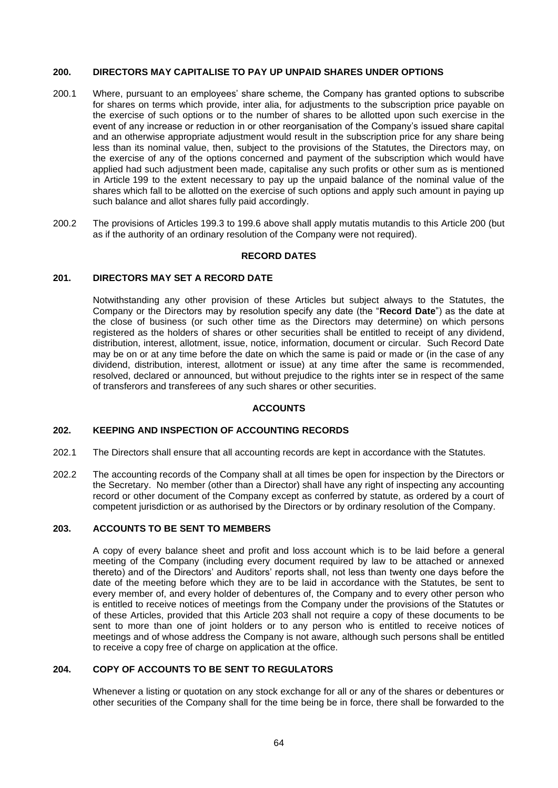#### <span id="page-62-0"></span>**200. DIRECTORS MAY CAPITALISE TO PAY UP UNPAID SHARES UNDER OPTIONS**

- 200.1 Where, pursuant to an employees' share scheme, the Company has granted options to subscribe for shares on terms which provide, inter alia, for adjustments to the subscription price payable on the exercise of such options or to the number of shares to be allotted upon such exercise in the event of any increase or reduction in or other reorganisation of the Company's issued share capital and an otherwise appropriate adjustment would result in the subscription price for any share being less than its nominal value, then, subject to the provisions of the Statutes, the Directors may, on the exercise of any of the options concerned and payment of the subscription which would have applied had such adjustment been made, capitalise any such profits or other sum as is mentioned in Article [199](#page-61-0) to the extent necessary to pay up the unpaid balance of the nominal value of the shares which fall to be allotted on the exercise of such options and apply such amount in paying up such balance and allot shares fully paid accordingly.
- 200.2 The provisions of Articles [199.3](#page-61-1) to [199.6](#page-61-2) above shall apply mutatis mutandis to this Article [200](#page-62-0) (but as if the authority of an ordinary resolution of the Company were not required).

### **RECORD DATES**

# **201. DIRECTORS MAY SET A RECORD DATE**

Notwithstanding any other provision of these Articles but subject always to the Statutes, the Company or the Directors may by resolution specify any date (the "**Record Date**") as the date at the close of business (or such other time as the Directors may determine) on which persons registered as the holders of shares or other securities shall be entitled to receipt of any dividend, distribution, interest, allotment, issue, notice, information, document or circular. Such Record Date may be on or at any time before the date on which the same is paid or made or (in the case of any dividend, distribution, interest, allotment or issue) at any time after the same is recommended, resolved, declared or announced, but without prejudice to the rights inter se in respect of the same of transferors and transferees of any such shares or other securities.

#### **ACCOUNTS**

## **202. KEEPING AND INSPECTION OF ACCOUNTING RECORDS**

- 202.1 The Directors shall ensure that all accounting records are kept in accordance with the Statutes.
- 202.2 The accounting records of the Company shall at all times be open for inspection by the Directors or the Secretary. No member (other than a Director) shall have any right of inspecting any accounting record or other document of the Company except as conferred by statute, as ordered by a court of competent jurisdiction or as authorised by the Directors or by ordinary resolution of the Company.

# <span id="page-62-1"></span>**203. ACCOUNTS TO BE SENT TO MEMBERS**

A copy of every balance sheet and profit and loss account which is to be laid before a general meeting of the Company (including every document required by law to be attached or annexed thereto) and of the Directors' and Auditors' reports shall, not less than twenty one days before the date of the meeting before which they are to be laid in accordance with the Statutes, be sent to every member of, and every holder of debentures of, the Company and to every other person who is entitled to receive notices of meetings from the Company under the provisions of the Statutes or of these Articles, provided that this Article [203](#page-62-1) shall not require a copy of these documents to be sent to more than one of joint holders or to any person who is entitled to receive notices of meetings and of whose address the Company is not aware, although such persons shall be entitled to receive a copy free of charge on application at the office.

# **204. COPY OF ACCOUNTS TO BE SENT TO REGULATORS**

Whenever a listing or quotation on any stock exchange for all or any of the shares or debentures or other securities of the Company shall for the time being be in force, there shall be forwarded to the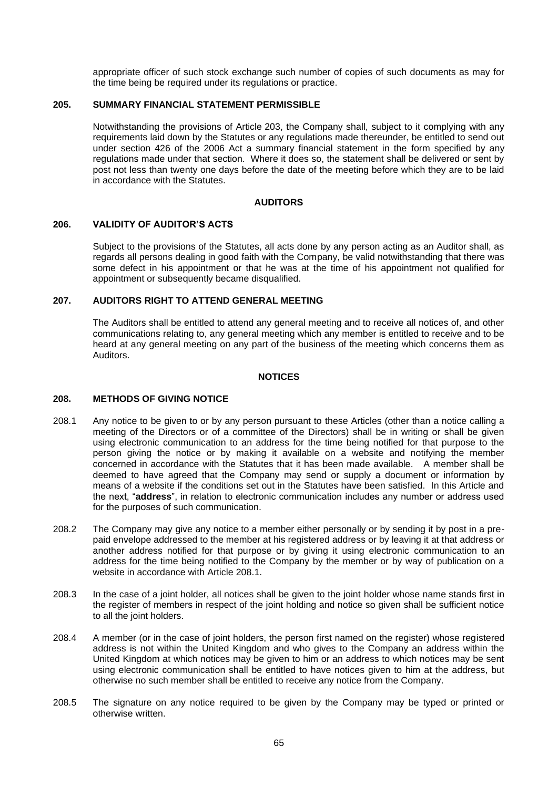appropriate officer of such stock exchange such number of copies of such documents as may for the time being be required under its regulations or practice.

#### **205. SUMMARY FINANCIAL STATEMENT PERMISSIBLE**

Notwithstanding the provisions of Article [203,](#page-62-1) the Company shall, subject to it complying with any requirements laid down by the Statutes or any regulations made thereunder, be entitled to send out under section 426 of the 2006 Act a summary financial statement in the form specified by any regulations made under that section. Where it does so, the statement shall be delivered or sent by post not less than twenty one days before the date of the meeting before which they are to be laid in accordance with the Statutes.

#### **AUDITORS**

#### **206. VALIDITY OF AUDITOR'S ACTS**

Subject to the provisions of the Statutes, all acts done by any person acting as an Auditor shall, as regards all persons dealing in good faith with the Company, be valid notwithstanding that there was some defect in his appointment or that he was at the time of his appointment not qualified for appointment or subsequently became disqualified.

#### **207. AUDITORS RIGHT TO ATTEND GENERAL MEETING**

The Auditors shall be entitled to attend any general meeting and to receive all notices of, and other communications relating to, any general meeting which any member is entitled to receive and to be heard at any general meeting on any part of the business of the meeting which concerns them as Auditors.

#### **NOTICES**

### <span id="page-63-1"></span>**208. METHODS OF GIVING NOTICE**

- <span id="page-63-0"></span>208.1 Any notice to be given to or by any person pursuant to these Articles (other than a notice calling a meeting of the Directors or of a committee of the Directors) shall be in writing or shall be given using electronic communication to an address for the time being notified for that purpose to the person giving the notice or by making it available on a website and notifying the member concerned in accordance with the Statutes that it has been made available. A member shall be deemed to have agreed that the Company may send or supply a document or information by means of a website if the conditions set out in the Statutes have been satisfied. In this Article and the next, "**address**", in relation to electronic communication includes any number or address used for the purposes of such communication.
- 208.2 The Company may give any notice to a member either personally or by sending it by post in a prepaid envelope addressed to the member at his registered address or by leaving it at that address or another address notified for that purpose or by giving it using electronic communication to an address for the time being notified to the Company by the member or by way of publication on a website in accordance with Article [208.1.](#page-63-0)
- 208.3 In the case of a joint holder, all notices shall be given to the joint holder whose name stands first in the register of members in respect of the joint holding and notice so given shall be sufficient notice to all the joint holders.
- 208.4 A member (or in the case of joint holders, the person first named on the register) whose registered address is not within the United Kingdom and who gives to the Company an address within the United Kingdom at which notices may be given to him or an address to which notices may be sent using electronic communication shall be entitled to have notices given to him at the address, but otherwise no such member shall be entitled to receive any notice from the Company.
- 208.5 The signature on any notice required to be given by the Company may be typed or printed or otherwise written.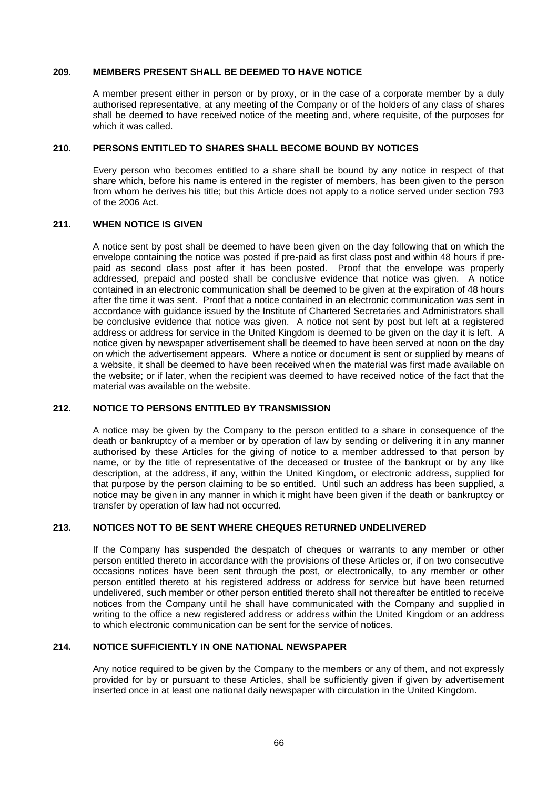#### **209. MEMBERS PRESENT SHALL BE DEEMED TO HAVE NOTICE**

A member present either in person or by proxy, or in the case of a corporate member by a duly authorised representative, at any meeting of the Company or of the holders of any class of shares shall be deemed to have received notice of the meeting and, where requisite, of the purposes for which it was called.

## **210. PERSONS ENTITLED TO SHARES SHALL BECOME BOUND BY NOTICES**

Every person who becomes entitled to a share shall be bound by any notice in respect of that share which, before his name is entered in the register of members, has been given to the person from whom he derives his title; but this Article does not apply to a notice served under section 793 of the 2006 Act.

### **211. WHEN NOTICE IS GIVEN**

A notice sent by post shall be deemed to have been given on the day following that on which the envelope containing the notice was posted if pre-paid as first class post and within 48 hours if prepaid as second class post after it has been posted. Proof that the envelope was properly addressed, prepaid and posted shall be conclusive evidence that notice was given. A notice contained in an electronic communication shall be deemed to be given at the expiration of 48 hours after the time it was sent. Proof that a notice contained in an electronic communication was sent in accordance with guidance issued by the Institute of Chartered Secretaries and Administrators shall be conclusive evidence that notice was given. A notice not sent by post but left at a registered address or address for service in the United Kingdom is deemed to be given on the day it is left. A notice given by newspaper advertisement shall be deemed to have been served at noon on the day on which the advertisement appears. Where a notice or document is sent or supplied by means of a website, it shall be deemed to have been received when the material was first made available on the website; or if later, when the recipient was deemed to have received notice of the fact that the material was available on the website.

# **212. NOTICE TO PERSONS ENTITLED BY TRANSMISSION**

A notice may be given by the Company to the person entitled to a share in consequence of the death or bankruptcy of a member or by operation of law by sending or delivering it in any manner authorised by these Articles for the giving of notice to a member addressed to that person by name, or by the title of representative of the deceased or trustee of the bankrupt or by any like description, at the address, if any, within the United Kingdom, or electronic address, supplied for that purpose by the person claiming to be so entitled. Until such an address has been supplied, a notice may be given in any manner in which it might have been given if the death or bankruptcy or transfer by operation of law had not occurred.

# **213. NOTICES NOT TO BE SENT WHERE CHEQUES RETURNED UNDELIVERED**

If the Company has suspended the despatch of cheques or warrants to any member or other person entitled thereto in accordance with the provisions of these Articles or, if on two consecutive occasions notices have been sent through the post, or electronically, to any member or other person entitled thereto at his registered address or address for service but have been returned undelivered, such member or other person entitled thereto shall not thereafter be entitled to receive notices from the Company until he shall have communicated with the Company and supplied in writing to the office a new registered address or address within the United Kingdom or an address to which electronic communication can be sent for the service of notices.

# **214. NOTICE SUFFICIENTLY IN ONE NATIONAL NEWSPAPER**

Any notice required to be given by the Company to the members or any of them, and not expressly provided for by or pursuant to these Articles, shall be sufficiently given if given by advertisement inserted once in at least one national daily newspaper with circulation in the United Kingdom.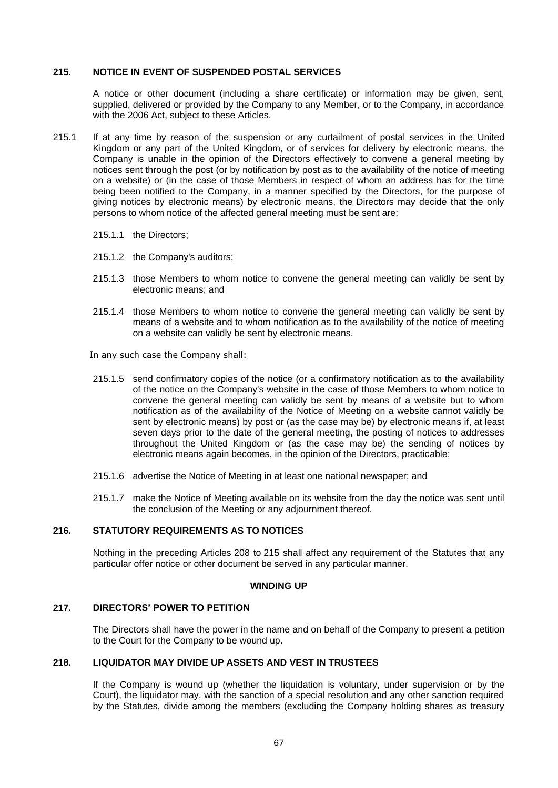#### <span id="page-65-0"></span>**215. NOTICE IN EVENT OF SUSPENDED POSTAL SERVICES**

A notice or other document (including a share certificate) or information may be given, sent, supplied, delivered or provided by the Company to any Member, or to the Company, in accordance with the 2006 Act, subject to these Articles.

- 215.1 If at any time by reason of the suspension or any curtailment of postal services in the United Kingdom or any part of the United Kingdom, or of services for delivery by electronic means, the Company is unable in the opinion of the Directors effectively to convene a general meeting by notices sent through the post (or by notification by post as to the availability of the notice of meeting on a website) or (in the case of those Members in respect of whom an address has for the time being been notified to the Company, in a manner specified by the Directors, for the purpose of giving notices by electronic means) by electronic means, the Directors may decide that the only persons to whom notice of the affected general meeting must be sent are:
	- 215.1.1 the Directors;
	- 215.1.2 the Company's auditors;
	- 215.1.3 those Members to whom notice to convene the general meeting can validly be sent by electronic means; and
	- 215.1.4 those Members to whom notice to convene the general meeting can validly be sent by means of a website and to whom notification as to the availability of the notice of meeting on a website can validly be sent by electronic means.

In any such case the Company shall:

- 215.1.5 send confirmatory copies of the notice (or a confirmatory notification as to the availability of the notice on the Company's website in the case of those Members to whom notice to convene the general meeting can validly be sent by means of a website but to whom notification as of the availability of the Notice of Meeting on a website cannot validly be sent by electronic means) by post or (as the case may be) by electronic means if, at least seven days prior to the date of the general meeting, the posting of notices to addresses throughout the United Kingdom or (as the case may be) the sending of notices by electronic means again becomes, in the opinion of the Directors, practicable;
- 215.1.6 advertise the Notice of Meeting in at least one national newspaper; and
- 215.1.7 make the Notice of Meeting available on its website from the day the notice was sent until the conclusion of the Meeting or any adjournment thereof.

# **216. STATUTORY REQUIREMENTS AS TO NOTICES**

Nothing in the preceding Articles [208](#page-63-1) to [215](#page-65-0) shall affect any requirement of the Statutes that any particular offer notice or other document be served in any particular manner.

#### **WINDING UP**

# **217. DIRECTORS' POWER TO PETITION**

The Directors shall have the power in the name and on behalf of the Company to present a petition to the Court for the Company to be wound up.

#### **218. LIQUIDATOR MAY DIVIDE UP ASSETS AND VEST IN TRUSTEES**

If the Company is wound up (whether the liquidation is voluntary, under supervision or by the Court), the liquidator may, with the sanction of a special resolution and any other sanction required by the Statutes, divide among the members (excluding the Company holding shares as treasury